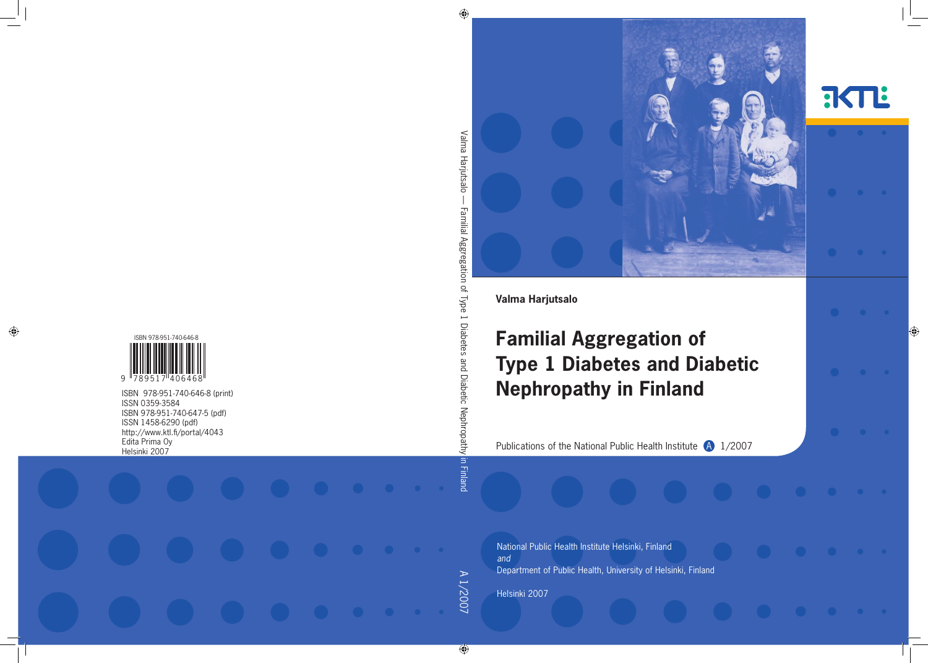



**Valma Harjutsalo**

# **Familial Aggregation of Type 1 Diabetes and Diabetic Nephropathy in Finland**

Publications of the National Public Health Institute  $\bigoplus$  1/2007

National Public Health Institute Helsinki, Finland *and* Department of Public Health, University of Helsinki, Finland

Helsinki 2007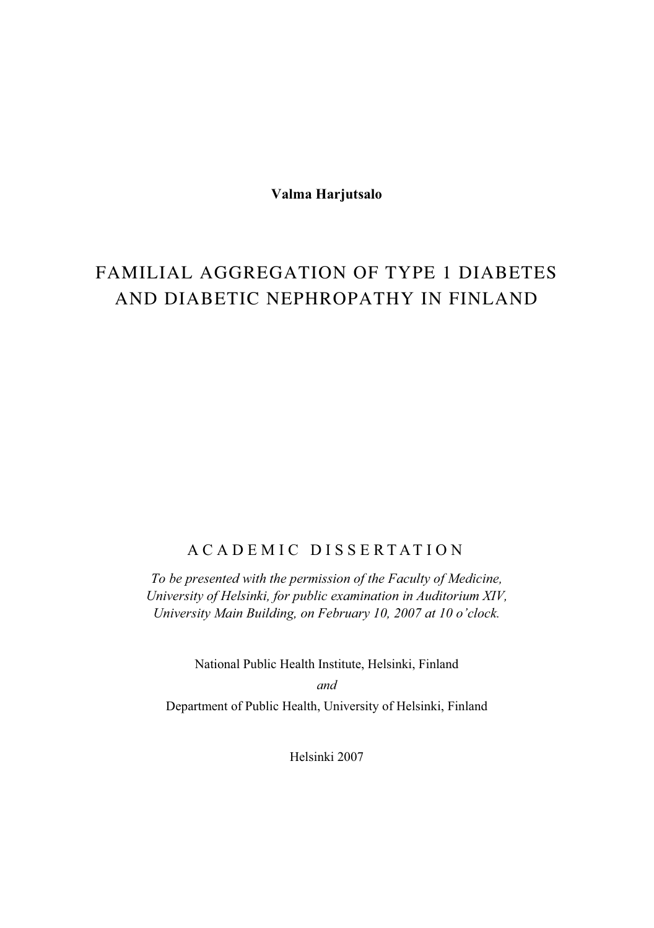**Valma Harjutsalo** 

# FAMILIAL AGGREGATION OF TYPE 1 DIABETES AND DIABETIC NEPHROPATHY IN FINLAND

### ACADEMIC DISSERTATION

*To be presented with the permission of the Faculty of Medicine, University of Helsinki, for public examination in Auditorium XIV, University Main Building, on February 10, 2007 at 10 o'clock.* 

National Public Health Institute, Helsinki, Finland

*and*  Department of Public Health, University of Helsinki, Finland

Helsinki 2007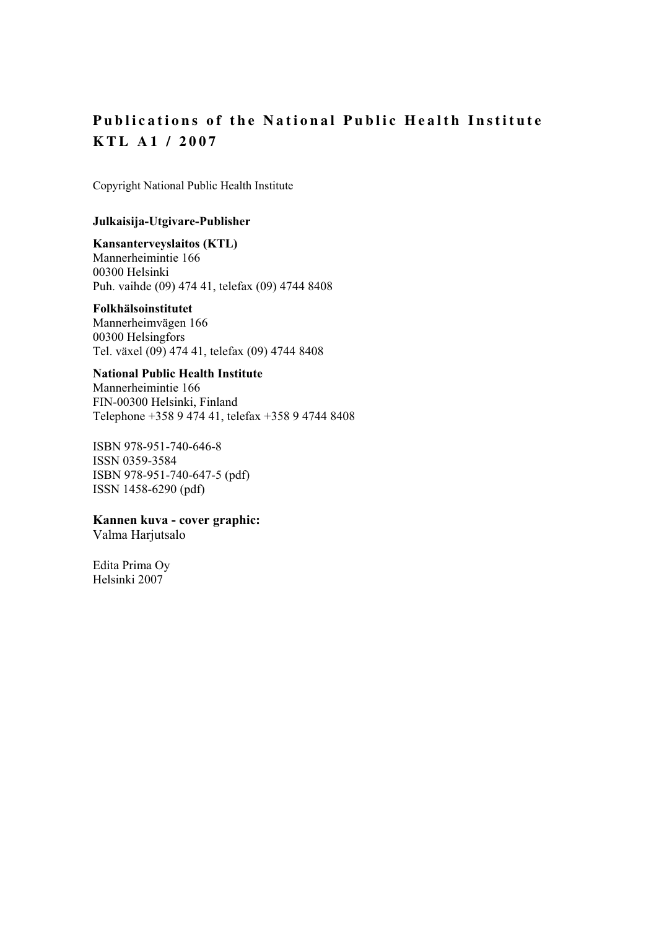### **Publications of the National Public Health Institute KTL A1 / 2007**

Copyright National Public Health Institute

#### **Julkaisija-Utgivare-Publisher**

#### **Kansanterveyslaitos (KTL)**

Mannerheimintie 166 00300 Helsinki Puh. vaihde (09) 474 41, telefax (09) 4744 8408

#### **Folkhälsoinstitutet**

Mannerheimvägen 166 00300 Helsingfors Tel. växel (09) 474 41, telefax (09) 4744 8408

#### **National Public Health Institute**

Mannerheimintie 166 FIN-00300 Helsinki, Finland Telephone +358 9 474 41, telefax +358 9 4744 8408

ISBN 978-951-740-646-8 ISSN 0359-3584 ISBN 978-951-740-647-5 (pdf) ISSN 1458-6290 (pdf)

#### **Kannen kuva - cover graphic:**

Valma Harjutsalo

Edita Prima Oy Helsinki 2007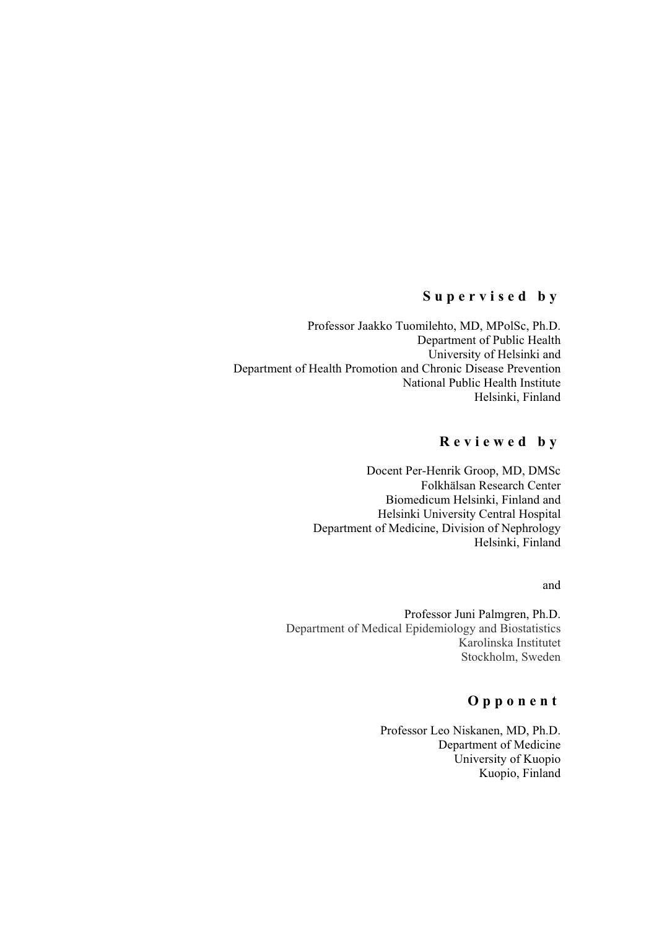#### **Supervised by**

Professor Jaakko Tuomilehto, MD, MPolSc, Ph.D. Department of Public Health University of Helsinki and Department of Health Promotion and Chronic Disease Prevention National Public Health Institute Helsinki, Finland

#### **Reviewed by**

Docent Per-Henrik Groop, MD, DMSc Folkhälsan Research Center Biomedicum Helsinki, Finland and Helsinki University Central Hospital Department of Medicine, Division of Nephrology Helsinki, Finland

#### and

Professor Juni Palmgren, Ph.D. Department of Medical Epidemiology and Biostatistics Karolinska Institutet Stockholm, Sweden

#### **Opponent**

Professor Leo Niskanen, MD, Ph.D. Department of Medicine University of Kuopio Kuopio, Finland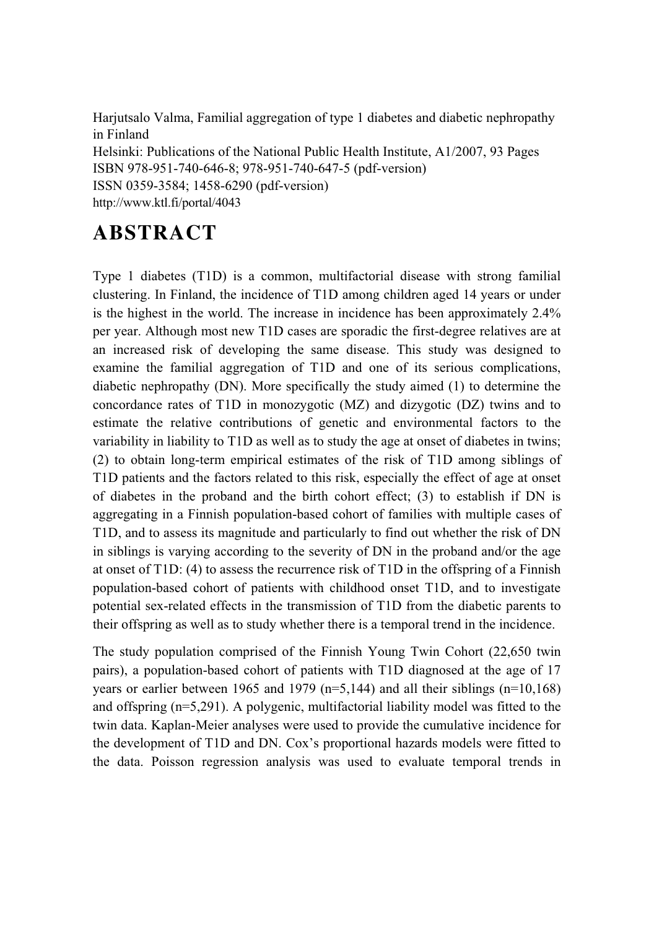Harjutsalo Valma, Familial aggregation of type 1 diabetes and diabetic nephropathy in Finland Helsinki: Publications of the National Public Health Institute, A1/2007, 93 Pages ISBN 978-951-740-646-8; 978-951-740-647-5 (pdf-version) ISSN 0359-3584; 1458-6290 (pdf-version) http://www.ktl.fi/portal/4043

# **ABSTRACT**

Type 1 diabetes (T1D) is a common, multifactorial disease with strong familial clustering. In Finland, the incidence of T1D among children aged 14 years or under is the highest in the world. The increase in incidence has been approximately 2.4% per year. Although most new T1D cases are sporadic the first-degree relatives are at an increased risk of developing the same disease. This study was designed to examine the familial aggregation of T1D and one of its serious complications, diabetic nephropathy (DN). More specifically the study aimed (1) to determine the concordance rates of T1D in monozygotic (MZ) and dizygotic (DZ) twins and to estimate the relative contributions of genetic and environmental factors to the variability in liability to T1D as well as to study the age at onset of diabetes in twins; (2) to obtain long-term empirical estimates of the risk of T1D among siblings of T1D patients and the factors related to this risk, especially the effect of age at onset of diabetes in the proband and the birth cohort effect; (3) to establish if DN is aggregating in a Finnish population-based cohort of families with multiple cases of T1D, and to assess its magnitude and particularly to find out whether the risk of DN in siblings is varying according to the severity of DN in the proband and/or the age at onset of T1D: (4) to assess the recurrence risk of T1D in the offspring of a Finnish population-based cohort of patients with childhood onset T1D, and to investigate potential sex-related effects in the transmission of T1D from the diabetic parents to their offspring as well as to study whether there is a temporal trend in the incidence.

The study population comprised of the Finnish Young Twin Cohort (22,650 twin pairs), a population-based cohort of patients with T1D diagnosed at the age of 17 years or earlier between 1965 and 1979 ( $n=5,144$ ) and all their siblings ( $n=10,168$ ) and offspring (n=5,291). A polygenic, multifactorial liability model was fitted to the twin data. Kaplan-Meier analyses were used to provide the cumulative incidence for the development of T1D and DN. Cox's proportional hazards models were fitted to the data. Poisson regression analysis was used to evaluate temporal trends in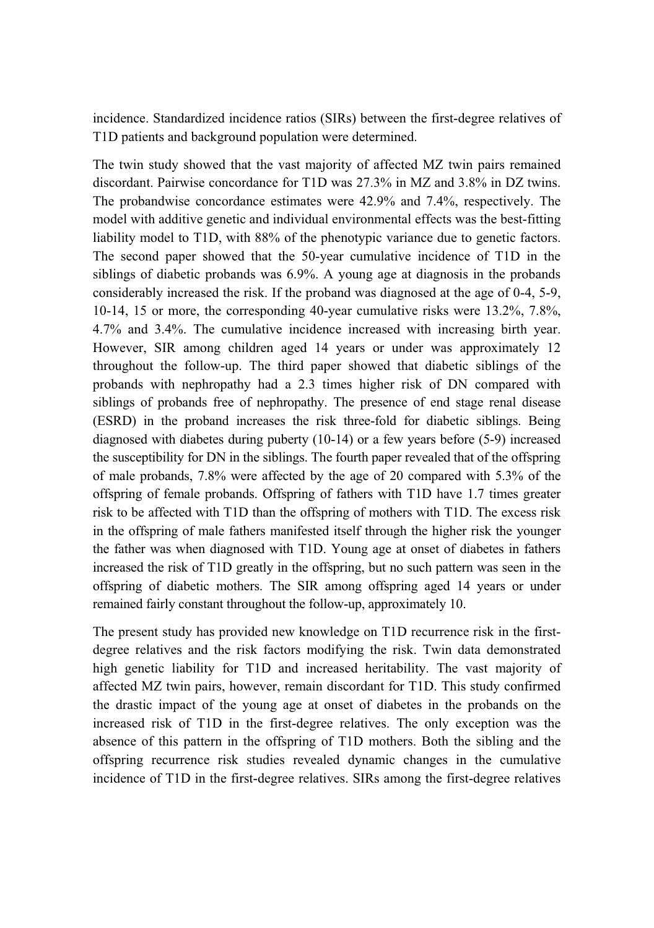incidence. Standardized incidence ratios (SIRs) between the first-degree relatives of T1D patients and background population were determined.

The twin study showed that the vast majority of affected MZ twin pairs remained discordant. Pairwise concordance for T1D was 27.3% in MZ and 3.8% in DZ twins. The probandwise concordance estimates were 42.9% and 7.4%, respectively. The model with additive genetic and individual environmental effects was the best-fitting liability model to T1D, with 88% of the phenotypic variance due to genetic factors. The second paper showed that the 50-year cumulative incidence of T1D in the siblings of diabetic probands was 6.9%. A young age at diagnosis in the probands considerably increased the risk. If the proband was diagnosed at the age of 0-4, 5-9, 10-14, 15 or more, the corresponding 40-year cumulative risks were 13.2%, 7.8%, 4.7% and 3.4%. The cumulative incidence increased with increasing birth year. However, SIR among children aged 14 years or under was approximately 12 throughout the follow-up. The third paper showed that diabetic siblings of the probands with nephropathy had a 2.3 times higher risk of DN compared with siblings of probands free of nephropathy. The presence of end stage renal disease (ESRD) in the proband increases the risk three-fold for diabetic siblings. Being diagnosed with diabetes during puberty (10-14) or a few years before (5-9) increased the susceptibility for DN in the siblings. The fourth paper revealed that of the offspring of male probands, 7.8% were affected by the age of 20 compared with 5.3% of the offspring of female probands. Offspring of fathers with T1D have 1.7 times greater risk to be affected with T1D than the offspring of mothers with T1D. The excess risk in the offspring of male fathers manifested itself through the higher risk the younger the father was when diagnosed with T1D. Young age at onset of diabetes in fathers increased the risk of T1D greatly in the offspring, but no such pattern was seen in the offspring of diabetic mothers. The SIR among offspring aged 14 years or under remained fairly constant throughout the follow-up, approximately 10.

The present study has provided new knowledge on T1D recurrence risk in the firstdegree relatives and the risk factors modifying the risk. Twin data demonstrated high genetic liability for T1D and increased heritability. The vast majority of affected MZ twin pairs, however, remain discordant for T1D. This study confirmed the drastic impact of the young age at onset of diabetes in the probands on the increased risk of T1D in the first-degree relatives. The only exception was the absence of this pattern in the offspring of T1D mothers. Both the sibling and the offspring recurrence risk studies revealed dynamic changes in the cumulative incidence of T1D in the first-degree relatives. SIRs among the first-degree relatives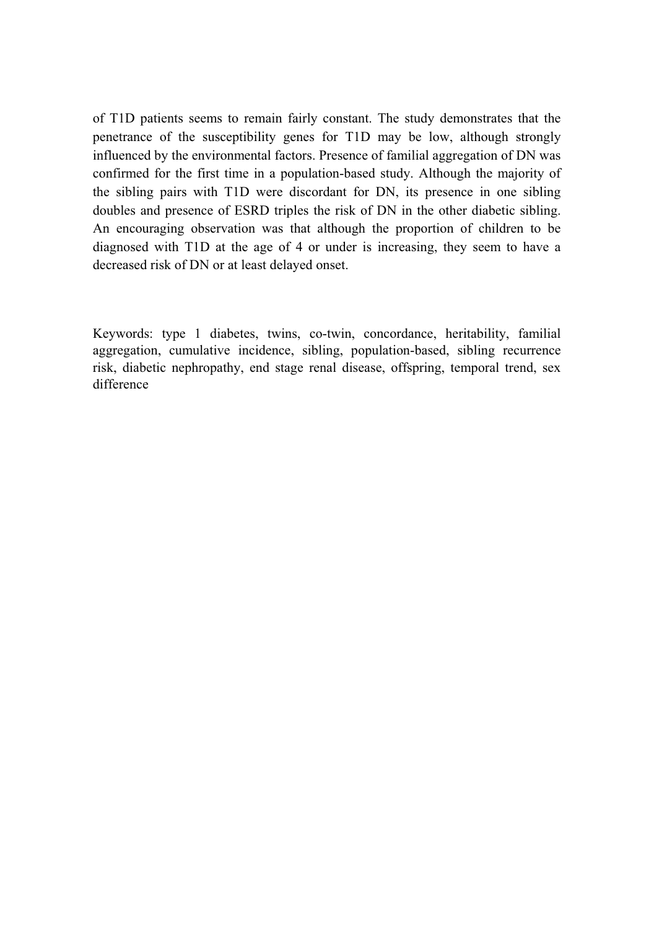of T1D patients seems to remain fairly constant. The study demonstrates that the penetrance of the susceptibility genes for T1D may be low, although strongly influenced by the environmental factors. Presence of familial aggregation of DN was confirmed for the first time in a population-based study. Although the majority of the sibling pairs with T1D were discordant for DN, its presence in one sibling doubles and presence of ESRD triples the risk of DN in the other diabetic sibling. An encouraging observation was that although the proportion of children to be diagnosed with T1D at the age of 4 or under is increasing, they seem to have a decreased risk of DN or at least delayed onset.

Keywords: type 1 diabetes, twins, co-twin, concordance, heritability, familial aggregation, cumulative incidence, sibling, population-based, sibling recurrence risk, diabetic nephropathy, end stage renal disease, offspring, temporal trend, sex difference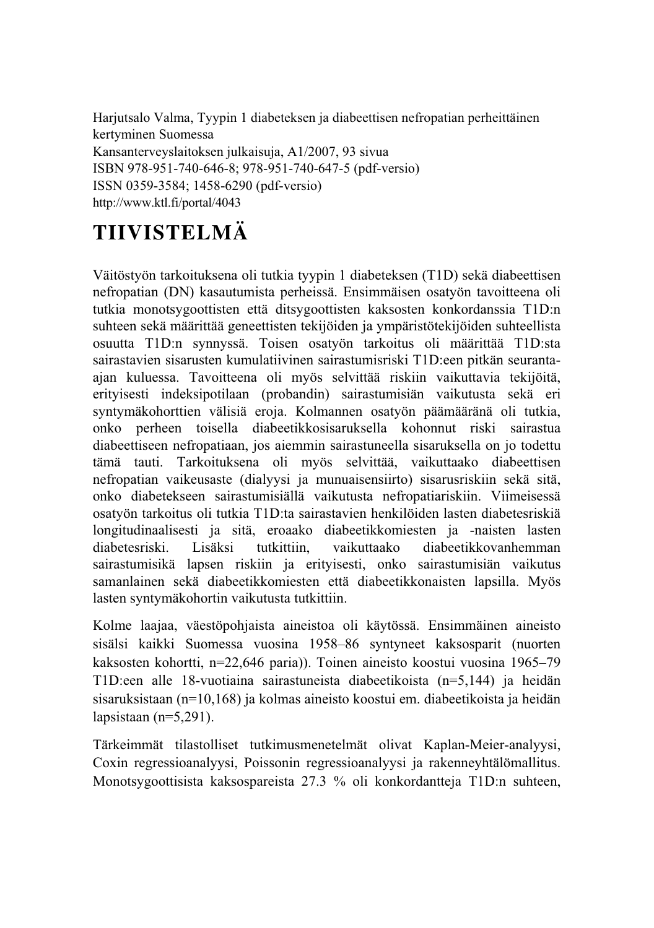Harjutsalo Valma, Tyypin 1 diabeteksen ja diabeettisen nefropatian perheittäinen kertyminen Suomessa Kansanterveyslaitoksen julkaisuja, A1/2007, 93 sivua

ISBN 978-951-740-646-8; 978-951-740-647-5 (pdf-versio) ISSN 0359-3584; 1458-6290 (pdf-versio) http://www.ktl.fi/portal/4043

# **TIIVISTELMÄ**

Väitöstyön tarkoituksena oli tutkia tyypin 1 diabeteksen (T1D) sekä diabeettisen nefropatian (DN) kasautumista perheissä. Ensimmäisen osatyön tavoitteena oli tutkia monotsygoottisten että ditsygoottisten kaksosten konkordanssia T1D:n suhteen sekä määrittää geneettisten tekijöiden ja ympäristötekijöiden suhteellista osuutta T1D:n synnyssä. Toisen osatyön tarkoitus oli määrittää T1D:sta sairastavien sisarusten kumulatiivinen sairastumisriski T1D:een pitkän seurantaajan kuluessa. Tavoitteena oli myös selvittää riskiin vaikuttavia tekijöitä, erityisesti indeksipotilaan (probandin) sairastumisiän vaikutusta sekä eri syntymäkohorttien välisiä eroja. Kolmannen osatyön päämääränä oli tutkia, onko perheen toisella diabeetikkosisaruksella kohonnut riski sairastua diabeettiseen nefropatiaan, jos aiemmin sairastuneella sisaruksella on jo todettu tämä tauti. Tarkoituksena oli myös selvittää, vaikuttaako diabeettisen nefropatian vaikeusaste (dialyysi ja munuaisensiirto) sisarusriskiin sekä sitä, onko diabetekseen sairastumisiällä vaikutusta nefropatiariskiin. Viimeisessä osatyön tarkoitus oli tutkia T1D:ta sairastavien henkilöiden lasten diabetesriskiä longitudinaalisesti ja sitä, eroaako diabeetikkomiesten ja -naisten lasten diabetesriski. Lisäksi tutkittiin, vaikuttaako diabeetikkovanhemman sairastumisikä lapsen riskiin ja erityisesti, onko sairastumisiän vaikutus samanlainen sekä diabeetikkomiesten että diabeetikkonaisten lapsilla. Myös lasten syntymäkohortin vaikutusta tutkittiin.

Kolme laajaa, väestöpohjaista aineistoa oli käytössä. Ensimmäinen aineisto sisälsi kaikki Suomessa vuosina 1958–86 syntyneet kaksosparit (nuorten kaksosten kohortti, n=22,646 paria)). Toinen aineisto koostui vuosina 1965–79 T1D:een alle 18-vuotiaina sairastuneista diabeetikoista (n=5,144) ja heidän sisaruksistaan (n=10,168) ja kolmas aineisto koostui em. diabeetikoista ja heidän lapsistaan  $(n=5,291)$ .

Tärkeimmät tilastolliset tutkimusmenetelmät olivat Kaplan-Meier-analyysi, Coxin regressioanalyysi, Poissonin regressioanalyysi ja rakenneyhtälömallitus. Monotsygoottisista kaksospareista 27.3 % oli konkordantteja T1D:n suhteen,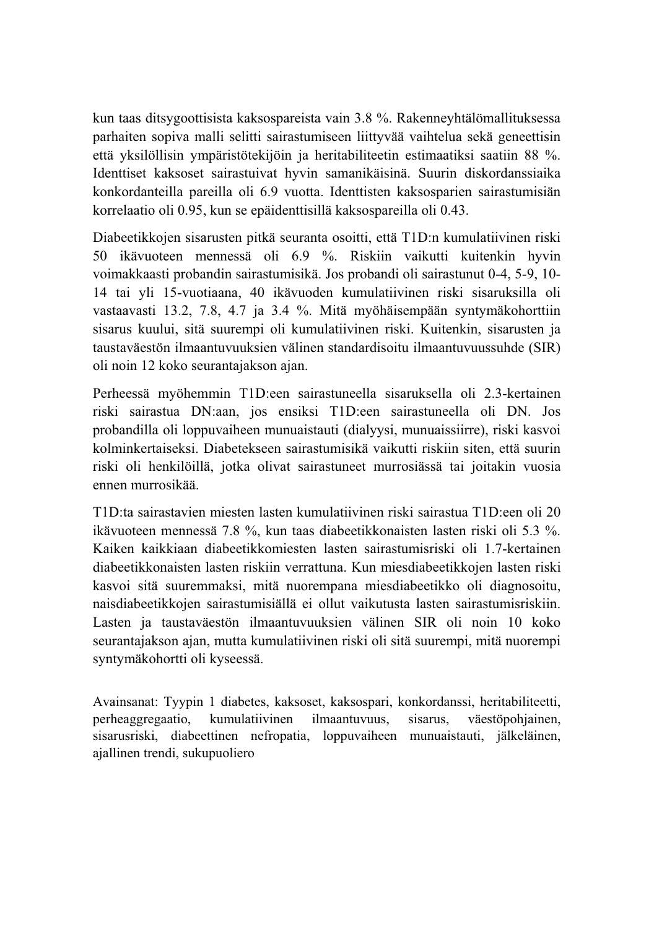kun taas ditsygoottisista kaksospareista vain 3.8 %. Rakenneyhtälömallituksessa parhaiten sopiva malli selitti sairastumiseen liittyvää vaihtelua sekä geneettisin että yksilöllisin ympäristötekijöin ja heritabiliteetin estimaatiksi saatiin 88 %. Identtiset kaksoset sairastuivat hyvin samanikäisinä. Suurin diskordanssiaika konkordanteilla pareilla oli 6.9 vuotta. Identtisten kaksosparien sairastumisiän korrelaatio oli 0.95, kun se epäidenttisillä kaksospareilla oli 0.43.

Diabeetikkojen sisarusten pitkä seuranta osoitti, että T1D:n kumulatiivinen riski 50 ikävuoteen mennessä oli 6.9 %. Riskiin vaikutti kuitenkin hyvin voimakkaasti probandin sairastumisikä. Jos probandi oli sairastunut 0-4, 5-9, 10- 14 tai yli 15-vuotiaana, 40 ikävuoden kumulatiivinen riski sisaruksilla oli vastaavasti 13.2, 7.8, 4.7 ja 3.4 %. Mitä myöhäisempään syntymäkohorttiin sisarus kuului, sitä suurempi oli kumulatiivinen riski. Kuitenkin, sisarusten ja taustaväestön ilmaantuvuuksien välinen standardisoitu ilmaantuvuussuhde (SIR) oli noin 12 koko seurantajakson ajan.

Perheessä myöhemmin T1D:een sairastuneella sisaruksella oli 2.3-kertainen riski sairastua DN:aan, jos ensiksi T1D:een sairastuneella oli DN. Jos probandilla oli loppuvaiheen munuaistauti (dialyysi, munuaissiirre), riski kasvoi kolminkertaiseksi. Diabetekseen sairastumisikä vaikutti riskiin siten, että suurin riski oli henkilöillä, jotka olivat sairastuneet murrosiässä tai joitakin vuosia ennen murrosikää.

T1D:ta sairastavien miesten lasten kumulatiivinen riski sairastua T1D:een oli 20 ikävuoteen mennessä 7.8 %, kun taas diabeetikkonaisten lasten riski oli 5.3 %. Kaiken kaikkiaan diabeetikkomiesten lasten sairastumisriski oli 1.7-kertainen diabeetikkonaisten lasten riskiin verrattuna. Kun miesdiabeetikkojen lasten riski kasvoi sitä suuremmaksi, mitä nuorempana miesdiabeetikko oli diagnosoitu, naisdiabeetikkojen sairastumisiällä ei ollut vaikutusta lasten sairastumisriskiin. Lasten ja taustaväestön ilmaantuvuuksien välinen SIR oli noin 10 koko seurantajakson ajan, mutta kumulatiivinen riski oli sitä suurempi, mitä nuorempi syntymäkohortti oli kyseessä.

Avainsanat: Tyypin 1 diabetes, kaksoset, kaksospari, konkordanssi, heritabiliteetti, perheaggregaatio, kumulatiivinen ilmaantuvuus, sisarus, väestöpohjainen, sisarusriski, diabeettinen nefropatia, loppuvaiheen munuaistauti, jälkeläinen, ajallinen trendi, sukupuoliero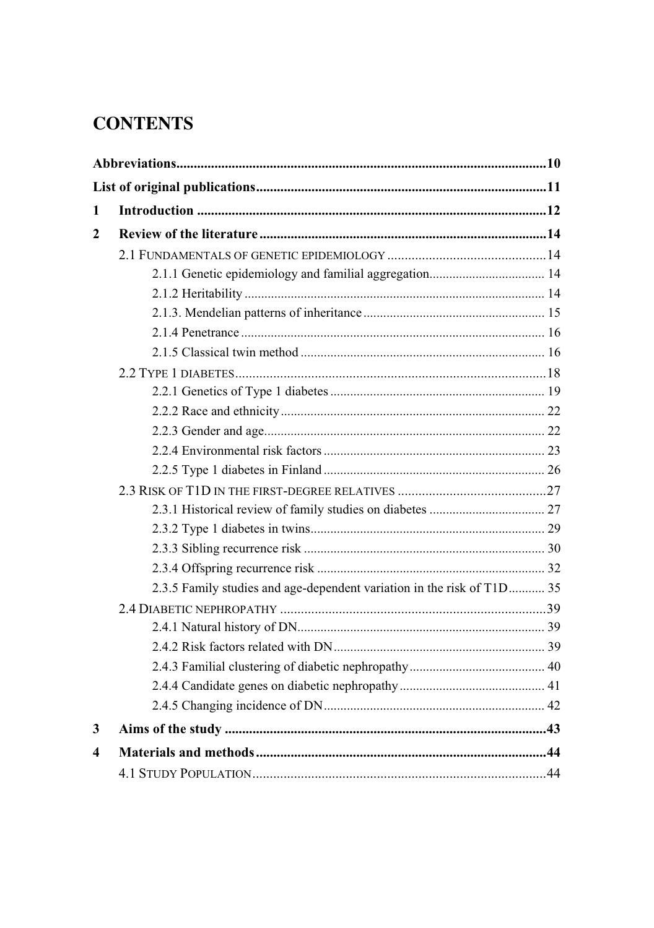# **CONTENTS**

| 1 |                                                                        |  |
|---|------------------------------------------------------------------------|--|
| 2 |                                                                        |  |
|   |                                                                        |  |
|   |                                                                        |  |
|   |                                                                        |  |
|   |                                                                        |  |
|   |                                                                        |  |
|   |                                                                        |  |
|   |                                                                        |  |
|   |                                                                        |  |
|   |                                                                        |  |
|   |                                                                        |  |
|   |                                                                        |  |
|   |                                                                        |  |
|   |                                                                        |  |
|   |                                                                        |  |
|   |                                                                        |  |
|   |                                                                        |  |
|   |                                                                        |  |
|   | 2.3.5 Family studies and age-dependent variation in the risk of T1D 35 |  |
|   |                                                                        |  |
|   |                                                                        |  |
|   |                                                                        |  |
|   |                                                                        |  |
|   |                                                                        |  |
|   |                                                                        |  |
| 3 |                                                                        |  |
| 4 |                                                                        |  |
|   |                                                                        |  |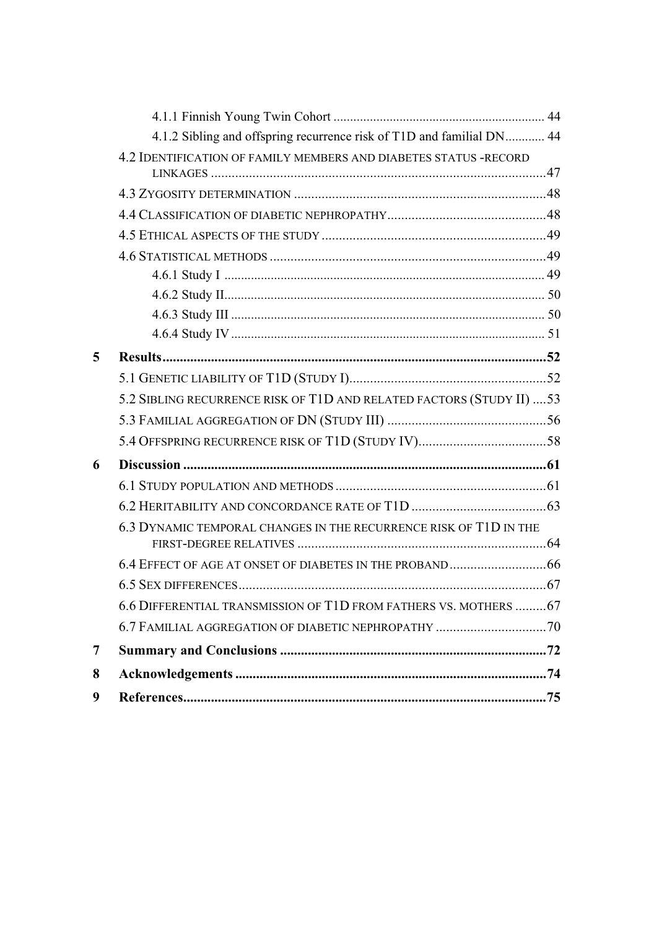|   | 4.1.2 Sibling and offspring recurrence risk of T1D and familial DN 44 |  |
|---|-----------------------------------------------------------------------|--|
|   | 4.2 IDENTIFICATION OF FAMILY MEMBERS AND DIABETES STATUS -RECORD      |  |
|   |                                                                       |  |
|   |                                                                       |  |
|   |                                                                       |  |
|   |                                                                       |  |
|   |                                                                       |  |
|   |                                                                       |  |
|   |                                                                       |  |
|   |                                                                       |  |
|   |                                                                       |  |
| 5 |                                                                       |  |
|   |                                                                       |  |
|   | 5.2 SIBLING RECURRENCE RISK OF T1D AND RELATED FACTORS (STUDY II)  53 |  |
|   |                                                                       |  |
|   |                                                                       |  |
| 6 |                                                                       |  |
|   |                                                                       |  |
|   |                                                                       |  |
|   | 6.3 DYNAMIC TEMPORAL CHANGES IN THE RECURRENCE RISK OF T1D IN THE     |  |
|   |                                                                       |  |
|   |                                                                       |  |
|   |                                                                       |  |
|   | 6.6 DIFFERENTIAL TRANSMISSION OF T1D FROM FATHERS VS. MOTHERS  67     |  |
|   |                                                                       |  |
| 7 |                                                                       |  |
| 8 |                                                                       |  |
| 9 |                                                                       |  |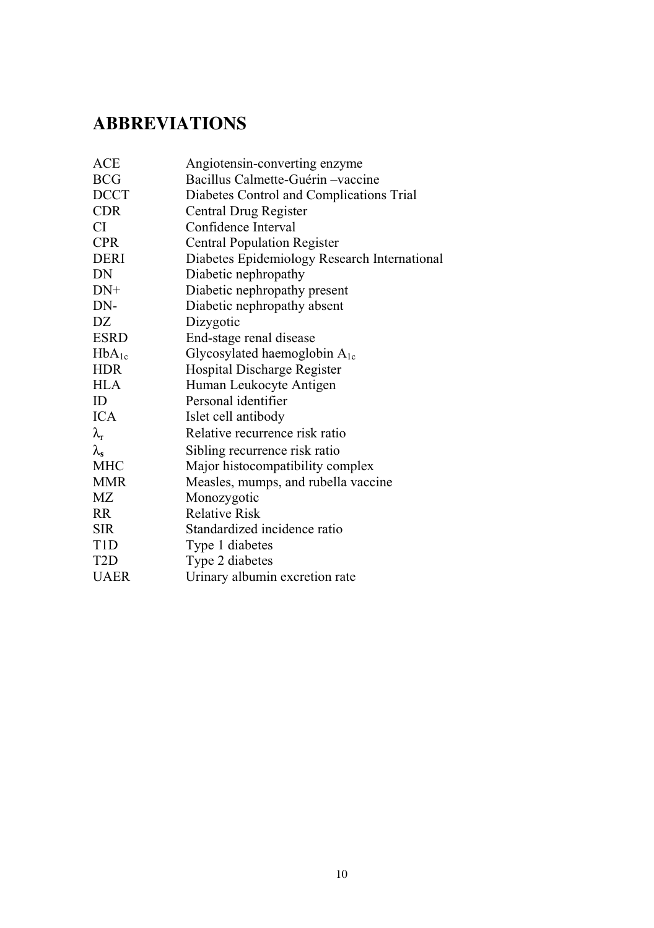## **ABBREVIATIONS**

| Angiotensin-converting enzyme                |
|----------------------------------------------|
| Bacillus Calmette-Guérin –vaccine            |
| Diabetes Control and Complications Trial     |
| Central Drug Register                        |
| Confidence Interval                          |
| <b>Central Population Register</b>           |
| Diabetes Epidemiology Research International |
| Diabetic nephropathy                         |
| Diabetic nephropathy present                 |
| Diabetic nephropathy absent                  |
| Dizygotic                                    |
| End-stage renal disease                      |
| Glycosylated haemoglobin $A_{1c}$            |
| Hospital Discharge Register                  |
| Human Leukocyte Antigen                      |
| Personal identifier                          |
| Islet cell antibody                          |
| Relative recurrence risk ratio               |
| Sibling recurrence risk ratio                |
| Major histocompatibility complex             |
| Measles, mumps, and rubella vaccine          |
| Monozygotic                                  |
| <b>Relative Risk</b>                         |
| Standardized incidence ratio                 |
| Type 1 diabetes                              |
| Type 2 diabetes                              |
| Urinary albumin excretion rate               |
|                                              |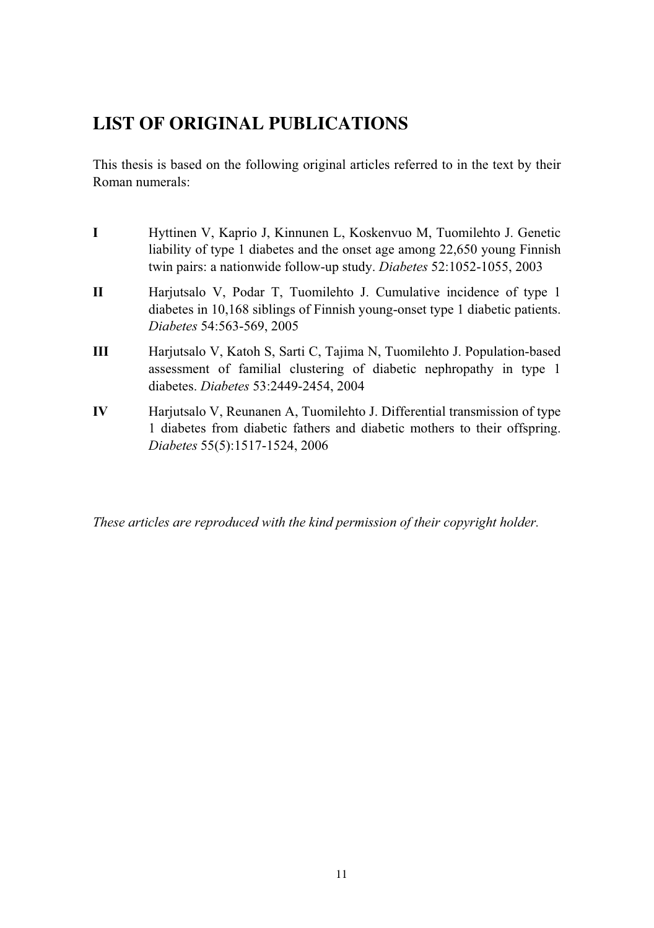### **LIST OF ORIGINAL PUBLICATIONS**

diabetes. *Diabetes* 53:2449-2454, 2004

This thesis is based on the following original articles referred to in the text by their Roman numerals:

- **I** Hyttinen V, Kaprio J, Kinnunen L, Koskenvuo M, Tuomilehto J. Genetic liability of type 1 diabetes and the onset age among 22,650 young Finnish twin pairs: a nationwide follow-up study. *Diabetes* 52:1052-1055, 2003 **II** Harjutsalo V, Podar T, Tuomilehto J, Cumulative incidence of type 1 diabetes in 10,168 siblings of Finnish young-onset type 1 diabetic patients. *Diabetes* 54:563-569, 2005 **III** Harjutsalo V, Katoh S, Sarti C, Tajima N, Tuomilehto J. Population-based assessment of familial clustering of diabetic nephropathy in type 1
- **IV** Harjutsalo V, Reunanen A, Tuomilehto J. Differential transmission of type 1 diabetes from diabetic fathers and diabetic mothers to their offspring. *Diabetes* 55(5):1517-1524, 2006

*These articles are reproduced with the kind permission of their copyright holder.*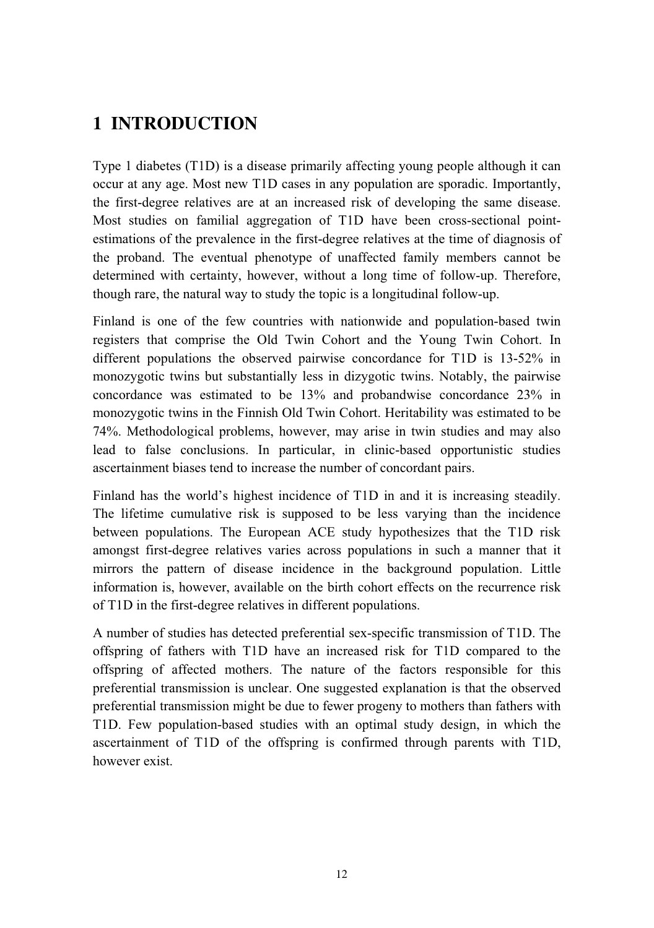## **1 INTRODUCTION**

Type 1 diabetes (T1D) is a disease primarily affecting young people although it can occur at any age. Most new T1D cases in any population are sporadic. Importantly, the first-degree relatives are at an increased risk of developing the same disease. Most studies on familial aggregation of T1D have been cross-sectional pointestimations of the prevalence in the first-degree relatives at the time of diagnosis of the proband. The eventual phenotype of unaffected family members cannot be determined with certainty, however, without a long time of follow-up. Therefore, though rare, the natural way to study the topic is a longitudinal follow-up.

Finland is one of the few countries with nationwide and population-based twin registers that comprise the Old Twin Cohort and the Young Twin Cohort. In different populations the observed pairwise concordance for T1D is 13-52% in monozygotic twins but substantially less in dizygotic twins. Notably, the pairwise concordance was estimated to be 13% and probandwise concordance 23% in monozygotic twins in the Finnish Old Twin Cohort. Heritability was estimated to be 74%. Methodological problems, however, may arise in twin studies and may also lead to false conclusions. In particular, in clinic-based opportunistic studies ascertainment biases tend to increase the number of concordant pairs.

Finland has the world's highest incidence of T1D in and it is increasing steadily. The lifetime cumulative risk is supposed to be less varying than the incidence between populations. The European ACE study hypothesizes that the T1D risk amongst first-degree relatives varies across populations in such a manner that it mirrors the pattern of disease incidence in the background population. Little information is, however, available on the birth cohort effects on the recurrence risk of T1D in the first-degree relatives in different populations.

A number of studies has detected preferential sex-specific transmission of T1D. The offspring of fathers with T1D have an increased risk for T1D compared to the offspring of affected mothers. The nature of the factors responsible for this preferential transmission is unclear. One suggested explanation is that the observed preferential transmission might be due to fewer progeny to mothers than fathers with T1D. Few population-based studies with an optimal study design, in which the ascertainment of T1D of the offspring is confirmed through parents with T1D, however exist.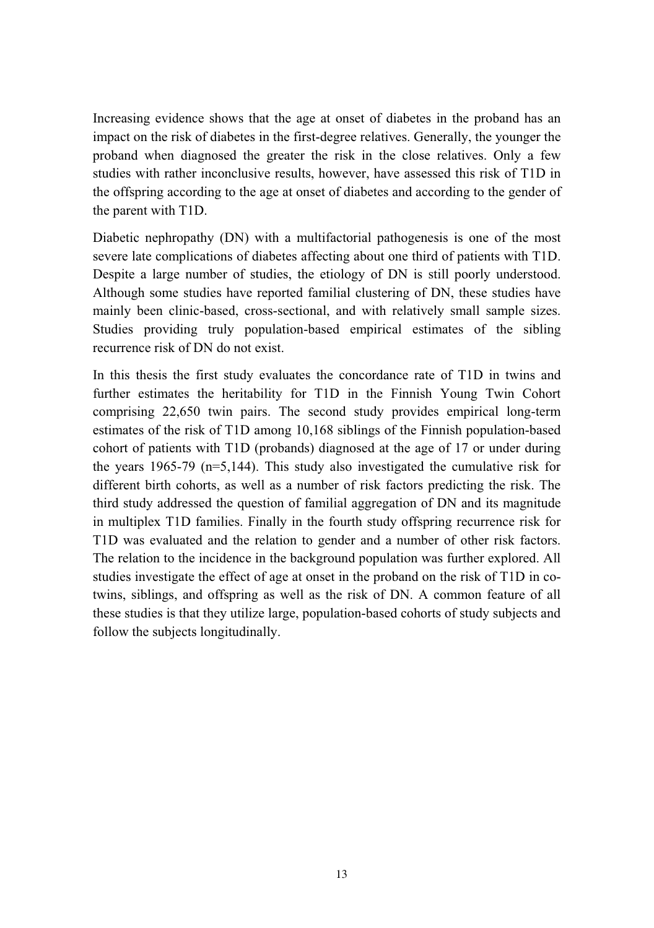Increasing evidence shows that the age at onset of diabetes in the proband has an impact on the risk of diabetes in the first-degree relatives. Generally, the younger the proband when diagnosed the greater the risk in the close relatives. Only a few studies with rather inconclusive results, however, have assessed this risk of T1D in the offspring according to the age at onset of diabetes and according to the gender of the parent with T1D.

Diabetic nephropathy (DN) with a multifactorial pathogenesis is one of the most severe late complications of diabetes affecting about one third of patients with T1D. Despite a large number of studies, the etiology of DN is still poorly understood. Although some studies have reported familial clustering of DN, these studies have mainly been clinic-based, cross-sectional, and with relatively small sample sizes. Studies providing truly population-based empirical estimates of the sibling recurrence risk of DN do not exist.

In this thesis the first study evaluates the concordance rate of T1D in twins and further estimates the heritability for T1D in the Finnish Young Twin Cohort comprising 22,650 twin pairs. The second study provides empirical long-term estimates of the risk of T1D among 10,168 siblings of the Finnish population-based cohort of patients with T1D (probands) diagnosed at the age of 17 or under during the years 1965-79 ( $n=5,144$ ). This study also investigated the cumulative risk for different birth cohorts, as well as a number of risk factors predicting the risk. The third study addressed the question of familial aggregation of DN and its magnitude in multiplex T1D families. Finally in the fourth study offspring recurrence risk for T1D was evaluated and the relation to gender and a number of other risk factors. The relation to the incidence in the background population was further explored. All studies investigate the effect of age at onset in the proband on the risk of T1D in cotwins, siblings, and offspring as well as the risk of DN. A common feature of all these studies is that they utilize large, population-based cohorts of study subjects and follow the subjects longitudinally.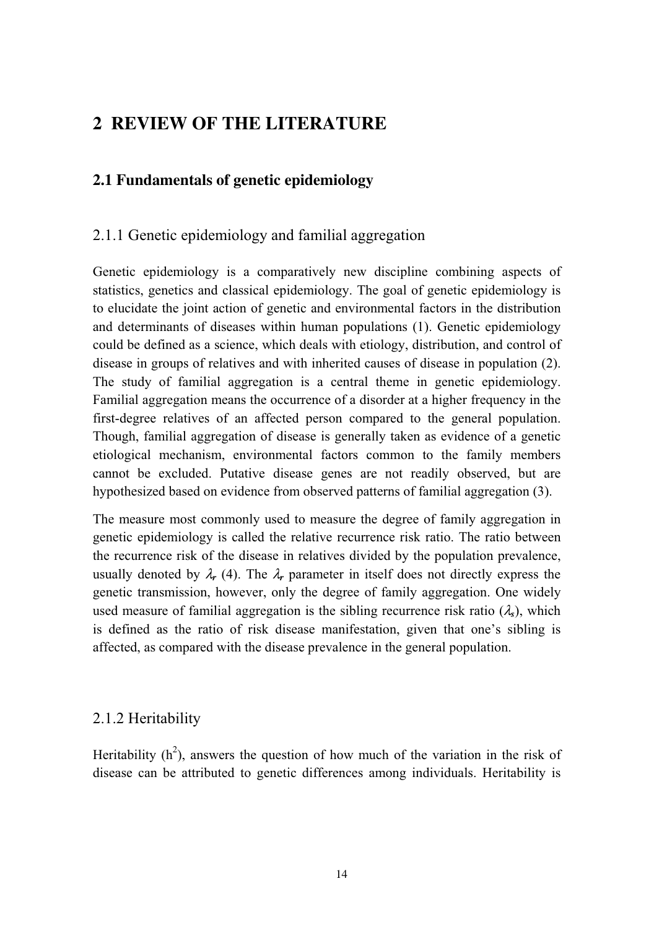### **2 REVIEW OF THE LITERATURE**

#### **2.1 Fundamentals of genetic epidemiology**

#### 2.1.1 Genetic epidemiology and familial aggregation

Genetic epidemiology is a comparatively new discipline combining aspects of statistics, genetics and classical epidemiology. The goal of genetic epidemiology is to elucidate the joint action of genetic and environmental factors in the distribution and determinants of diseases within human populations (1). Genetic epidemiology could be defined as a science, which deals with etiology, distribution, and control of disease in groups of relatives and with inherited causes of disease in population (2). The study of familial aggregation is a central theme in genetic epidemiology. Familial aggregation means the occurrence of a disorder at a higher frequency in the first-degree relatives of an affected person compared to the general population. Though, familial aggregation of disease is generally taken as evidence of a genetic etiological mechanism, environmental factors common to the family members cannot be excluded. Putative disease genes are not readily observed, but are hypothesized based on evidence from observed patterns of familial aggregation (3).

The measure most commonly used to measure the degree of family aggregation in genetic epidemiology is called the relative recurrence risk ratio. The ratio between the recurrence risk of the disease in relatives divided by the population prevalence, usually denoted by  $\lambda_r$  (4). The  $\lambda_r$  parameter in itself does not directly express the genetic transmission, however, only the degree of family aggregation. One widely used measure of familial aggregation is the sibling recurrence risk ratio  $(\lambda_s)$ , which is defined as the ratio of risk disease manifestation, given that one's sibling is affected, as compared with the disease prevalence in the general population.

#### 2.1.2 Heritability

Heritability  $(h^2)$ , answers the question of how much of the variation in the risk of disease can be attributed to genetic differences among individuals. Heritability is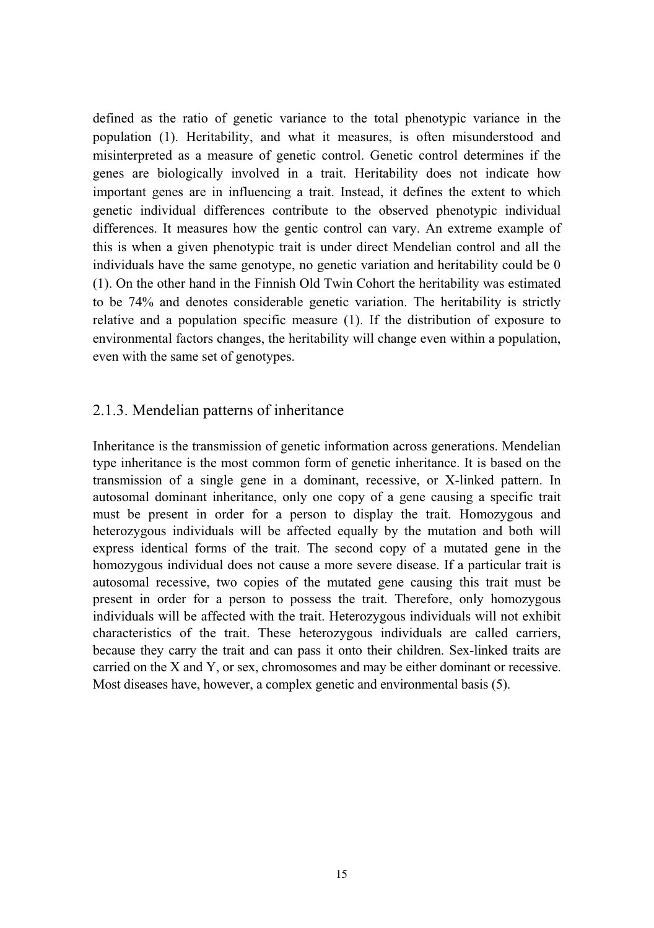defined as the ratio of genetic variance to the total phenotypic variance in the population (1). Heritability, and what it measures, is often misunderstood and misinterpreted as a measure of genetic control. Genetic control determines if the genes are biologically involved in a trait. Heritability does not indicate how important genes are in influencing a trait. Instead, it defines the extent to which genetic individual differences contribute to the observed phenotypic individual differences. It measures how the gentic control can vary. An extreme example of this is when a given phenotypic trait is under direct Mendelian control and all the individuals have the same genotype, no genetic variation and heritability could be 0 (1). On the other hand in the Finnish Old Twin Cohort the heritability was estimated to be 74% and denotes considerable genetic variation. The heritability is strictly relative and a population specific measure (1). If the distribution of exposure to environmental factors changes, the heritability will change even within a population, even with the same set of genotypes.

#### 2.1.3. Mendelian patterns of inheritance

Inheritance is the transmission of genetic information across generations. Mendelian type inheritance is the most common form of genetic inheritance. It is based on the transmission of a single gene in a dominant, recessive, or X-linked pattern. In autosomal dominant inheritance, only one copy of a gene causing a specific trait must be present in order for a person to display the trait. Homozygous and heterozygous individuals will be affected equally by the mutation and both will express identical forms of the trait. The second copy of a mutated gene in the homozygous individual does not cause a more severe disease. If a particular trait is autosomal recessive, two copies of the mutated gene causing this trait must be present in order for a person to possess the trait. Therefore, only homozygous individuals will be affected with the trait. Heterozygous individuals will not exhibit characteristics of the trait. These heterozygous individuals are called carriers, because they carry the trait and can pass it onto their children. Sex-linked traits are carried on the X and Y, or sex, chromosomes and may be either dominant or recessive. Most diseases have, however, a complex genetic and environmental basis (5).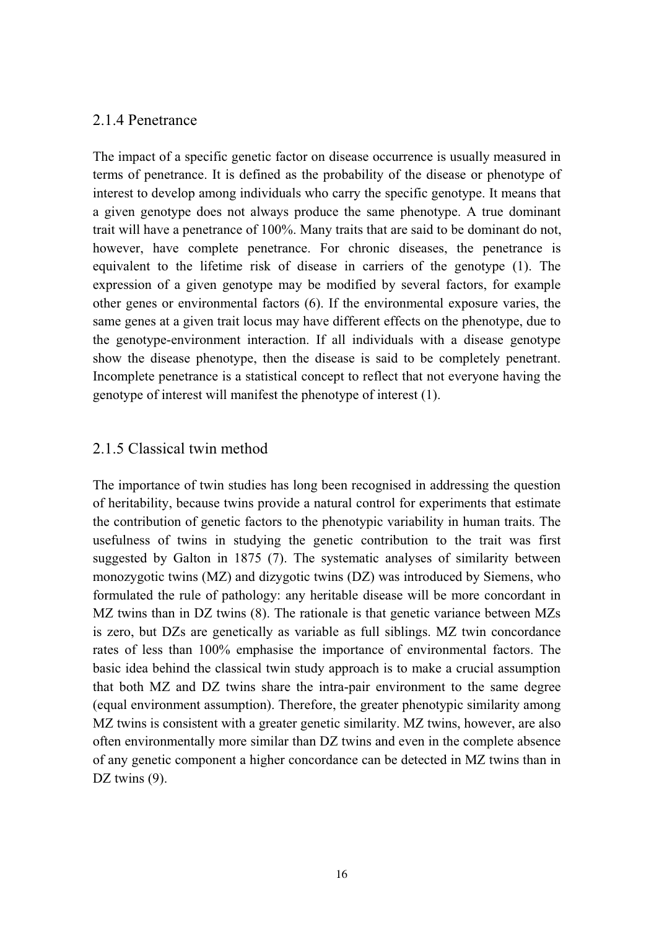#### 2.1.4 Penetrance

The impact of a specific genetic factor on disease occurrence is usually measured in terms of penetrance. It is defined as the probability of the disease or phenotype of interest to develop among individuals who carry the specific genotype. It means that a given genotype does not always produce the same phenotype. A true dominant trait will have a penetrance of 100%. Many traits that are said to be dominant do not, however, have complete penetrance. For chronic diseases, the penetrance is equivalent to the lifetime risk of disease in carriers of the genotype (1). The expression of a given genotype may be modified by several factors, for example other genes or environmental factors (6). If the environmental exposure varies, the same genes at a given trait locus may have different effects on the phenotype, due to the genotype-environment interaction. If all individuals with a disease genotype show the disease phenotype, then the disease is said to be completely penetrant. Incomplete penetrance is a statistical concept to reflect that not everyone having the genotype of interest will manifest the phenotype of interest (1).

#### 2.1.5 Classical twin method

The importance of twin studies has long been recognised in addressing the question of heritability, because twins provide a natural control for experiments that estimate the contribution of genetic factors to the phenotypic variability in human traits. The usefulness of twins in studying the genetic contribution to the trait was first suggested by Galton in 1875 (7). The systematic analyses of similarity between monozygotic twins (MZ) and dizygotic twins (DZ) was introduced by Siemens, who formulated the rule of pathology: any heritable disease will be more concordant in MZ twins than in DZ twins (8). The rationale is that genetic variance between MZs is zero, but DZs are genetically as variable as full siblings. MZ twin concordance rates of less than 100% emphasise the importance of environmental factors. The basic idea behind the classical twin study approach is to make a crucial assumption that both MZ and DZ twins share the intra-pair environment to the same degree (equal environment assumption). Therefore, the greater phenotypic similarity among MZ twins is consistent with a greater genetic similarity. MZ twins, however, are also often environmentally more similar than DZ twins and even in the complete absence of any genetic component a higher concordance can be detected in MZ twins than in DZ twins  $(9)$ .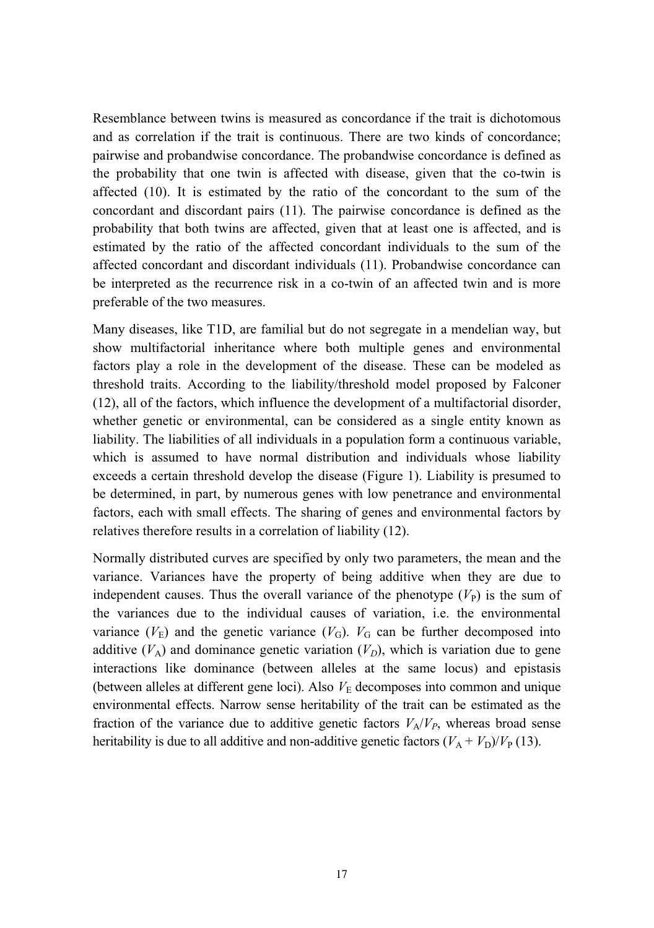Resemblance between twins is measured as concordance if the trait is dichotomous and as correlation if the trait is continuous. There are two kinds of concordance; pairwise and probandwise concordance. The probandwise concordance is defined as the probability that one twin is affected with disease, given that the co-twin is affected (10). It is estimated by the ratio of the concordant to the sum of the concordant and discordant pairs (11). The pairwise concordance is defined as the probability that both twins are affected, given that at least one is affected, and is estimated by the ratio of the affected concordant individuals to the sum of the affected concordant and discordant individuals (11). Probandwise concordance can be interpreted as the recurrence risk in a co-twin of an affected twin and is more preferable of the two measures.

Many diseases, like T1D, are familial but do not segregate in a mendelian way, but show multifactorial inheritance where both multiple genes and environmental factors play a role in the development of the disease. These can be modeled as threshold traits. According to the liability/threshold model proposed by Falconer (12), all of the factors, which influence the development of a multifactorial disorder, whether genetic or environmental, can be considered as a single entity known as liability. The liabilities of all individuals in a population form a continuous variable, which is assumed to have normal distribution and individuals whose liability exceeds a certain threshold develop the disease (Figure 1). Liability is presumed to be determined, in part, by numerous genes with low penetrance and environmental factors, each with small effects. The sharing of genes and environmental factors by relatives therefore results in a correlation of liability (12).

Normally distributed curves are specified by only two parameters, the mean and the variance. Variances have the property of being additive when they are due to independent causes. Thus the overall variance of the phenotype  $(V_P)$  is the sum of the variances due to the individual causes of variation, i.e. the environmental variance  $(V_E)$  and the genetic variance  $(V_G)$ .  $V_G$  can be further decomposed into additive  $(V_A)$  and dominance genetic variation  $(V_D)$ , which is variation due to gene interactions like dominance (between alleles at the same locus) and epistasis (between alleles at different gene loci). Also  $V<sub>E</sub>$  decomposes into common and unique environmental effects. Narrow sense heritability of the trait can be estimated as the fraction of the variance due to additive genetic factors  $V_A/V_P$ , whereas broad sense heritability is due to all additive and non-additive genetic factors  $(V_A + V_D)/V_P$  (13).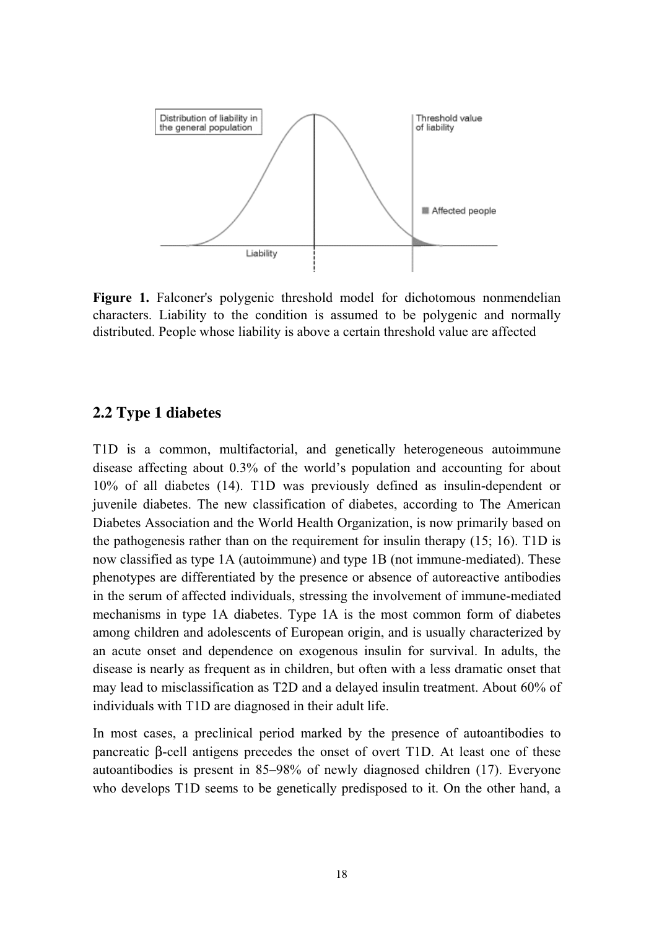

**Figure 1.** Falconer's polygenic threshold model for dichotomous nonmendelian characters. Liability to the condition is assumed to be polygenic and normally distributed. People whose liability is above a certain threshold value are affected

#### **2.2 Type 1 diabetes**

T1D is a common, multifactorial, and genetically heterogeneous autoimmune disease affecting about 0.3% of the world's population and accounting for about 10% of all diabetes (14). T1D was previously defined as insulin-dependent or juvenile diabetes. The new classification of diabetes, according to The American Diabetes Association and the World Health Organization, is now primarily based on the pathogenesis rather than on the requirement for insulin therapy (15; 16). T1D is now classified as type 1A (autoimmune) and type 1B (not immune-mediated). These phenotypes are differentiated by the presence or absence of autoreactive antibodies in the serum of affected individuals, stressing the involvement of immune-mediated mechanisms in type 1A diabetes. Type 1A is the most common form of diabetes among children and adolescents of European origin, and is usually characterized by an acute onset and dependence on exogenous insulin for survival. In adults, the disease is nearly as frequent as in children, but often with a less dramatic onset that may lead to misclassification as T2D and a delayed insulin treatment. About 60% of individuals with T1D are diagnosed in their adult life.

In most cases, a preclinical period marked by the presence of autoantibodies to pancreatic β-cell antigens precedes the onset of overt T1D. At least one of these autoantibodies is present in 85–98% of newly diagnosed children (17). Everyone who develops T1D seems to be genetically predisposed to it. On the other hand, a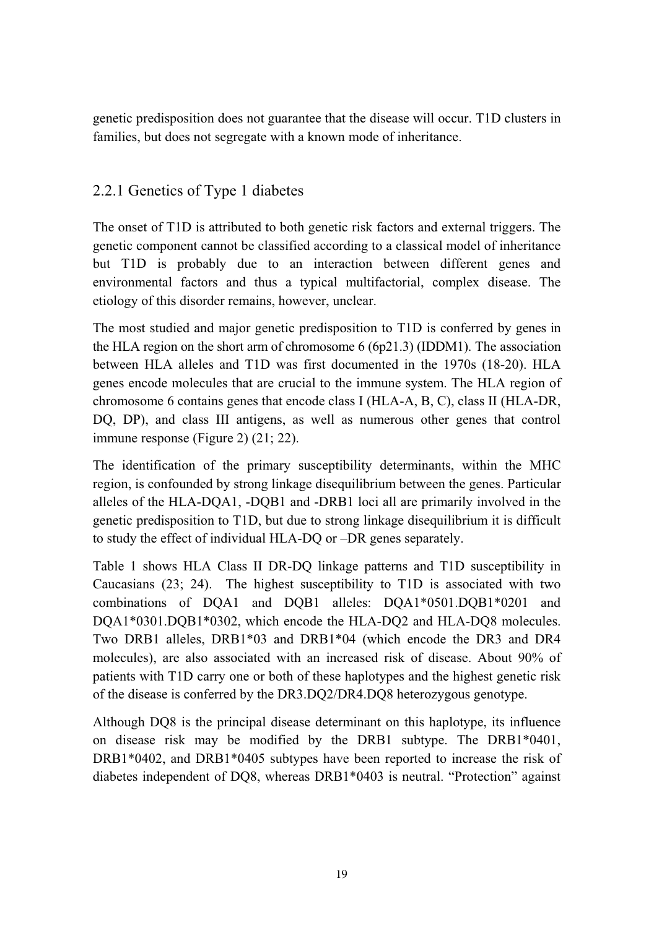genetic predisposition does not guarantee that the disease will occur. T1D clusters in families, but does not segregate with a known mode of inheritance.

### 2.2.1 Genetics of Type 1 diabetes

The onset of T1D is attributed to both genetic risk factors and external triggers. The genetic component cannot be classified according to a classical model of inheritance but T1D is probably due to an interaction between different genes and environmental factors and thus a typical multifactorial, complex disease. The etiology of this disorder remains, however, unclear.

The most studied and major genetic predisposition to T1D is conferred by genes in the HLA region on the short arm of chromosome 6 (6p21.3) (IDDM1). The association between HLA alleles and T1D was first documented in the 1970s (18-20). HLA genes encode molecules that are crucial to the immune system. The HLA region of chromosome 6 contains genes that encode class I (HLA-A, B, C), class II (HLA-DR, DQ, DP), and class III antigens, as well as numerous other genes that control immune response (Figure 2) (21; 22).

The identification of the primary susceptibility determinants, within the MHC region, is confounded by strong linkage disequilibrium between the genes. Particular alleles of the HLA-DQA1, -DQB1 and -DRB1 loci all are primarily involved in the genetic predisposition to T1D, but due to strong linkage disequilibrium it is difficult to study the effect of individual HLA-DQ or –DR genes separately.

Table 1 shows HLA Class II DR-DQ linkage patterns and T1D susceptibility in Caucasians (23; 24). The highest susceptibility to T1D is associated with two combinations of DQA1 and DQB1 alleles: DQA1\*0501.DQB1\*0201 and DQA1\*0301.DQB1\*0302, which encode the HLA-DQ2 and HLA-DQ8 molecules. Two DRB1 alleles, DRB1\*03 and DRB1\*04 (which encode the DR3 and DR4 molecules), are also associated with an increased risk of disease. About 90% of patients with T1D carry one or both of these haplotypes and the highest genetic risk of the disease is conferred by the DR3.DQ2/DR4.DQ8 heterozygous genotype.

Although DQ8 is the principal disease determinant on this haplotype, its influence on disease risk may be modified by the DRB1 subtype. The DRB1\*0401, DRB1\*0402, and DRB1\*0405 subtypes have been reported to increase the risk of diabetes independent of DQ8, whereas DRB1\*0403 is neutral. "Protection" against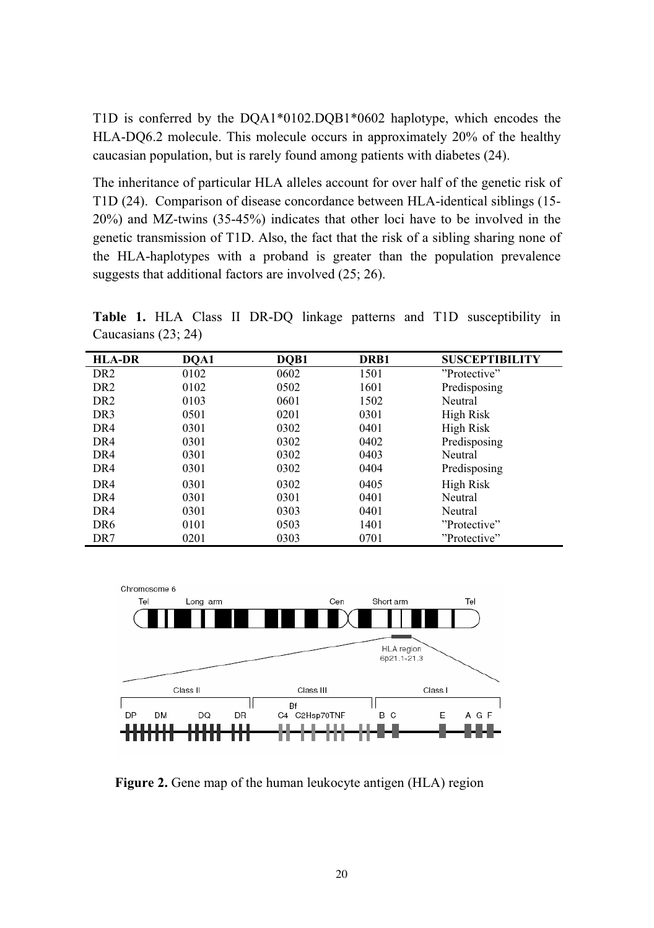T1D is conferred by the DQA1\*0102.DQB1\*0602 haplotype, which encodes the HLA-DQ6.2 molecule. This molecule occurs in approximately 20% of the healthy caucasian population, but is rarely found among patients with diabetes (24).

The inheritance of particular HLA alleles account for over half of the genetic risk of T1D (24). Comparison of disease concordance between HLA-identical siblings (15- 20%) and MZ-twins (35-45%) indicates that other loci have to be involved in the genetic transmission of T1D. Also, the fact that the risk of a sibling sharing none of the HLA-haplotypes with a proband is greater than the population prevalence suggests that additional factors are involved (25; 26).

**Table 1.** HLA Class II DR-DQ linkage patterns and T1D susceptibility in Caucasians (23; 24)

| <b>HLA-DR</b>    | DOA1 | DOB1 | DRB1 | <b>SUSCEPTIBILITY</b> |
|------------------|------|------|------|-----------------------|
| DR <sub>2</sub>  | 0102 | 0602 | 1501 | "Protective"          |
| D <sub>R</sub> 2 | 0102 | 0502 | 1601 | Predisposing          |
| DR <sub>2</sub>  | 0103 | 0601 | 1502 | Neutral               |
| DR <sub>3</sub>  | 0501 | 0201 | 0301 | High Risk             |
| DR4              | 0301 | 0302 | 0401 | High Risk             |
| DR4              | 0301 | 0302 | 0402 | Predisposing          |
| DR4              | 0301 | 0302 | 0403 | Neutral               |
| DR4              | 0301 | 0302 | 0404 | Predisposing          |
| DR4              | 0301 | 0302 | 0405 | High Risk             |
| DR <sub>4</sub>  | 0301 | 0301 | 0401 | Neutral               |
| DR <sub>4</sub>  | 0301 | 0303 | 0401 | Neutral               |
| DR <sub>6</sub>  | 0101 | 0503 | 1401 | "Protective"          |
| DR7              | 0201 | 0303 | 0701 | "Protective"          |



**Figure 2.** Gene map of the human leukocyte antigen (HLA) region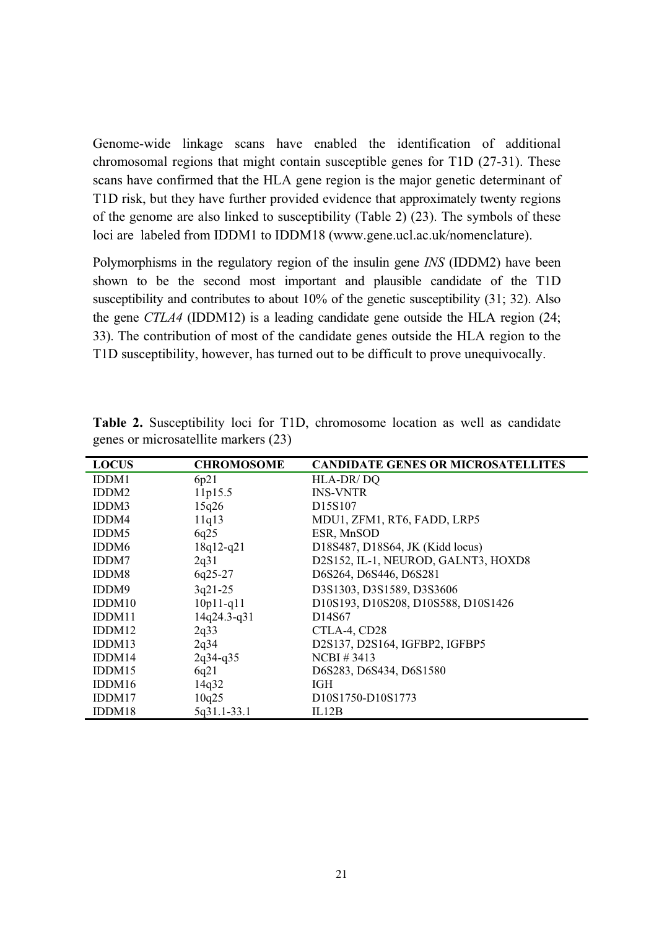Genome-wide linkage scans have enabled the identification of additional chromosomal regions that might contain susceptible genes for T1D (27-31). These scans have confirmed that the HLA gene region is the major genetic determinant of T1D risk, but they have further provided evidence that approximately twenty regions of the genome are also linked to susceptibility (Table 2) (23). The symbols of these loci are labeled from IDDM1 to IDDM18 (www.gene.ucl.ac.uk/nomenclature).

Polymorphisms in the regulatory region of the insulin gene *INS* (IDDM2) have been shown to be the second most important and plausible candidate of the T1D susceptibility and contributes to about 10% of the genetic susceptibility (31; 32). Also the gene *CTLA4* (IDDM12) is a leading candidate gene outside the HLA region (24; 33). The contribution of most of the candidate genes outside the HLA region to the T1D susceptibility, however, has turned out to be difficult to prove unequivocally.

| <b>LOCUS</b>      | <b>CHROMOSOME</b> | <b>CANDIDATE GENES OR MICROSATELLITES</b>                            |
|-------------------|-------------------|----------------------------------------------------------------------|
| IDDM1             | 6p21              | HLA-DR/DO                                                            |
| IDDM <sub>2</sub> | 11p15.5           | <b>INS-VNTR</b>                                                      |
| IDDM3             | 15q26             | D <sub>15</sub> S <sub>107</sub>                                     |
| IDDM4             | 11q13             | MDU1, ZFM1, RT6, FADD, LRP5                                          |
| IDDM <sub>5</sub> | 6q25              | ESR, MnSOD                                                           |
| IDDM <sub>6</sub> | $18q12-q21$       | D18S487, D18S64, JK (Kidd locus)                                     |
| IDDM7             | 2q31              | D2S152, IL-1, NEUROD, GALNT3, HOXD8                                  |
| IDDM8             | $6q25-27$         | D6S264, D6S446, D6S281                                               |
| IDDM9             | $3q21-25$         | D3S1303, D3S1589, D3S3606                                            |
| IDDM10            | $10p11-q11$       | D10S193, D10S208, D10S588, D10S1426                                  |
| IDDM11            | 14q24.3-q31       | D <sub>14</sub> S <sub>67</sub>                                      |
| IDDM12            | 2q33              | CTLA-4, CD28                                                         |
| IDDM13            | 2q34              | D2S137, D2S164, IGFBP2, IGFBP5                                       |
| IDDM14            | $2q34-q35$        | $NCBI \# 3413$                                                       |
| IDDM15            | 6q21              | D6S283, D6S434, D6S1580                                              |
| IDDM16            | 14q32             | <b>IGH</b>                                                           |
| IDDM17            | 10q25             | D <sub>10</sub> S <sub>1750</sub> -D <sub>10</sub> S <sub>1773</sub> |
| IDDM18            | 5q31.1-33.1       | IL12B                                                                |

**Table 2.** Susceptibility loci for T1D, chromosome location as well as candidate genes or microsatellite markers (23)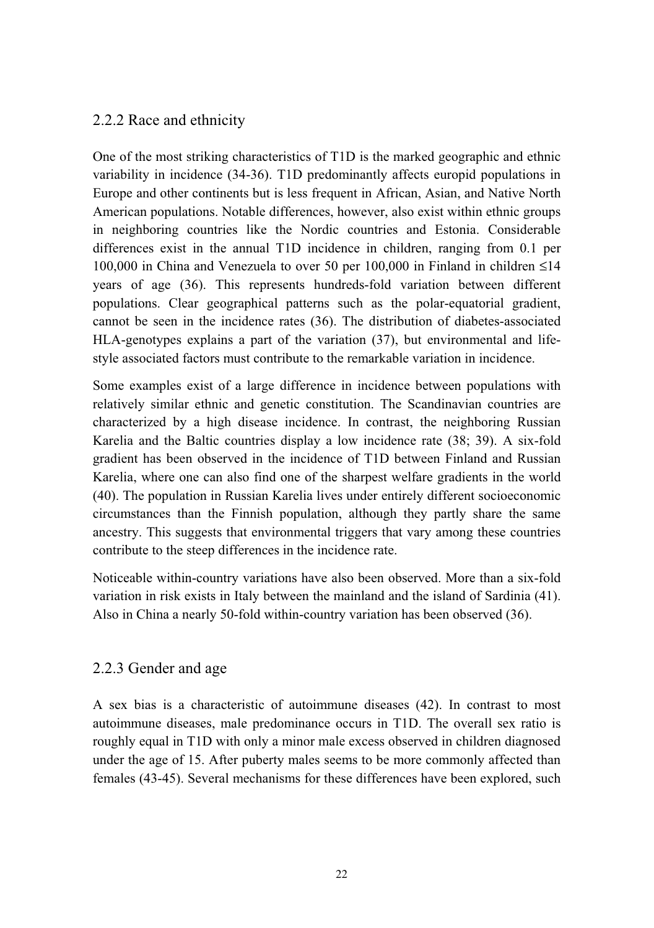#### 2.2.2 Race and ethnicity

One of the most striking characteristics of T1D is the marked geographic and ethnic variability in incidence (34-36). T1D predominantly affects europid populations in Europe and other continents but is less frequent in African, Asian, and Native North American populations. Notable differences, however, also exist within ethnic groups in neighboring countries like the Nordic countries and Estonia. Considerable differences exist in the annual T1D incidence in children, ranging from 0.1 per 100,000 in China and Venezuela to over 50 per 100,000 in Finland in children ≤14 years of age (36). This represents hundreds-fold variation between different populations. Clear geographical patterns such as the polar-equatorial gradient, cannot be seen in the incidence rates (36). The distribution of diabetes-associated HLA-genotypes explains a part of the variation (37), but environmental and lifestyle associated factors must contribute to the remarkable variation in incidence.

Some examples exist of a large difference in incidence between populations with relatively similar ethnic and genetic constitution. The Scandinavian countries are characterized by a high disease incidence. In contrast, the neighboring Russian Karelia and the Baltic countries display a low incidence rate (38; 39). A six-fold gradient has been observed in the incidence of T1D between Finland and Russian Karelia, where one can also find one of the sharpest welfare gradients in the world (40). The population in Russian Karelia lives under entirely different socioeconomic circumstances than the Finnish population, although they partly share the same ancestry. This suggests that environmental triggers that vary among these countries contribute to the steep differences in the incidence rate.

Noticeable within-country variations have also been observed. More than a six-fold variation in risk exists in Italy between the mainland and the island of Sardinia (41). Also in China a nearly 50-fold within-country variation has been observed (36).

#### 2.2.3 Gender and age

A sex bias is a characteristic of autoimmune diseases (42). In contrast to most autoimmune diseases, male predominance occurs in T1D. The overall sex ratio is roughly equal in T1D with only a minor male excess observed in children diagnosed under the age of 15. After puberty males seems to be more commonly affected than females (43-45). Several mechanisms for these differences have been explored, such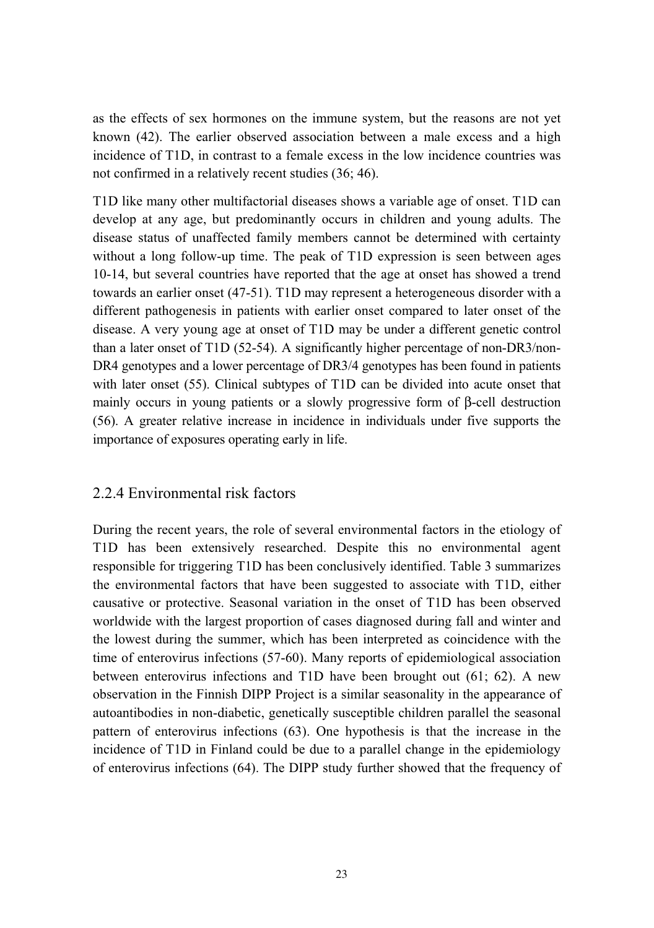as the effects of sex hormones on the immune system, but the reasons are not yet known (42). The earlier observed association between a male excess and a high incidence of T1D, in contrast to a female excess in the low incidence countries was not confirmed in a relatively recent studies (36; 46).

T1D like many other multifactorial diseases shows a variable age of onset. T1D can develop at any age, but predominantly occurs in children and young adults. The disease status of unaffected family members cannot be determined with certainty without a long follow-up time. The peak of T1D expression is seen between ages 10-14, but several countries have reported that the age at onset has showed a trend towards an earlier onset (47-51). T1D may represent a heterogeneous disorder with a different pathogenesis in patients with earlier onset compared to later onset of the disease. A very young age at onset of T1D may be under a different genetic control than a later onset of T1D (52-54). A significantly higher percentage of non-DR3/non-DR4 genotypes and a lower percentage of DR3/4 genotypes has been found in patients with later onset (55). Clinical subtypes of T1D can be divided into acute onset that mainly occurs in young patients or a slowly progressive form of β-cell destruction (56). A greater relative increase in incidence in individuals under five supports the importance of exposures operating early in life.

#### 2.2.4 Environmental risk factors

During the recent years, the role of several environmental factors in the etiology of T1D has been extensively researched. Despite this no environmental agent responsible for triggering T1D has been conclusively identified. Table 3 summarizes the environmental factors that have been suggested to associate with T1D, either causative or protective. Seasonal variation in the onset of T1D has been observed worldwide with the largest proportion of cases diagnosed during fall and winter and the lowest during the summer, which has been interpreted as coincidence with the time of enterovirus infections (57-60). Many reports of epidemiological association between enterovirus infections and T1D have been brought out (61; 62). A new observation in the Finnish DIPP Project is a similar seasonality in the appearance of autoantibodies in non-diabetic, genetically susceptible children parallel the seasonal pattern of enterovirus infections (63). One hypothesis is that the increase in the incidence of T1D in Finland could be due to a parallel change in the epidemiology of enterovirus infections (64). The DIPP study further showed that the frequency of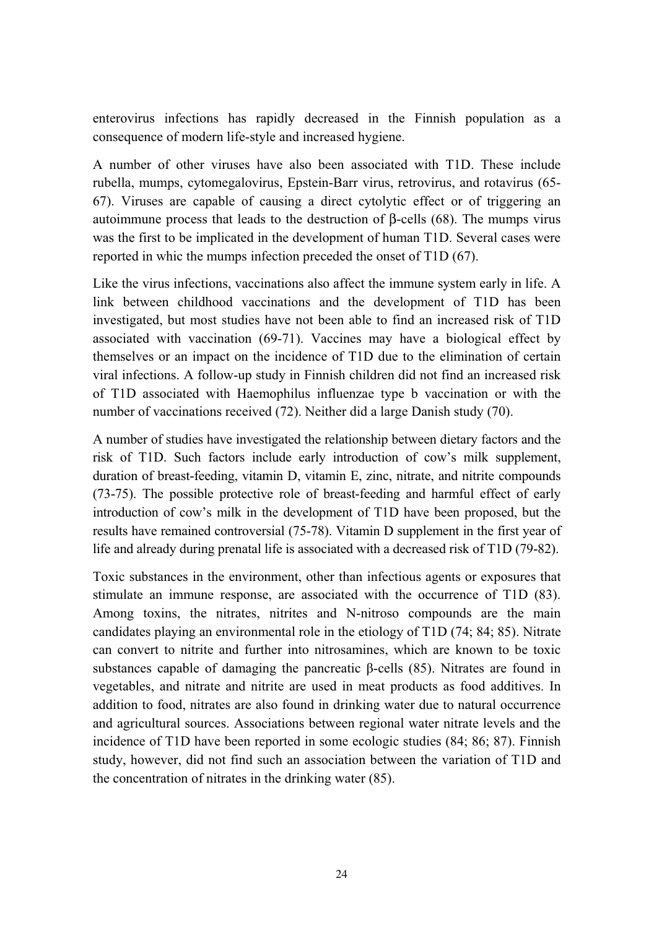enterovirus infections has rapidly decreased in the Finnish population as a consequence of modern life-style and increased hygiene.

A number of other viruses have also been associated with T1D. These include rubella, mumps, cytomegalovirus, Epstein-Barr virus, retrovirus, and rotavirus (65- 67). Viruses are capable of causing a direct cytolytic effect or of triggering an autoimmune process that leads to the destruction of β-cells (68). The mumps virus was the first to be implicated in the development of human T1D. Several cases were reported in whic the mumps infection preceded the onset of T1D (67).

Like the virus infections, vaccinations also affect the immune system early in life. A link between childhood vaccinations and the development of T1D has been investigated, but most studies have not been able to find an increased risk of T1D associated with vaccination (69-71). Vaccines may have a biological effect by themselves or an impact on the incidence of T1D due to the elimination of certain viral infections. A follow-up study in Finnish children did not find an increased risk of T1D associated with Haemophilus influenzae type b vaccination or with the number of vaccinations received (72). Neither did a large Danish study (70).

A number of studies have investigated the relationship between dietary factors and the risk of T1D. Such factors include early introduction of cow's milk supplement, duration of breast-feeding, vitamin D, vitamin E, zinc, nitrate, and nitrite compounds (73-75). The possible protective role of breast-feeding and harmful effect of early introduction of cow's milk in the development of T1D have been proposed, but the results have remained controversial (75-78). Vitamin D supplement in the first year of life and already during prenatal life is associated with a decreased risk of T1D (79-82).

Toxic substances in the environment, other than infectious agents or exposures that stimulate an immune response, are associated with the occurrence of T1D (83). Among toxins, the nitrates, nitrites and N-nitroso compounds are the main candidates playing an environmental role in the etiology of T1D (74; 84; 85). Nitrate can convert to nitrite and further into nitrosamines, which are known to be toxic substances capable of damaging the pancreatic  $\beta$ -cells (85). Nitrates are found in vegetables, and nitrate and nitrite are used in meat products as food additives. In addition to food, nitrates are also found in drinking water due to natural occurrence and agricultural sources. Associations between regional water nitrate levels and the incidence of T1D have been reported in some ecologic studies (84; 86; 87). Finnish study, however, did not find such an association between the variation of T1D and the concentration of nitrates in the drinking water (85).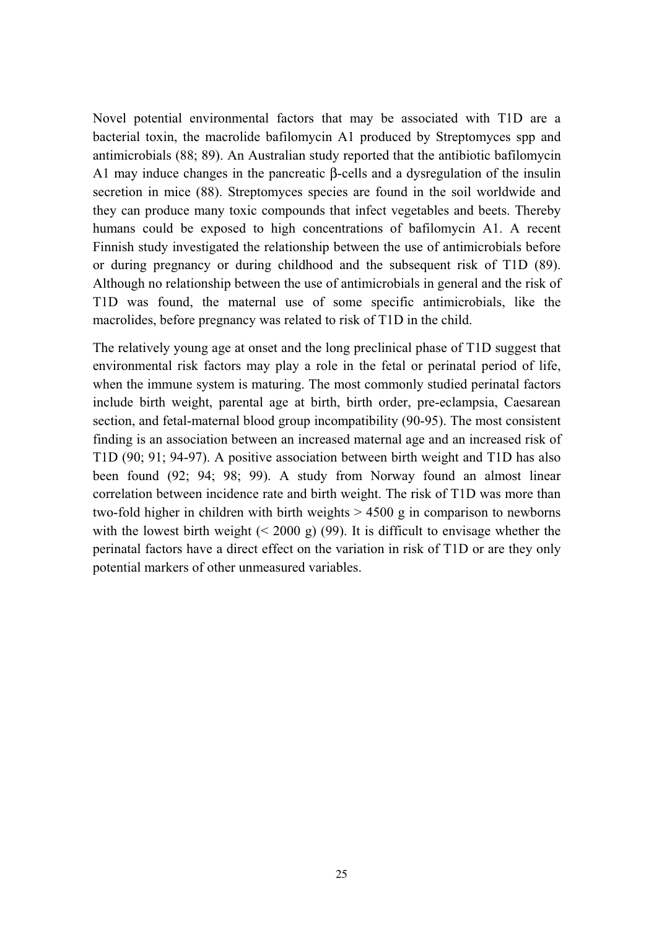Novel potential environmental factors that may be associated with T1D are a bacterial toxin, the macrolide bafilomycin A1 produced by Streptomyces spp and antimicrobials (88; 89). An Australian study reported that the antibiotic bafilomycin A1 may induce changes in the pancreatic β-cells and a dysregulation of the insulin secretion in mice (88). Streptomyces species are found in the soil worldwide and they can produce many toxic compounds that infect vegetables and beets. Thereby humans could be exposed to high concentrations of bafilomycin A1. A recent Finnish study investigated the relationship between the use of antimicrobials before or during pregnancy or during childhood and the subsequent risk of T1D (89). Although no relationship between the use of antimicrobials in general and the risk of T1D was found, the maternal use of some specific antimicrobials, like the macrolides, before pregnancy was related to risk of T1D in the child.

The relatively young age at onset and the long preclinical phase of T1D suggest that environmental risk factors may play a role in the fetal or perinatal period of life, when the immune system is maturing. The most commonly studied perinatal factors include birth weight, parental age at birth, birth order, pre-eclampsia, Caesarean section, and fetal-maternal blood group incompatibility (90-95). The most consistent finding is an association between an increased maternal age and an increased risk of T1D (90; 91; 94-97). A positive association between birth weight and T1D has also been found (92; 94; 98; 99). A study from Norway found an almost linear correlation between incidence rate and birth weight. The risk of T1D was more than two-fold higher in children with birth weights  $> 4500 \text{ g}$  in comparison to newborns with the lowest birth weight  $(< 2000 \text{ g})$  (99). It is difficult to envisage whether the perinatal factors have a direct effect on the variation in risk of T1D or are they only potential markers of other unmeasured variables.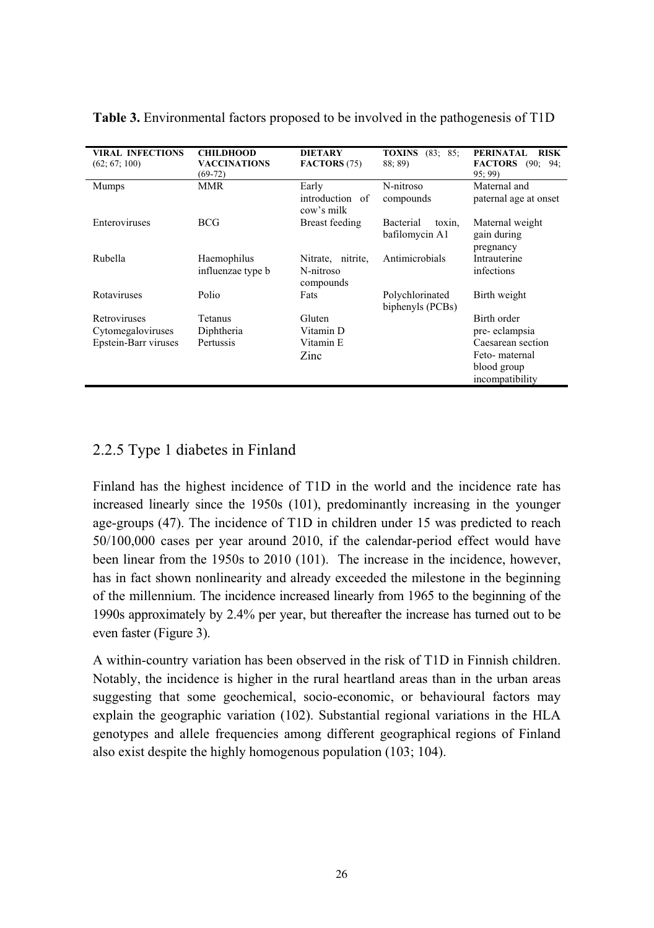| <b>VIRAL INFECTIONS</b><br>(62; 67; 100) | <b>CHILDHOOD</b><br><b>VACCINATIONS</b><br>$(69-72)$ | <b>DIETARY</b><br>FACTORS (75)              | (83; 85;<br><b>TOXINS</b><br>88:89)          | <b>PERINATAL</b><br><b>RISK</b><br><b>FACTORS</b><br>(90;<br>94:<br>95:99 |
|------------------------------------------|------------------------------------------------------|---------------------------------------------|----------------------------------------------|---------------------------------------------------------------------------|
| <b>Mumps</b>                             | <b>MMR</b>                                           | Early<br>introduction of<br>cow's milk      | N-nitroso<br>compounds                       | Maternal and<br>paternal age at onset                                     |
| Enteroviruses                            | <b>BCG</b>                                           | Breast feeding                              | <b>Bacterial</b><br>toxin.<br>bafilomycin A1 | Maternal weight<br>gain during<br>pregnancy                               |
| Rubella                                  | Haemophilus<br>influenzae type b                     | Nitrate, nitrite,<br>N-nitroso<br>compounds | Antimicrobials                               | Intrauterine<br>infections                                                |
| Rotaviruses                              | Polio                                                | Fats                                        | Polychlorinated<br>biphenyls (PCBs)          | Birth weight                                                              |
| Retroviruses                             | Tetanus                                              | Gluten                                      |                                              | Birth order                                                               |
| Cytomegaloviruses                        | Diphtheria                                           | Vitamin D                                   |                                              | pre-eclampsia                                                             |
| Epstein-Barr viruses                     | Pertussis                                            | Vitamin E<br>Zinc                           |                                              | Caesarean section<br>Feto-maternal<br>blood group<br>incompatibility      |

**Table 3.** Environmental factors proposed to be involved in the pathogenesis of T1D

### 2.2.5 Type 1 diabetes in Finland

Finland has the highest incidence of T1D in the world and the incidence rate has increased linearly since the 1950s (101), predominantly increasing in the younger age-groups (47). The incidence of T1D in children under 15 was predicted to reach 50/100,000 cases per year around 2010, if the calendar-period effect would have been linear from the 1950s to 2010 (101). The increase in the incidence, however, has in fact shown nonlinearity and already exceeded the milestone in the beginning of the millennium. The incidence increased linearly from 1965 to the beginning of the 1990s approximately by 2.4% per year, but thereafter the increase has turned out to be even faster (Figure 3).

A within-country variation has been observed in the risk of T1D in Finnish children. Notably, the incidence is higher in the rural heartland areas than in the urban areas suggesting that some geochemical, socio-economic, or behavioural factors may explain the geographic variation (102). Substantial regional variations in the HLA genotypes and allele frequencies among different geographical regions of Finland also exist despite the highly homogenous population (103; 104).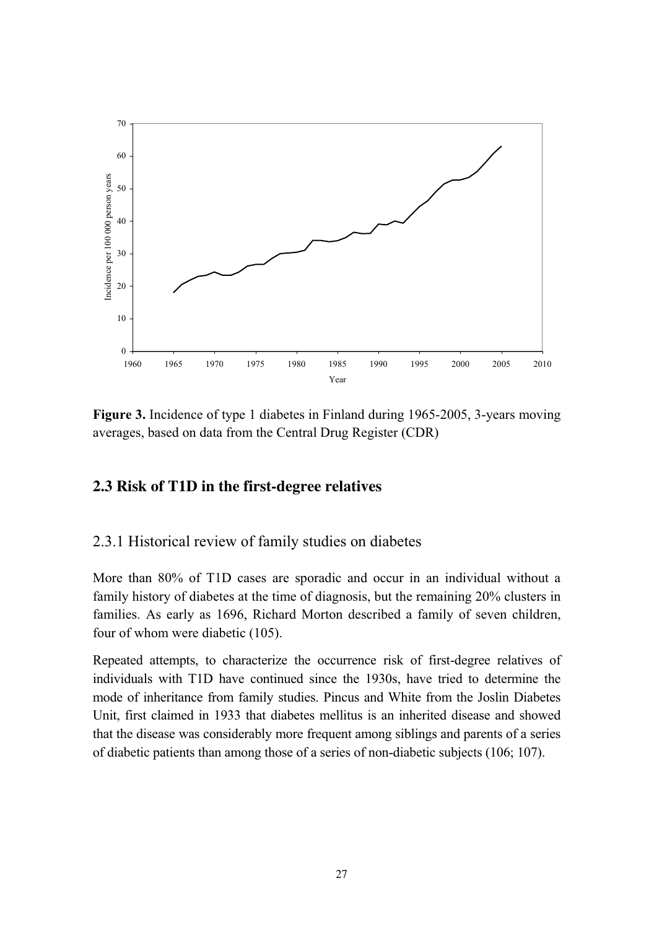

**Figure 3.** Incidence of type 1 diabetes in Finland during 1965-2005, 3-years moving averages, based on data from the Central Drug Register (CDR)

#### **2.3 Risk of T1D in the first-degree relatives**

#### 2.3.1 Historical review of family studies on diabetes

More than 80% of T1D cases are sporadic and occur in an individual without a family history of diabetes at the time of diagnosis, but the remaining 20% clusters in families. As early as 1696, Richard Morton described a family of seven children, four of whom were diabetic (105).

Repeated attempts, to characterize the occurrence risk of first-degree relatives of individuals with T1D have continued since the 1930s, have tried to determine the mode of inheritance from family studies. Pincus and White from the Joslin Diabetes Unit, first claimed in 1933 that diabetes mellitus is an inherited disease and showed that the disease was considerably more frequent among siblings and parents of a series of diabetic patients than among those of a series of non-diabetic subjects (106; 107).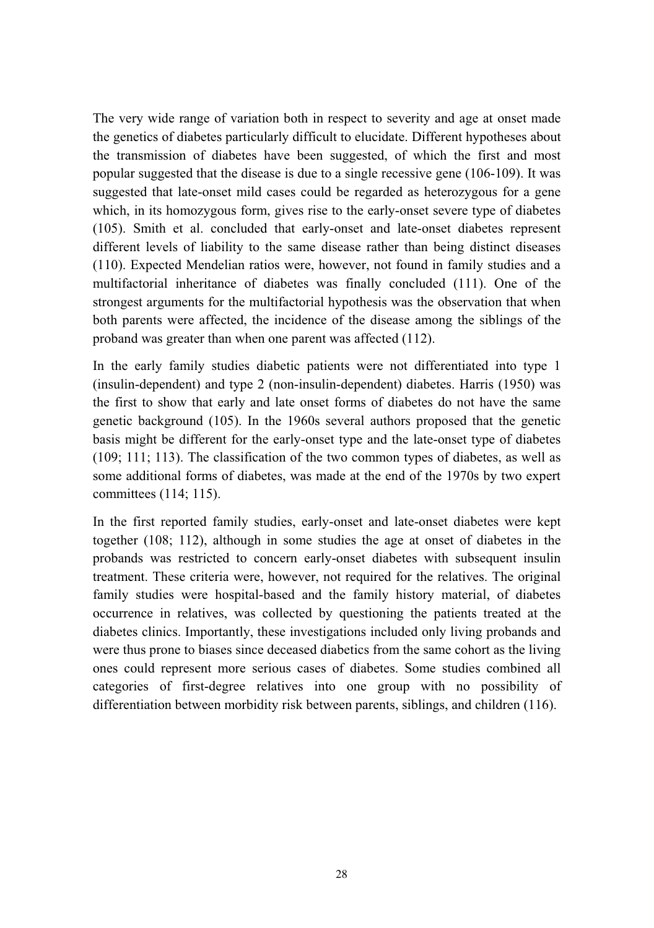The very wide range of variation both in respect to severity and age at onset made the genetics of diabetes particularly difficult to elucidate. Different hypotheses about the transmission of diabetes have been suggested, of which the first and most popular suggested that the disease is due to a single recessive gene (106-109). It was suggested that late-onset mild cases could be regarded as heterozygous for a gene which, in its homozygous form, gives rise to the early-onset severe type of diabetes (105). Smith et al. concluded that early-onset and late-onset diabetes represent different levels of liability to the same disease rather than being distinct diseases (110). Expected Mendelian ratios were, however, not found in family studies and a multifactorial inheritance of diabetes was finally concluded (111). One of the strongest arguments for the multifactorial hypothesis was the observation that when both parents were affected, the incidence of the disease among the siblings of the proband was greater than when one parent was affected (112).

In the early family studies diabetic patients were not differentiated into type 1 (insulin-dependent) and type 2 (non-insulin-dependent) diabetes. Harris (1950) was the first to show that early and late onset forms of diabetes do not have the same genetic background (105). In the 1960s several authors proposed that the genetic basis might be different for the early-onset type and the late-onset type of diabetes (109; 111; 113). The classification of the two common types of diabetes, as well as some additional forms of diabetes, was made at the end of the 1970s by two expert committees (114; 115).

In the first reported family studies, early-onset and late-onset diabetes were kept together (108; 112), although in some studies the age at onset of diabetes in the probands was restricted to concern early-onset diabetes with subsequent insulin treatment. These criteria were, however, not required for the relatives. The original family studies were hospital-based and the family history material, of diabetes occurrence in relatives, was collected by questioning the patients treated at the diabetes clinics. Importantly, these investigations included only living probands and were thus prone to biases since deceased diabetics from the same cohort as the living ones could represent more serious cases of diabetes. Some studies combined all categories of first-degree relatives into one group with no possibility of differentiation between morbidity risk between parents, siblings, and children (116).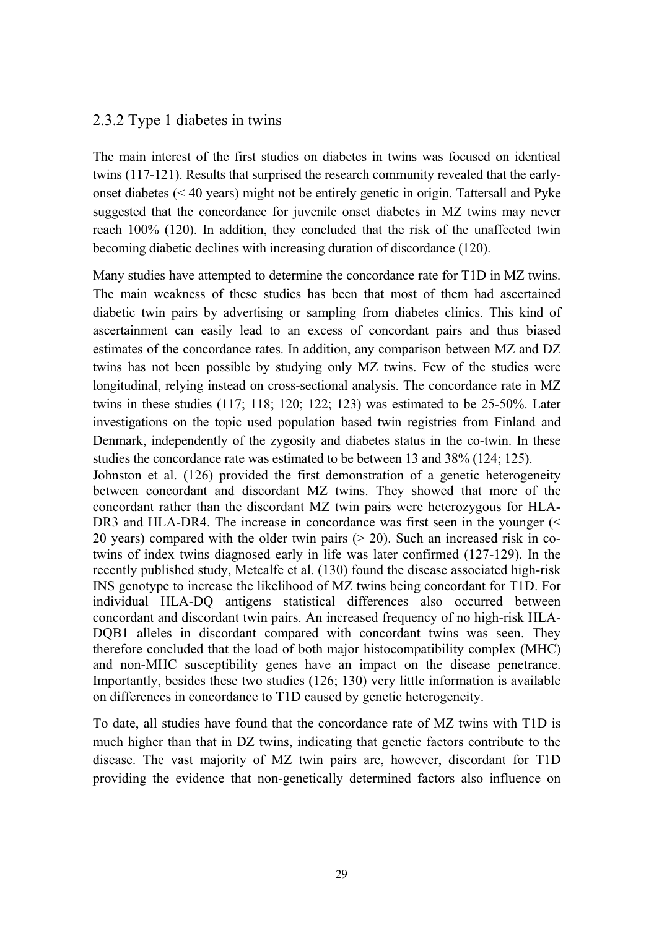#### 2.3.2 Type 1 diabetes in twins

The main interest of the first studies on diabetes in twins was focused on identical twins (117-121). Results that surprised the research community revealed that the earlyonset diabetes (< 40 years) might not be entirely genetic in origin. Tattersall and Pyke suggested that the concordance for juvenile onset diabetes in MZ twins may never reach 100% (120). In addition, they concluded that the risk of the unaffected twin becoming diabetic declines with increasing duration of discordance (120).

Many studies have attempted to determine the concordance rate for T1D in MZ twins. The main weakness of these studies has been that most of them had ascertained diabetic twin pairs by advertising or sampling from diabetes clinics. This kind of ascertainment can easily lead to an excess of concordant pairs and thus biased estimates of the concordance rates. In addition, any comparison between MZ and DZ twins has not been possible by studying only MZ twins. Few of the studies were longitudinal, relying instead on cross-sectional analysis. The concordance rate in MZ twins in these studies (117; 118; 120; 122; 123) was estimated to be 25-50%. Later investigations on the topic used population based twin registries from Finland and Denmark, independently of the zygosity and diabetes status in the co-twin. In these studies the concordance rate was estimated to be between 13 and 38% (124; 125).

Johnston et al. (126) provided the first demonstration of a genetic heterogeneity between concordant and discordant MZ twins. They showed that more of the concordant rather than the discordant MZ twin pairs were heterozygous for HLA-DR3 and HLA-DR4. The increase in concordance was first seen in the younger (< 20 years) compared with the older twin pairs  $(> 20)$ . Such an increased risk in cotwins of index twins diagnosed early in life was later confirmed (127-129). In the recently published study, Metcalfe et al. (130) found the disease associated high-risk INS genotype to increase the likelihood of MZ twins being concordant for T1D. For individual HLA-DQ antigens statistical differences also occurred between concordant and discordant twin pairs. An increased frequency of no high-risk HLA-DQB1 alleles in discordant compared with concordant twins was seen. They therefore concluded that the load of both major histocompatibility complex (MHC) and non-MHC susceptibility genes have an impact on the disease penetrance. Importantly, besides these two studies (126; 130) very little information is available on differences in concordance to T1D caused by genetic heterogeneity.

To date, all studies have found that the concordance rate of MZ twins with T1D is much higher than that in DZ twins, indicating that genetic factors contribute to the disease. The vast majority of MZ twin pairs are, however, discordant for T1D providing the evidence that non-genetically determined factors also influence on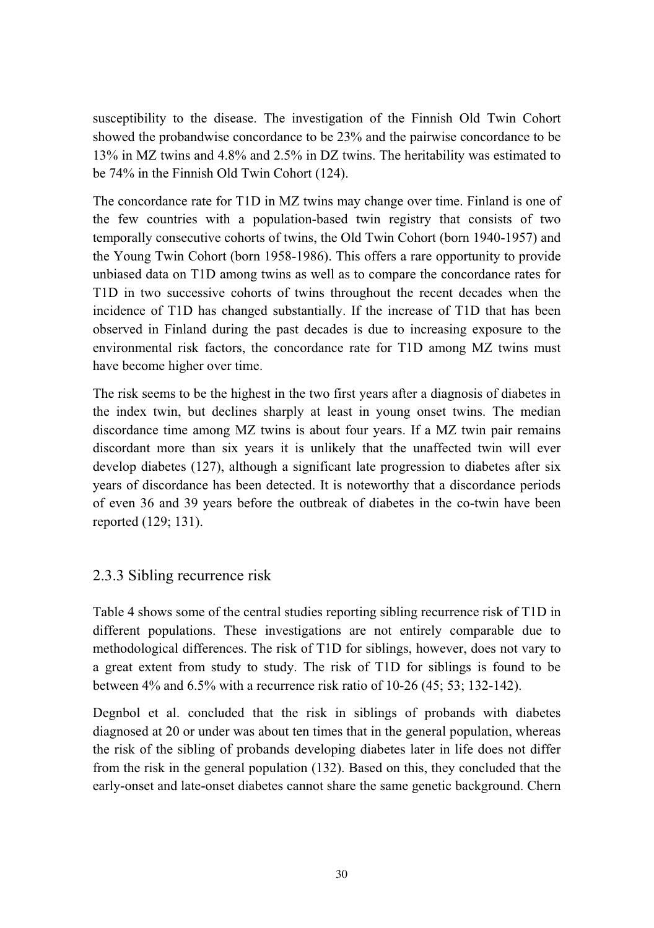susceptibility to the disease. The investigation of the Finnish Old Twin Cohort showed the probandwise concordance to be 23% and the pairwise concordance to be 13% in MZ twins and 4.8% and 2.5% in DZ twins. The heritability was estimated to be 74% in the Finnish Old Twin Cohort (124).

The concordance rate for T1D in MZ twins may change over time. Finland is one of the few countries with a population-based twin registry that consists of two temporally consecutive cohorts of twins, the Old Twin Cohort (born 1940-1957) and the Young Twin Cohort (born 1958-1986). This offers a rare opportunity to provide unbiased data on T1D among twins as well as to compare the concordance rates for T1D in two successive cohorts of twins throughout the recent decades when the incidence of T1D has changed substantially. If the increase of T1D that has been observed in Finland during the past decades is due to increasing exposure to the environmental risk factors, the concordance rate for T1D among MZ twins must have become higher over time.

The risk seems to be the highest in the two first years after a diagnosis of diabetes in the index twin, but declines sharply at least in young onset twins. The median discordance time among MZ twins is about four years. If a MZ twin pair remains discordant more than six years it is unlikely that the unaffected twin will ever develop diabetes (127), although a significant late progression to diabetes after six years of discordance has been detected. It is noteworthy that a discordance periods of even 36 and 39 years before the outbreak of diabetes in the co-twin have been reported (129; 131).

#### 2.3.3 Sibling recurrence risk

Table 4 shows some of the central studies reporting sibling recurrence risk of T1D in different populations. These investigations are not entirely comparable due to methodological differences. The risk of T1D for siblings, however, does not vary to a great extent from study to study. The risk of T1D for siblings is found to be between 4% and 6.5% with a recurrence risk ratio of 10-26 (45; 53; 132-142).

Degnbol et al. concluded that the risk in siblings of probands with diabetes diagnosed at 20 or under was about ten times that in the general population, whereas the risk of the sibling of probands developing diabetes later in life does not differ from the risk in the general population (132). Based on this, they concluded that the early-onset and late-onset diabetes cannot share the same genetic background. Chern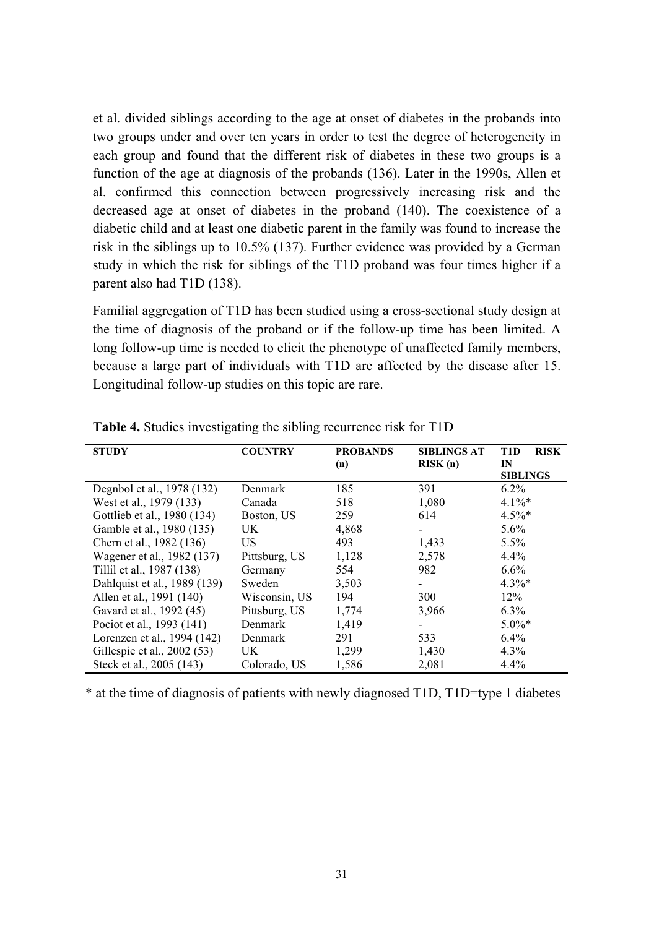et al. divided siblings according to the age at onset of diabetes in the probands into two groups under and over ten years in order to test the degree of heterogeneity in each group and found that the different risk of diabetes in these two groups is a function of the age at diagnosis of the probands (136). Later in the 1990s, Allen et al. confirmed this connection between progressively increasing risk and the decreased age at onset of diabetes in the proband (140). The coexistence of a diabetic child and at least one diabetic parent in the family was found to increase the risk in the siblings up to 10.5% (137). Further evidence was provided by a German study in which the risk for siblings of the T1D proband was four times higher if a parent also had T1D (138).

Familial aggregation of T1D has been studied using a cross-sectional study design at the time of diagnosis of the proband or if the follow-up time has been limited. A long follow-up time is needed to elicit the phenotype of unaffected family members, because a large part of individuals with T1D are affected by the disease after 15. Longitudinal follow-up studies on this topic are rare.

| <b>STUDY</b>                 | <b>COUNTRY</b> | <b>PROBANDS</b><br>(n) | <b>SIBLINGS AT</b><br>RISK(n) | <b>RISK</b><br>T1D<br>IN<br><b>SIBLINGS</b> |
|------------------------------|----------------|------------------------|-------------------------------|---------------------------------------------|
| Degnbol et al., 1978 (132)   | Denmark        | 185                    | 391                           | $6.2\%$                                     |
| West et al., 1979 (133)      | Canada         | 518                    | 1,080                         | $4.1\%$ *                                   |
| Gottlieb et al., 1980 (134)  | Boston, US     | 259                    | 614                           | $4.5\%$ *                                   |
| Gamble et al., 1980 (135)    | UK.            | 4,868                  | $\overline{\phantom{a}}$      | $5.6\%$                                     |
| Chern et al., 1982 (136)     | US             | 493                    | 1,433                         | $5.5\%$                                     |
| Wagener et al., 1982 (137)   | Pittsburg, US  | 1,128                  | 2,578                         | 4.4%                                        |
| Tillil et al., 1987 (138)    | Germany        | 554                    | 982                           | $6.6\%$                                     |
| Dahlquist et al., 1989 (139) | Sweden         | 3,503                  |                               | $4.3\%*$                                    |
| Allen et al., 1991 (140)     | Wisconsin, US  | 194                    | 300                           | $12\%$                                      |
| Gavard et al., 1992 (45)     | Pittsburg, US  | 1,774                  | 3,966                         | $6.3\%$                                     |
| Pociot et al., 1993 (141)    | Denmark        | 1,419                  |                               | $5.0\%$ *                                   |
| Lorenzen et al., 1994 (142)  | Denmark        | 291                    | 533                           | $6.4\%$                                     |
| Gillespie et al., 2002 (53)  | UK             | 1,299                  | 1,430                         | $4.3\%$                                     |
| Steck et al., 2005 (143)     | Colorado, US   | 1,586                  | 2,081                         | 4.4%                                        |

**Table 4.** Studies investigating the sibling recurrence risk for T1D

\* at the time of diagnosis of patients with newly diagnosed T1D, T1D=type 1 diabetes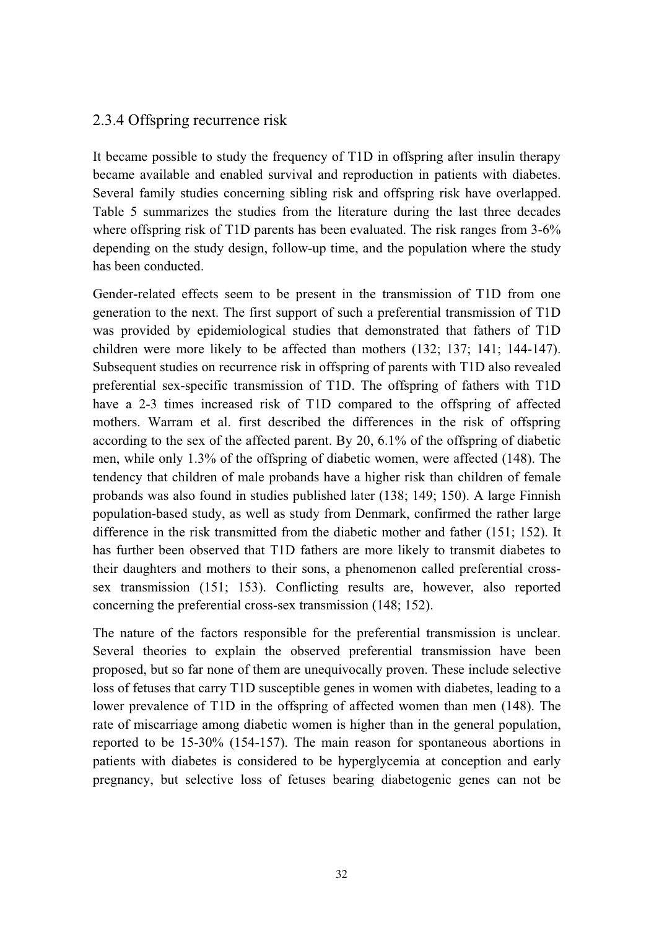#### 2.3.4 Offspring recurrence risk

It became possible to study the frequency of T1D in offspring after insulin therapy became available and enabled survival and reproduction in patients with diabetes. Several family studies concerning sibling risk and offspring risk have overlapped. Table 5 summarizes the studies from the literature during the last three decades where offspring risk of T1D parents has been evaluated. The risk ranges from 3-6% depending on the study design, follow-up time, and the population where the study has been conducted.

Gender-related effects seem to be present in the transmission of T1D from one generation to the next. The first support of such a preferential transmission of T1D was provided by epidemiological studies that demonstrated that fathers of T1D children were more likely to be affected than mothers (132; 137; 141; 144-147). Subsequent studies on recurrence risk in offspring of parents with T1D also revealed preferential sex-specific transmission of T1D. The offspring of fathers with T1D have a 2-3 times increased risk of T1D compared to the offspring of affected mothers. Warram et al. first described the differences in the risk of offspring according to the sex of the affected parent. By 20, 6.1% of the offspring of diabetic men, while only 1.3% of the offspring of diabetic women, were affected (148). The tendency that children of male probands have a higher risk than children of female probands was also found in studies published later (138; 149; 150). A large Finnish population-based study, as well as study from Denmark, confirmed the rather large difference in the risk transmitted from the diabetic mother and father (151; 152). It has further been observed that T1D fathers are more likely to transmit diabetes to their daughters and mothers to their sons, a phenomenon called preferential crosssex transmission (151; 153). Conflicting results are, however, also reported concerning the preferential cross-sex transmission (148; 152).

The nature of the factors responsible for the preferential transmission is unclear. Several theories to explain the observed preferential transmission have been proposed, but so far none of them are unequivocally proven. These include selective loss of fetuses that carry T1D susceptible genes in women with diabetes, leading to a lower prevalence of T1D in the offspring of affected women than men (148). The rate of miscarriage among diabetic women is higher than in the general population, reported to be 15-30% (154-157). The main reason for spontaneous abortions in patients with diabetes is considered to be hyperglycemia at conception and early pregnancy, but selective loss of fetuses bearing diabetogenic genes can not be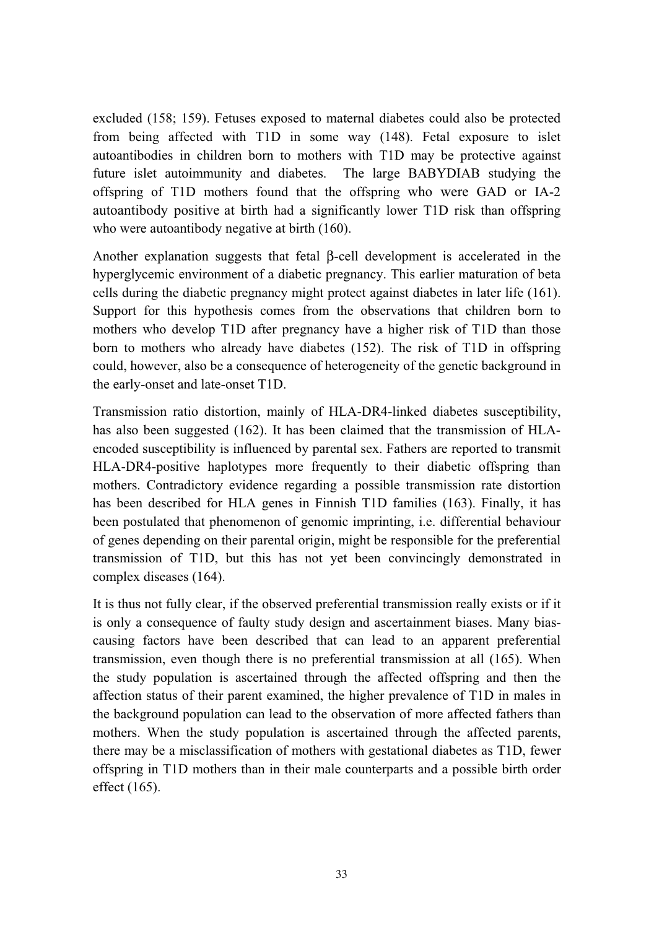excluded (158; 159). Fetuses exposed to maternal diabetes could also be protected from being affected with T1D in some way (148). Fetal exposure to islet autoantibodies in children born to mothers with T1D may be protective against future islet autoimmunity and diabetes. The large BABYDIAB studying the offspring of T1D mothers found that the offspring who were GAD or IA-2 autoantibody positive at birth had a significantly lower T1D risk than offspring who were autoantibody negative at birth  $(160)$ .

Another explanation suggests that fetal β-cell development is accelerated in the hyperglycemic environment of a diabetic pregnancy. This earlier maturation of beta cells during the diabetic pregnancy might protect against diabetes in later life (161). Support for this hypothesis comes from the observations that children born to mothers who develop T1D after pregnancy have a higher risk of T1D than those born to mothers who already have diabetes (152). The risk of T1D in offspring could, however, also be a consequence of heterogeneity of the genetic background in the early-onset and late-onset T1D.

Transmission ratio distortion, mainly of HLA-DR4-linked diabetes susceptibility, has also been suggested (162). It has been claimed that the transmission of HLAencoded susceptibility is influenced by parental sex. Fathers are reported to transmit HLA-DR4-positive haplotypes more frequently to their diabetic offspring than mothers. Contradictory evidence regarding a possible transmission rate distortion has been described for HLA genes in Finnish T1D families (163). Finally, it has been postulated that phenomenon of genomic imprinting, i.e. differential behaviour of genes depending on their parental origin, might be responsible for the preferential transmission of T1D, but this has not yet been convincingly demonstrated in complex diseases (164).

It is thus not fully clear, if the observed preferential transmission really exists or if it is only a consequence of faulty study design and ascertainment biases. Many biascausing factors have been described that can lead to an apparent preferential transmission, even though there is no preferential transmission at all (165). When the study population is ascertained through the affected offspring and then the affection status of their parent examined, the higher prevalence of T1D in males in the background population can lead to the observation of more affected fathers than mothers. When the study population is ascertained through the affected parents, there may be a misclassification of mothers with gestational diabetes as T1D, fewer offspring in T1D mothers than in their male counterparts and a possible birth order effect (165).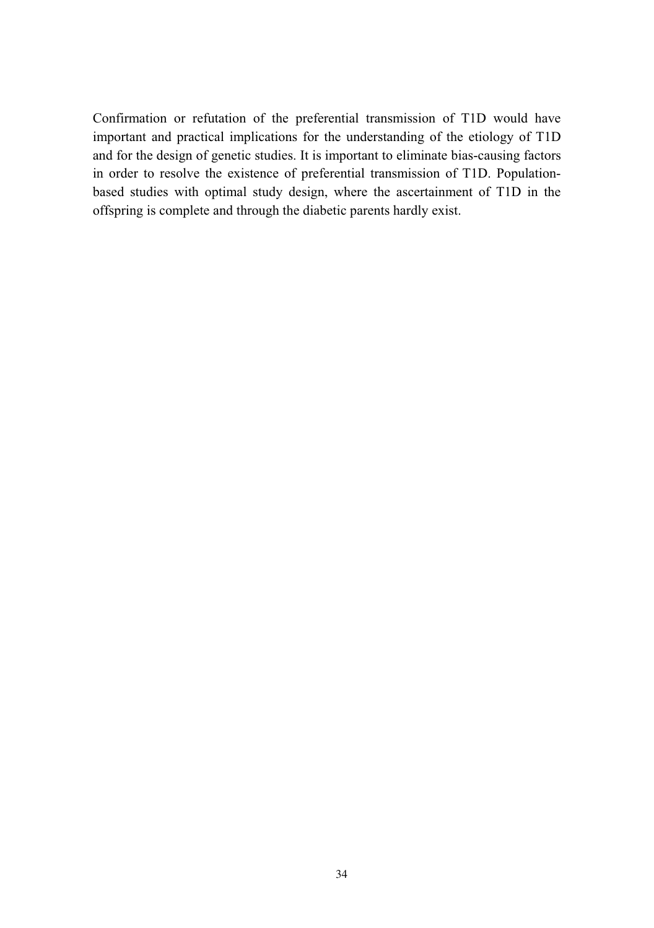Confirmation or refutation of the preferential transmission of T1D would have important and practical implications for the understanding of the etiology of T1D and for the design of genetic studies. It is important to eliminate bias-causing factors in order to resolve the existence of preferential transmission of T1D. Populationbased studies with optimal study design, where the ascertainment of T1D in the offspring is complete and through the diabetic parents hardly exist.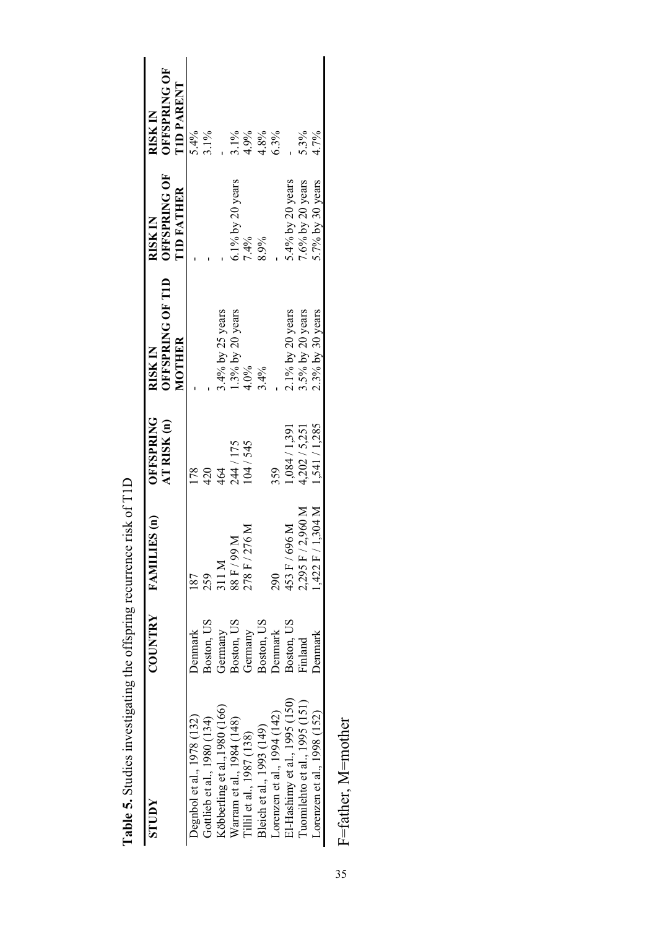| <b>NUDLS</b>                  | TRY<br>COUN           | FAMILIES (n)      | <b>OFFSPRING</b><br>AT RISK (n)                   | <b>OFFSPRING OF TID</b><br>MOTHER<br><b>RISK IN</b> | <b>OFFSPRING OF</b><br><b>TID FATHER</b><br>RISK IN | <b>OFFSPRING OF</b><br><b>TID PARENT</b><br>USK IN |
|-------------------------------|-----------------------|-------------------|---------------------------------------------------|-----------------------------------------------------|-----------------------------------------------------|----------------------------------------------------|
| Degnbol et al., 1978 (132)    | Denmark               | 187               | 178                                               |                                                     |                                                     | 5.4%                                               |
| Gottlieb et al., 1980 (134)   | Boston, US            | 259               | 420                                               |                                                     |                                                     | $3.1\%$                                            |
| Köbberling et al., 1980 (166) | German                | 311 M             | 464                                               | $3.4\%$ by 25 years                                 |                                                     |                                                    |
| Warram et al., 1984 (148)     | Germany<br>Boston, US | M 66/H 88         | 244 / 175                                         |                                                     | 6.1% by 20 years                                    | $3.1\%$                                            |
| Tillil et al., 1987 (138)     | Germany               | 278 F / 276 M     | 104/545                                           | $1.3\%$ by 20 years<br>4.0%                         | 7.4%                                                |                                                    |
| Bleich et al., 1993 (149)     | Boston, US            |                   |                                                   | 3.4%                                                | 8.9%                                                | 4.9%<br>4.8%<br>6.3%                               |
| Lorenzen et al., 1994 (142)   | <b>Denmark</b>        | 290               | 359                                               |                                                     |                                                     |                                                    |
| 31-Hashimy et al., 1995 (150) | Boston, US            | 153 F / 696 M     | $1,084 / 1,391$<br>4,202 / 5,251<br>1,541 / 1,285 | 2.1% by 20 years                                    | 5.4% by 20 years                                    |                                                    |
| Tuomilehto et al., 1995 (151) | Finland               | 2,295 F / 2,960 M |                                                   | 3.5% by 20 years                                    | 7.6% by 20 years                                    | 5.3%                                               |
| Lorenzen et al., 1998 (152)   | <b>Jenmark</b>        | ,422 F / 1,304 M  |                                                   | $2.3\%$ by 30 years                                 | 5.7% by 30 years                                    | 4.7%                                               |

Table 5. Studies investigating the offspring recurrence risk of T1D **Table 5.** Studies investigating the offspring recurrence risk of T1D

F=father, M=mother F=father, M=mother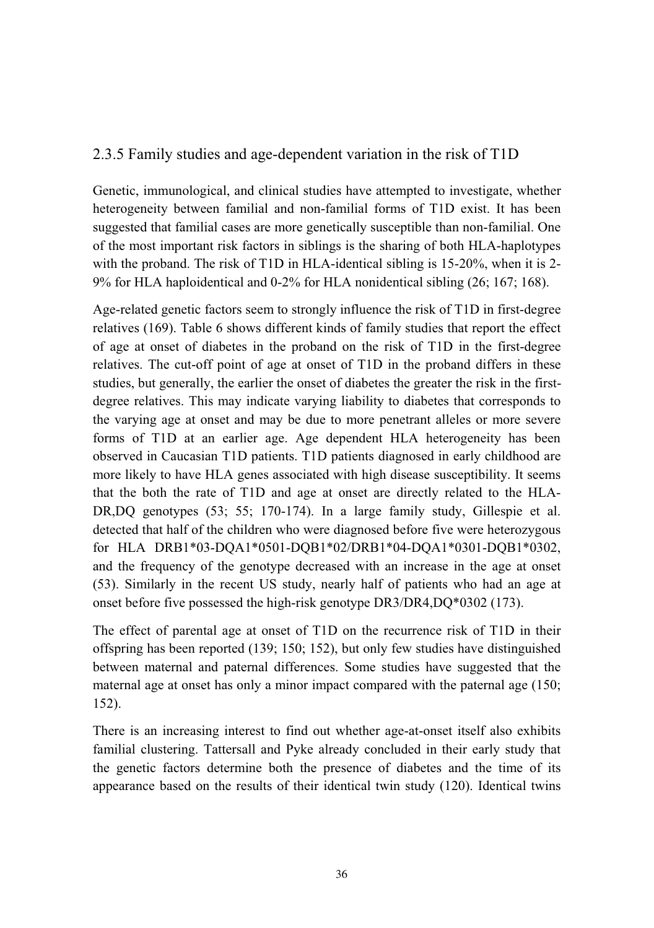## 2.3.5 Family studies and age-dependent variation in the risk of T1D

Genetic, immunological, and clinical studies have attempted to investigate, whether heterogeneity between familial and non-familial forms of T1D exist. It has been suggested that familial cases are more genetically susceptible than non-familial. One of the most important risk factors in siblings is the sharing of both HLA-haplotypes with the proband. The risk of T1D in HLA-identical sibling is 15-20%, when it is 2-9% for HLA haploidentical and 0-2% for HLA nonidentical sibling (26; 167; 168).

Age-related genetic factors seem to strongly influence the risk of T1D in first-degree relatives (169). Table 6 shows different kinds of family studies that report the effect of age at onset of diabetes in the proband on the risk of T1D in the first-degree relatives. The cut-off point of age at onset of T1D in the proband differs in these studies, but generally, the earlier the onset of diabetes the greater the risk in the firstdegree relatives. This may indicate varying liability to diabetes that corresponds to the varying age at onset and may be due to more penetrant alleles or more severe forms of T1D at an earlier age. Age dependent HLA heterogeneity has been observed in Caucasian T1D patients. T1D patients diagnosed in early childhood are more likely to have HLA genes associated with high disease susceptibility. It seems that the both the rate of T1D and age at onset are directly related to the HLA-DR,DQ genotypes (53; 55; 170-174). In a large family study, Gillespie et al. detected that half of the children who were diagnosed before five were heterozygous for HLA DRB1\*03-DQA1\*0501-DQB1\*02/DRB1\*04-DQA1\*0301-DQB1\*0302, and the frequency of the genotype decreased with an increase in the age at onset (53). Similarly in the recent US study, nearly half of patients who had an age at onset before five possessed the high-risk genotype DR3/DR4,DQ\*0302 (173).

The effect of parental age at onset of T1D on the recurrence risk of T1D in their offspring has been reported (139; 150; 152), but only few studies have distinguished between maternal and paternal differences. Some studies have suggested that the maternal age at onset has only a minor impact compared with the paternal age (150; 152).

There is an increasing interest to find out whether age-at-onset itself also exhibits familial clustering. Tattersall and Pyke already concluded in their early study that the genetic factors determine both the presence of diabetes and the time of its appearance based on the results of their identical twin study (120). Identical twins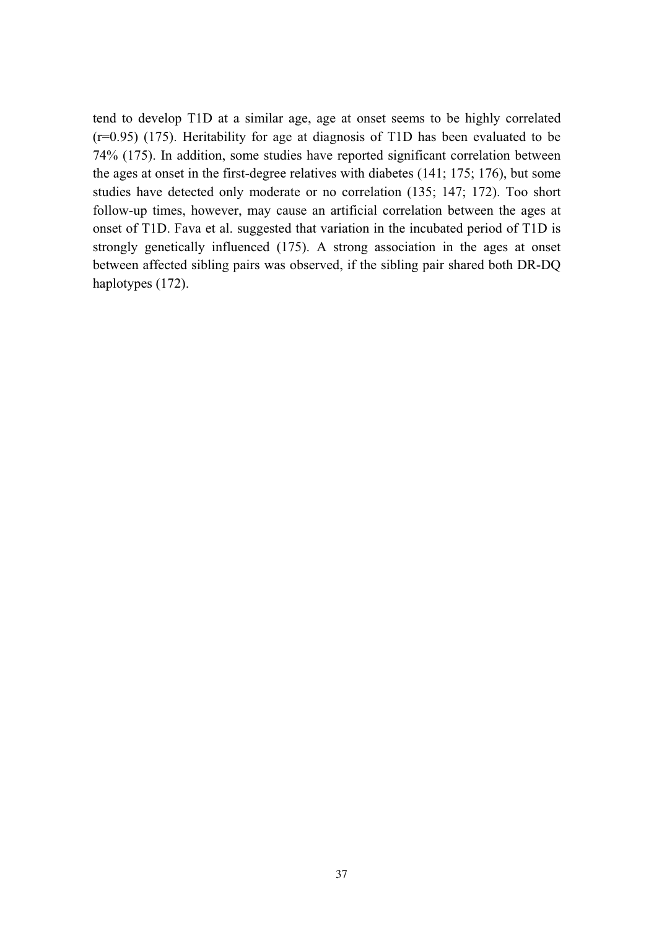tend to develop T1D at a similar age, age at onset seems to be highly correlated (r=0.95) (175). Heritability for age at diagnosis of T1D has been evaluated to be 74% (175). In addition, some studies have reported significant correlation between the ages at onset in the first-degree relatives with diabetes (141; 175; 176), but some studies have detected only moderate or no correlation (135; 147; 172). Too short follow-up times, however, may cause an artificial correlation between the ages at onset of T1D. Fava et al. suggested that variation in the incubated period of T1D is strongly genetically influenced (175). A strong association in the ages at onset between affected sibling pairs was observed, if the sibling pair shared both DR-DQ haplotypes  $(172)$ .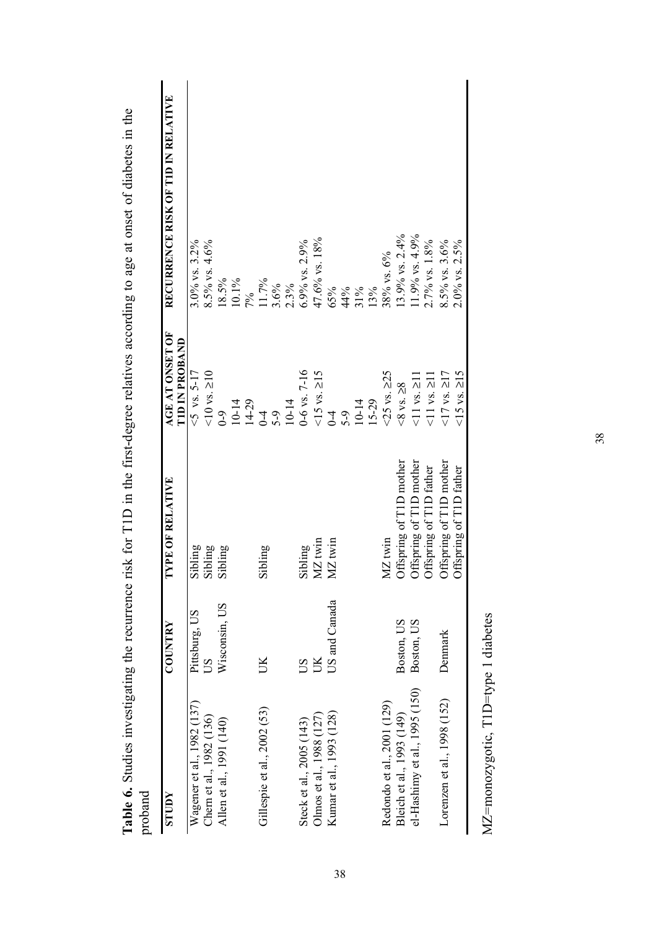| proband                       |                                      |                         |                                                              |                                    |
|-------------------------------|--------------------------------------|-------------------------|--------------------------------------------------------------|------------------------------------|
| <b>AdnlS</b>                  | <b>COUNTRY</b>                       | <b>TYPE OF RELATIVE</b> | AGE AT ONSET OF<br><b>TID IN PROBAND</b>                     | RECURRENCE RISK OF TID IN RELATIVE |
| Wagener et al., 1982 (137)    |                                      | Sibling                 | $5 - 17$                                                     | 3.0% vs. 3.2%                      |
| Chern et al., 1982 (136)      | Pittsburg, US<br>US<br>Wisconsin, US | Sibling                 | $10$ vs. $\geq 10$                                           | $1.5\%$ vs. 4.6%                   |
| Allen et al., 1991 (140)      |                                      | Sibling                 | $0-9$                                                        | 18.5%                              |
|                               |                                      |                         |                                                              | 10.1%                              |
|                               |                                      |                         |                                                              | $7\%$                              |
| Gillespie et al., 2002 (53)   |                                      | Sibling                 | $\begin{array}{c} 10-14 \\ -14-29 \\ 0-4 \\ 0.9 \end{array}$ | $11.7\%$<br>3.6%                   |
|                               |                                      |                         |                                                              |                                    |
|                               |                                      |                         | $10 - 14$                                                    | 2.3%                               |
| Steck et al., 2005 (143)      | S                                    | Sibling                 | $-6$ vs. $7-16$                                              | 5.9% vs. 2.9%                      |
| Olmos et al., 1988 (127)      | UK                                   | MZ <sub>twin</sub>      |                                                              | 47.6% vs. 18%                      |
| Kumar et al., 1993 (128)      | US and Canada                        | MZ twin                 | $15$ vs. $\ge$ 15<br>0-4                                     | 65%                                |
|                               |                                      |                         |                                                              | 44%                                |
|                               |                                      |                         |                                                              | $31\%$                             |
|                               |                                      |                         | 5-9<br>10-14<br>15-29                                        | 13%                                |
| Redondo et al., 2001 (129)    |                                      | MZ twin                 | $<$ 25 vs. $\geq$ 25                                         | 8% vs. 6%                          |
| Bleich et al., 1993 (149)     | Boston, US                           | Offspring of T1D mother | $<8$ vs. $\geq 8$                                            | $13.9\%$ vs. $2.4\%$               |
| el-Hashimy et al., 1995 (150) | Boston, US                           | Offspring of T1D mother | $11$ vs. $\geq$ 1                                            | $1.9\%$ vs. 4.9%                   |
|                               |                                      | Offspring of T1D father | $11$ vs. $\geq$ 1                                            | 2.7% vs. 1.8%                      |
| Lorenzen et al., 1998 (152)   | Denmark                              | Offspring of T1D mother | $17$ vs. $\geq$ 17                                           | 8.5% vs. 3.6%                      |
|                               |                                      | Offspring of T1D father | $15 \text{ vs. } 215$                                        | $2.0\%$ vs. $2.5\%$                |
|                               |                                      |                         |                                                              |                                    |

Table 6. Studies investigating the recurrence risk for T1D in the first-degree relatives according to age at onset of diabetes in the **Table 6.** Studies investigating the recurrence risk for T1D in the first-degree relatives according to age at onset of diabetes in the

MZ=monozygotic, T1D=type 1 diabetes MZ=monozygotic, T1D=type 1 diabetes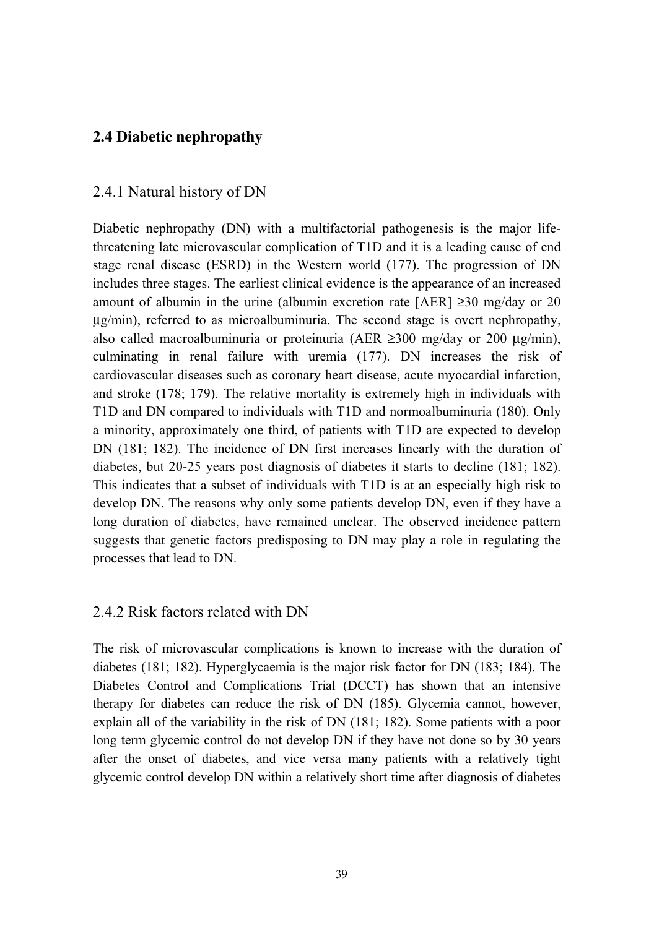## **2.4 Diabetic nephropathy**

## 2.4.1 Natural history of DN

Diabetic nephropathy (DN) with a multifactorial pathogenesis is the major lifethreatening late microvascular complication of T1D and it is a leading cause of end stage renal disease (ESRD) in the Western world (177). The progression of DN includes three stages. The earliest clinical evidence is the appearance of an increased amount of albumin in the urine (albumin excretion rate [AER] ≥30 mg/day or 20 μg/min), referred to as microalbuminuria. The second stage is overt nephropathy, also called macroalbuminuria or proteinuria (AER  $\geq$ 300 mg/day or 200  $\mu$ g/min), culminating in renal failure with uremia (177). DN increases the risk of cardiovascular diseases such as coronary heart disease, acute myocardial infarction, and stroke (178; 179). The relative mortality is extremely high in individuals with T1D and DN compared to individuals with T1D and normoalbuminuria (180). Only a minority, approximately one third, of patients with T1D are expected to develop DN (181; 182). The incidence of DN first increases linearly with the duration of diabetes, but 20-25 years post diagnosis of diabetes it starts to decline (181; 182). This indicates that a subset of individuals with T1D is at an especially high risk to develop DN. The reasons why only some patients develop DN, even if they have a long duration of diabetes, have remained unclear. The observed incidence pattern suggests that genetic factors predisposing to DN may play a role in regulating the processes that lead to DN.

#### 2.4.2 Risk factors related with DN

The risk of microvascular complications is known to increase with the duration of diabetes (181; 182). Hyperglycaemia is the major risk factor for DN (183; 184). The Diabetes Control and Complications Trial (DCCT) has shown that an intensive therapy for diabetes can reduce the risk of DN (185). Glycemia cannot, however, explain all of the variability in the risk of DN (181; 182). Some patients with a poor long term glycemic control do not develop DN if they have not done so by 30 years after the onset of diabetes, and vice versa many patients with a relatively tight glycemic control develop DN within a relatively short time after diagnosis of diabetes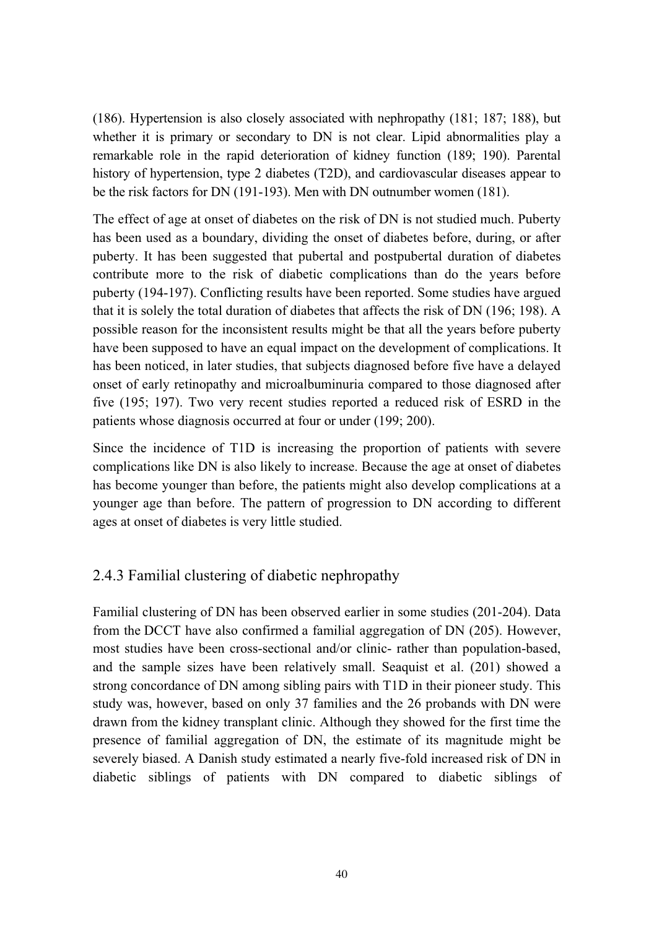(186). Hypertension is also closely associated with nephropathy (181; 187; 188), but whether it is primary or secondary to DN is not clear. Lipid abnormalities play a remarkable role in the rapid deterioration of kidney function (189; 190). Parental history of hypertension, type 2 diabetes (T2D), and cardiovascular diseases appear to be the risk factors for DN (191-193). Men with DN outnumber women (181).

The effect of age at onset of diabetes on the risk of DN is not studied much. Puberty has been used as a boundary, dividing the onset of diabetes before, during, or after puberty. It has been suggested that pubertal and postpubertal duration of diabetes contribute more to the risk of diabetic complications than do the years before puberty (194-197). Conflicting results have been reported. Some studies have argued that it is solely the total duration of diabetes that affects the risk of DN (196; 198). A possible reason for the inconsistent results might be that all the years before puberty have been supposed to have an equal impact on the development of complications. It has been noticed, in later studies, that subjects diagnosed before five have a delayed onset of early retinopathy and microalbuminuria compared to those diagnosed after five (195; 197). Two very recent studies reported a reduced risk of ESRD in the patients whose diagnosis occurred at four or under (199; 200).

Since the incidence of T1D is increasing the proportion of patients with severe complications like DN is also likely to increase. Because the age at onset of diabetes has become younger than before, the patients might also develop complications at a younger age than before. The pattern of progression to DN according to different ages at onset of diabetes is very little studied.

## 2.4.3 Familial clustering of diabetic nephropathy

Familial clustering of DN has been observed earlier in some studies (201-204). Data from the DCCT have also confirmed a familial aggregation of DN (205). However, most studies have been cross-sectional and/or clinic- rather than population-based, and the sample sizes have been relatively small. Seaquist et al. (201) showed a strong concordance of DN among sibling pairs with T1D in their pioneer study. This study was, however, based on only 37 families and the 26 probands with DN were drawn from the kidney transplant clinic. Although they showed for the first time the presence of familial aggregation of DN, the estimate of its magnitude might be severely biased. A Danish study estimated a nearly five-fold increased risk of DN in diabetic siblings of patients with DN compared to diabetic siblings of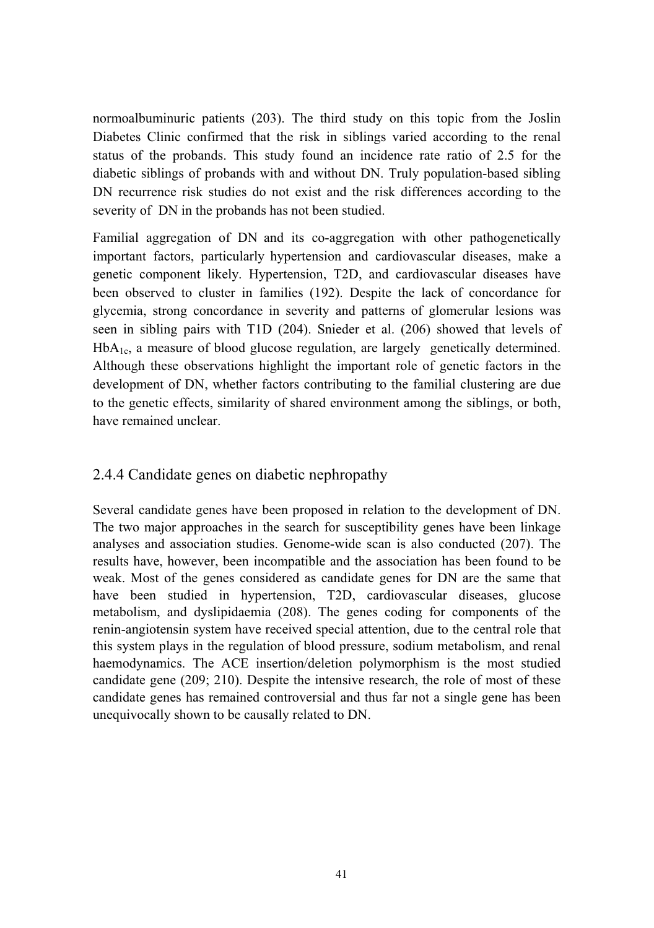normoalbuminuric patients (203). The third study on this topic from the Joslin Diabetes Clinic confirmed that the risk in siblings varied according to the renal status of the probands. This study found an incidence rate ratio of 2.5 for the diabetic siblings of probands with and without DN. Truly population-based sibling DN recurrence risk studies do not exist and the risk differences according to the severity of DN in the probands has not been studied.

Familial aggregation of DN and its co-aggregation with other pathogenetically important factors, particularly hypertension and cardiovascular diseases, make a genetic component likely. Hypertension, T2D, and cardiovascular diseases have been observed to cluster in families (192). Despite the lack of concordance for glycemia, strong concordance in severity and patterns of glomerular lesions was seen in sibling pairs with T1D (204). Snieder et al. (206) showed that levels of  $HbA<sub>1c</sub>$ , a measure of blood glucose regulation, are largely genetically determined. Although these observations highlight the important role of genetic factors in the development of DN, whether factors contributing to the familial clustering are due to the genetic effects, similarity of shared environment among the siblings, or both, have remained unclear.

## 2.4.4 Candidate genes on diabetic nephropathy

Several candidate genes have been proposed in relation to the development of DN. The two major approaches in the search for susceptibility genes have been linkage analyses and association studies. Genome-wide scan is also conducted (207). The results have, however, been incompatible and the association has been found to be weak. Most of the genes considered as candidate genes for DN are the same that have been studied in hypertension, T2D, cardiovascular diseases, glucose metabolism, and dyslipidaemia (208). The genes coding for components of the renin-angiotensin system have received special attention, due to the central role that this system plays in the regulation of blood pressure, sodium metabolism, and renal haemodynamics. The ACE insertion/deletion polymorphism is the most studied candidate gene (209; 210). Despite the intensive research, the role of most of these candidate genes has remained controversial and thus far not a single gene has been unequivocally shown to be causally related to DN.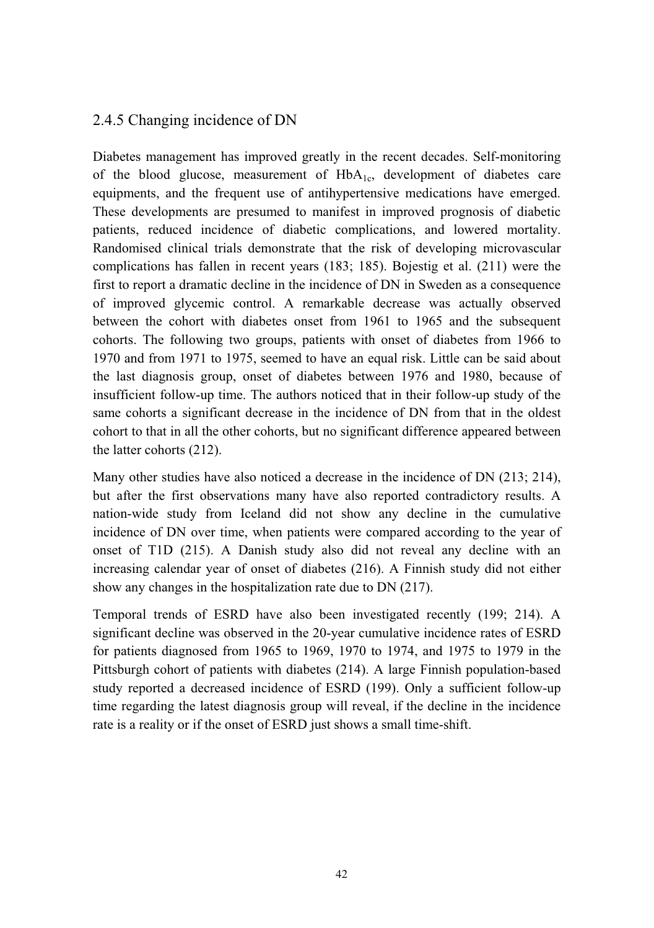## 2.4.5 Changing incidence of DN

Diabetes management has improved greatly in the recent decades. Self-monitoring of the blood glucose, measurement of  $HbA<sub>1c</sub>$ , development of diabetes care equipments, and the frequent use of antihypertensive medications have emerged. These developments are presumed to manifest in improved prognosis of diabetic patients, reduced incidence of diabetic complications, and lowered mortality. Randomised clinical trials demonstrate that the risk of developing microvascular complications has fallen in recent years (183; 185). Bojestig et al. (211) were the first to report a dramatic decline in the incidence of DN in Sweden as a consequence of improved glycemic control. A remarkable decrease was actually observed between the cohort with diabetes onset from 1961 to 1965 and the subsequent cohorts. The following two groups, patients with onset of diabetes from 1966 to 1970 and from 1971 to 1975, seemed to have an equal risk. Little can be said about the last diagnosis group, onset of diabetes between 1976 and 1980, because of insufficient follow-up time. The authors noticed that in their follow-up study of the same cohorts a significant decrease in the incidence of DN from that in the oldest cohort to that in all the other cohorts, but no significant difference appeared between the latter cohorts (212).

Many other studies have also noticed a decrease in the incidence of DN (213; 214), but after the first observations many have also reported contradictory results. A nation-wide study from Iceland did not show any decline in the cumulative incidence of DN over time, when patients were compared according to the year of onset of T1D (215). A Danish study also did not reveal any decline with an increasing calendar year of onset of diabetes (216). A Finnish study did not either show any changes in the hospitalization rate due to DN (217).

Temporal trends of ESRD have also been investigated recently (199; 214). A significant decline was observed in the 20-year cumulative incidence rates of ESRD for patients diagnosed from 1965 to 1969, 1970 to 1974, and 1975 to 1979 in the Pittsburgh cohort of patients with diabetes (214). A large Finnish population-based study reported a decreased incidence of ESRD (199). Only a sufficient follow-up time regarding the latest diagnosis group will reveal, if the decline in the incidence rate is a reality or if the onset of ESRD just shows a small time-shift.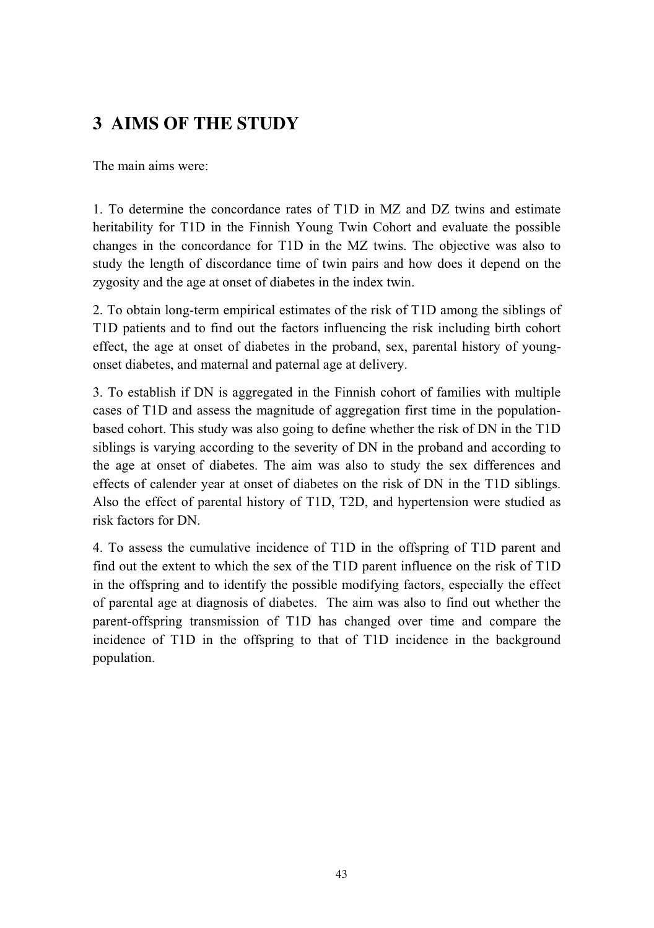# **3 AIMS OF THE STUDY**

The main aims were:

1. To determine the concordance rates of T1D in MZ and DZ twins and estimate heritability for T1D in the Finnish Young Twin Cohort and evaluate the possible changes in the concordance for T1D in the MZ twins. The objective was also to study the length of discordance time of twin pairs and how does it depend on the zygosity and the age at onset of diabetes in the index twin.

2. To obtain long-term empirical estimates of the risk of T1D among the siblings of T1D patients and to find out the factors influencing the risk including birth cohort effect, the age at onset of diabetes in the proband, sex, parental history of youngonset diabetes, and maternal and paternal age at delivery.

3. To establish if DN is aggregated in the Finnish cohort of families with multiple cases of T1D and assess the magnitude of aggregation first time in the populationbased cohort. This study was also going to define whether the risk of DN in the T1D siblings is varying according to the severity of DN in the proband and according to the age at onset of diabetes. The aim was also to study the sex differences and effects of calender year at onset of diabetes on the risk of DN in the T1D siblings. Also the effect of parental history of T1D, T2D, and hypertension were studied as risk factors for DN.

4. To assess the cumulative incidence of T1D in the offspring of T1D parent and find out the extent to which the sex of the T1D parent influence on the risk of T1D in the offspring and to identify the possible modifying factors, especially the effect of parental age at diagnosis of diabetes. The aim was also to find out whether the parent-offspring transmission of T1D has changed over time and compare the incidence of T1D in the offspring to that of T1D incidence in the background population.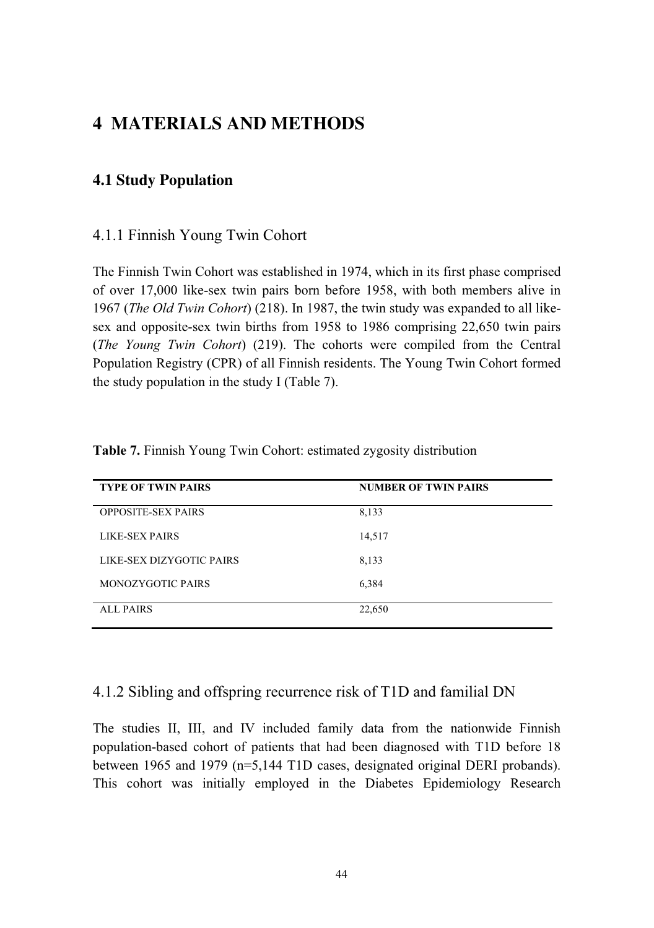## **4 MATERIALS AND METHODS**

## **4.1 Study Population**

#### 4.1.1 Finnish Young Twin Cohort

The Finnish Twin Cohort was established in 1974, which in its first phase comprised of over 17,000 like-sex twin pairs born before 1958, with both members alive in 1967 (*The Old Twin Cohort*) (218). In 1987, the twin study was expanded to all likesex and opposite-sex twin births from 1958 to 1986 comprising 22,650 twin pairs (*The Young Twin Cohort*) (219). The cohorts were compiled from the Central Population Registry (CPR) of all Finnish residents. The Young Twin Cohort formed the study population in the study I (Table 7).

| <b>TYPE OF TWIN PAIRS</b> | <b>NUMBER OF TWIN PAIRS</b> |
|---------------------------|-----------------------------|
| <b>OPPOSITE-SEX PAIRS</b> | 8,133                       |
| <b>LIKE-SEX PAIRS</b>     | 14,517                      |
| LIKE-SEX DIZYGOTIC PAIRS  | 8,133                       |
| MONOZYGOTIC PAIRS         | 6,384                       |
| <b>ALL PAIRS</b>          | 22,650                      |

**Table 7.** Finnish Young Twin Cohort: estimated zygosity distribution

#### 4.1.2 Sibling and offspring recurrence risk of T1D and familial DN

The studies II, III, and IV included family data from the nationwide Finnish population-based cohort of patients that had been diagnosed with T1D before 18 between 1965 and 1979 (n=5,144 T1D cases, designated original DERI probands). This cohort was initially employed in the Diabetes Epidemiology Research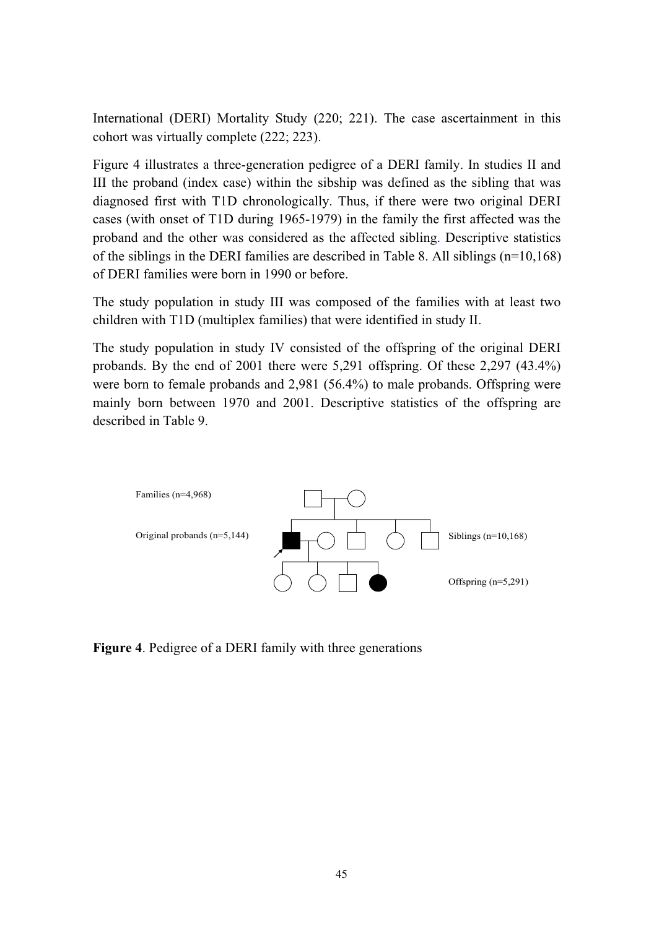International (DERI) Mortality Study (220; 221). The case ascertainment in this cohort was virtually complete (222; 223).

Figure 4 illustrates a three-generation pedigree of a DERI family. In studies II and III the proband (index case) within the sibship was defined as the sibling that was diagnosed first with T1D chronologically. Thus, if there were two original DERI cases (with onset of T1D during 1965-1979) in the family the first affected was the proband and the other was considered as the affected sibling. Descriptive statistics of the siblings in the DERI families are described in Table 8. All siblings  $(n=10,168)$ of DERI families were born in 1990 or before.

The study population in study III was composed of the families with at least two children with T1D (multiplex families) that were identified in study II.

The study population in study IV consisted of the offspring of the original DERI probands. By the end of 2001 there were 5,291 offspring. Of these 2,297 (43.4%) were born to female probands and 2,981 (56.4%) to male probands. Offspring were mainly born between 1970 and 2001. Descriptive statistics of the offspring are described in Table 9.



**Figure 4**. Pedigree of a DERI family with three generations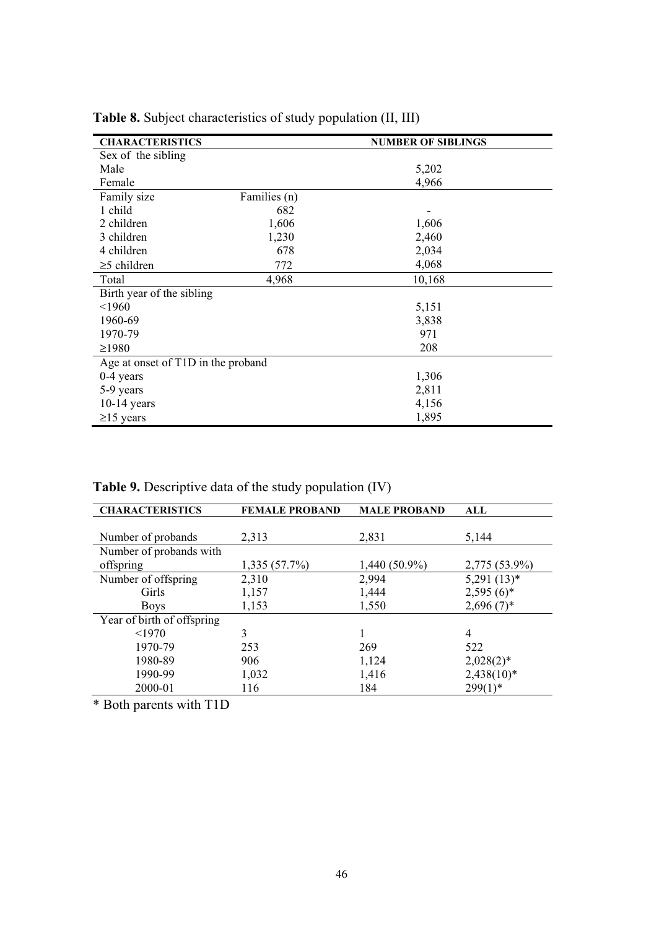| <b>CHARACTERISTICS</b>             |              | <b>NUMBER OF SIBLINGS</b> |
|------------------------------------|--------------|---------------------------|
| Sex of the sibling                 |              |                           |
| Male                               |              | 5,202                     |
| Female                             |              | 4,966                     |
| Family size                        | Families (n) |                           |
| 1 child                            | 682          |                           |
| 2 children                         | 1,606        | 1,606                     |
| 3 children                         | 1,230        | 2,460                     |
| 4 children                         | 678          | 2,034                     |
| $\geq$ 5 children                  | 772          | 4,068                     |
| Total                              | 4,968        | 10,168                    |
| Birth year of the sibling          |              |                           |
| < 1960                             |              | 5,151                     |
| 1960-69                            |              | 3,838                     |
| 1970-79                            |              | 971                       |
| $\geq$ 1980                        |              | 208                       |
| Age at onset of T1D in the proband |              |                           |
| $0-4$ years                        |              | 1,306                     |
| 5-9 years                          |              | 2,811                     |
| $10-14$ years                      |              | 4,156                     |
| $\geq$ 15 years                    |              | 1,895                     |

**Table 8.** Subject characteristics of study population (II, III)

**Table 9.** Descriptive data of the study population (IV)

| <b>CHARACTERISTICS</b>     | <b>FEMALE PROBAND</b> | <b>MALE PROBAND</b> | ALL           |
|----------------------------|-----------------------|---------------------|---------------|
|                            |                       |                     |               |
| Number of probands         | 2,313                 | 2.831               | 5,144         |
| Number of probands with    |                       |                     |               |
| offspring                  | $1,335(57.7\%)$       | 1,440 (50.9%)       | 2,775 (53.9%) |
| Number of offspring        | 2,310                 | 2,994               | $5,291(13)*$  |
| Girls                      | 1,157                 | 1,444               | $2,595(6)^*$  |
| <b>Boys</b>                | 1,153                 | 1,550               | $2,696(7)^*$  |
| Year of birth of offspring |                       |                     |               |
| < 1970                     | 3                     |                     | 4             |
| 1970-79                    | 253                   | 269                 | 522           |
| 1980-89                    | 906                   | 1,124               | $2,028(2)^*$  |
| 1990-99                    | 1,032                 | 1,416               | $2,438(10)*$  |
| 2000-01                    | 116                   | 184                 | $299(1)$ *    |

\* Both parents with T1D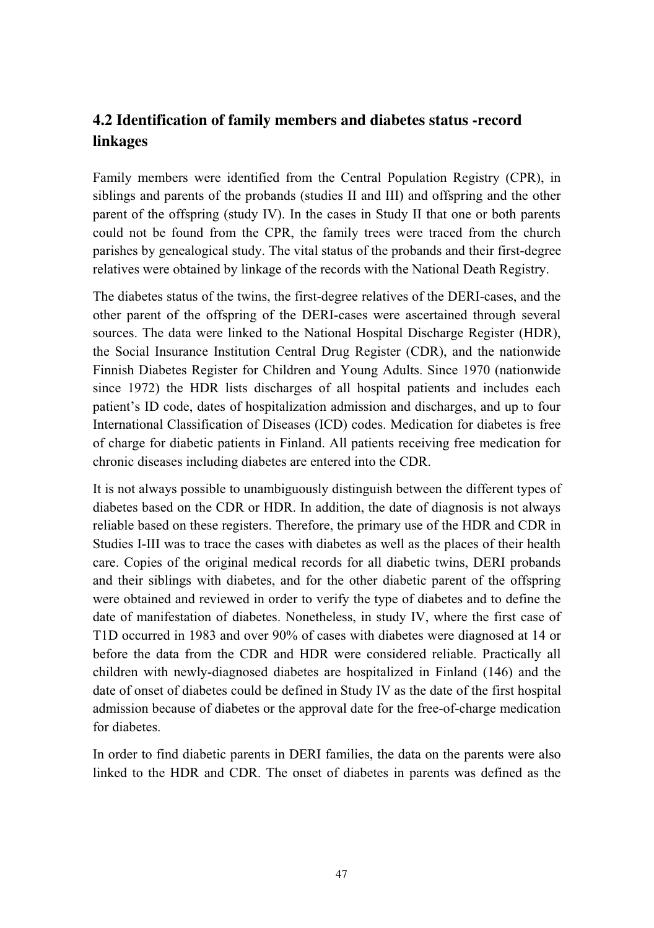# **4.2 Identification of family members and diabetes status -record linkages**

Family members were identified from the Central Population Registry (CPR), in siblings and parents of the probands (studies II and III) and offspring and the other parent of the offspring (study IV). In the cases in Study II that one or both parents could not be found from the CPR, the family trees were traced from the church parishes by genealogical study. The vital status of the probands and their first-degree relatives were obtained by linkage of the records with the National Death Registry.

The diabetes status of the twins, the first-degree relatives of the DERI-cases, and the other parent of the offspring of the DERI-cases were ascertained through several sources. The data were linked to the National Hospital Discharge Register (HDR), the Social Insurance Institution Central Drug Register (CDR), and the nationwide Finnish Diabetes Register for Children and Young Adults. Since 1970 (nationwide since 1972) the HDR lists discharges of all hospital patients and includes each patient's ID code, dates of hospitalization admission and discharges, and up to four International Classification of Diseases (ICD) codes. Medication for diabetes is free of charge for diabetic patients in Finland. All patients receiving free medication for chronic diseases including diabetes are entered into the CDR.

It is not always possible to unambiguously distinguish between the different types of diabetes based on the CDR or HDR. In addition, the date of diagnosis is not always reliable based on these registers. Therefore, the primary use of the HDR and CDR in Studies I-III was to trace the cases with diabetes as well as the places of their health care. Copies of the original medical records for all diabetic twins, DERI probands and their siblings with diabetes, and for the other diabetic parent of the offspring were obtained and reviewed in order to verify the type of diabetes and to define the date of manifestation of diabetes. Nonetheless, in study IV, where the first case of T1D occurred in 1983 and over 90% of cases with diabetes were diagnosed at 14 or before the data from the CDR and HDR were considered reliable. Practically all children with newly-diagnosed diabetes are hospitalized in Finland (146) and the date of onset of diabetes could be defined in Study IV as the date of the first hospital admission because of diabetes or the approval date for the free-of-charge medication for diabetes.

In order to find diabetic parents in DERI families, the data on the parents were also linked to the HDR and CDR. The onset of diabetes in parents was defined as the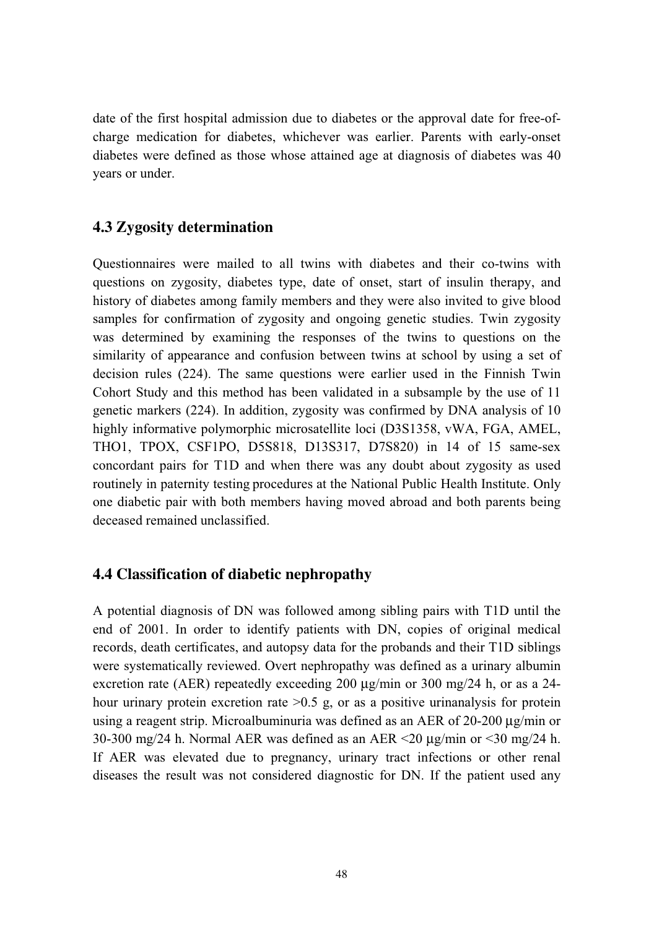date of the first hospital admission due to diabetes or the approval date for free-ofcharge medication for diabetes, whichever was earlier. Parents with early-onset diabetes were defined as those whose attained age at diagnosis of diabetes was 40 years or under.

## **4.3 Zygosity determination**

Questionnaires were mailed to all twins with diabetes and their co-twins with questions on zygosity, diabetes type, date of onset, start of insulin therapy, and history of diabetes among family members and they were also invited to give blood samples for confirmation of zygosity and ongoing genetic studies. Twin zygosity was determined by examining the responses of the twins to questions on the similarity of appearance and confusion between twins at school by using a set of decision rules (224). The same questions were earlier used in the Finnish Twin Cohort Study and this method has been validated in a subsample by the use of 11 genetic markers (224). In addition, zygosity was confirmed by DNA analysis of 10 highly informative polymorphic microsatellite loci (D3S1358, vWA, FGA, AMEL, THO1, TPOX, CSF1PO, D5S818, D13S317, D7S820) in 14 of 15 same-sex concordant pairs for T1D and when there was any doubt about zygosity as used routinely in paternity testing procedures at the National Public Health Institute. Only one diabetic pair with both members having moved abroad and both parents being deceased remained unclassified.

## **4.4 Classification of diabetic nephropathy**

A potential diagnosis of DN was followed among sibling pairs with T1D until the end of 2001. In order to identify patients with DN, copies of original medical records, death certificates, and autopsy data for the probands and their T1D siblings were systematically reviewed. Overt nephropathy was defined as a urinary albumin excretion rate (AER) repeatedly exceeding 200  $\mu$ g/min or 300 mg/24 h, or as a 24hour urinary protein excretion rate  $>0.5$  g, or as a positive urinanalysis for protein using a reagent strip. Microalbuminuria was defined as an AER of 20-200 μg/min or 30-300 mg/24 h. Normal AER was defined as an AER  $\leq$ 20 μg/min or  $\leq$ 30 mg/24 h. If AER was elevated due to pregnancy, urinary tract infections or other renal diseases the result was not considered diagnostic for DN. If the patient used any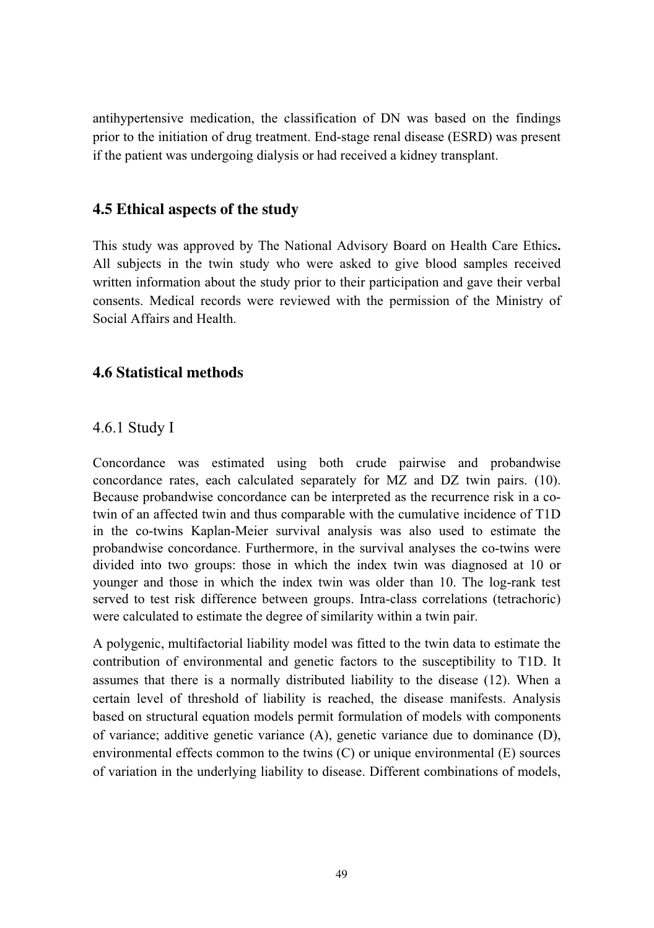antihypertensive medication, the classification of DN was based on the findings prior to the initiation of drug treatment. End-stage renal disease (ESRD) was present if the patient was undergoing dialysis or had received a kidney transplant.

## **4.5 Ethical aspects of the study**

This study was approved by The National Advisory Board on Health Care Ethics**.** All subjects in the twin study who were asked to give blood samples received written information about the study prior to their participation and gave their verbal consents. Medical records were reviewed with the permission of the Ministry of Social Affairs and Health.

## **4.6 Statistical methods**

## 4.6.1 Study I

Concordance was estimated using both crude pairwise and probandwise concordance rates, each calculated separately for MZ and DZ twin pairs. (10). Because probandwise concordance can be interpreted as the recurrence risk in a cotwin of an affected twin and thus comparable with the cumulative incidence of T1D in the co-twins Kaplan-Meier survival analysis was also used to estimate the probandwise concordance. Furthermore, in the survival analyses the co-twins were divided into two groups: those in which the index twin was diagnosed at 10 or younger and those in which the index twin was older than 10. The log-rank test served to test risk difference between groups. Intra-class correlations (tetrachoric) were calculated to estimate the degree of similarity within a twin pair.

A polygenic, multifactorial liability model was fitted to the twin data to estimate the contribution of environmental and genetic factors to the susceptibility to T1D. It assumes that there is a normally distributed liability to the disease (12). When a certain level of threshold of liability is reached, the disease manifests. Analysis based on structural equation models permit formulation of models with components of variance; additive genetic variance (A), genetic variance due to dominance (D), environmental effects common to the twins (C) or unique environmental (E) sources of variation in the underlying liability to disease. Different combinations of models,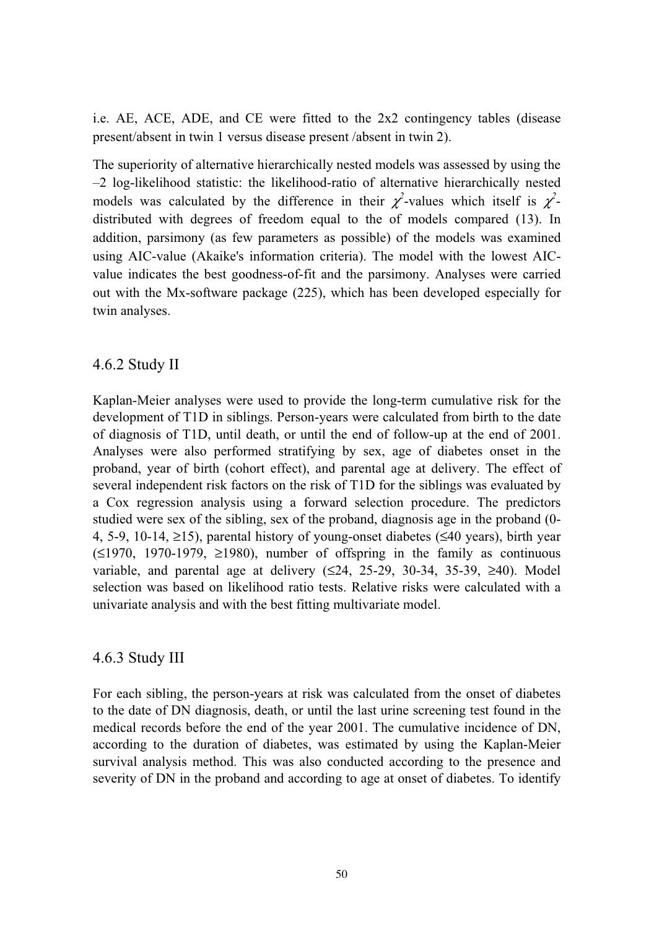i.e. AE, ACE, ADE, and CE were fitted to the 2x2 contingency tables (disease present/absent in twin 1 versus disease present /absent in twin 2).

The superiority of alternative hierarchically nested models was assessed by using the –2 log-likelihood statistic: the likelihood-ratio of alternative hierarchically nested models was calculated by the difference in their  $\chi^2$ -values which itself is  $\chi^2$ distributed with degrees of freedom equal to the of models compared (13). In addition, parsimony (as few parameters as possible) of the models was examined using AIC-value (Akaike's information criteria). The model with the lowest AICvalue indicates the best goodness-of-fit and the parsimony. Analyses were carried out with the Mx-software package (225), which has been developed especially for twin analyses.

#### 4.6.2 Study II

Kaplan-Meier analyses were used to provide the long-term cumulative risk for the development of T1D in siblings. Person-years were calculated from birth to the date of diagnosis of T1D, until death, or until the end of follow-up at the end of 2001. Analyses were also performed stratifying by sex, age of diabetes onset in the proband, year of birth (cohort effect), and parental age at delivery. The effect of several independent risk factors on the risk of T1D for the siblings was evaluated by a Cox regression analysis using a forward selection procedure. The predictors studied were sex of the sibling, sex of the proband, diagnosis age in the proband (0- 4, 5-9, 10-14, ≥15), parental history of young-onset diabetes (≤40 years), birth year  $(\leq 1970, 1970-1979, \geq 1980)$ , number of offspring in the family as continuous variable, and parental age at delivery  $(≤24, 25-29, 30-34, 35-39, ≥40)$ . Model selection was based on likelihood ratio tests. Relative risks were calculated with a univariate analysis and with the best fitting multivariate model.

## 4.6.3 Study III

For each sibling, the person-years at risk was calculated from the onset of diabetes to the date of DN diagnosis, death, or until the last urine screening test found in the medical records before the end of the year 2001. The cumulative incidence of DN, according to the duration of diabetes, was estimated by using the Kaplan-Meier survival analysis method. This was also conducted according to the presence and severity of DN in the proband and according to age at onset of diabetes. To identify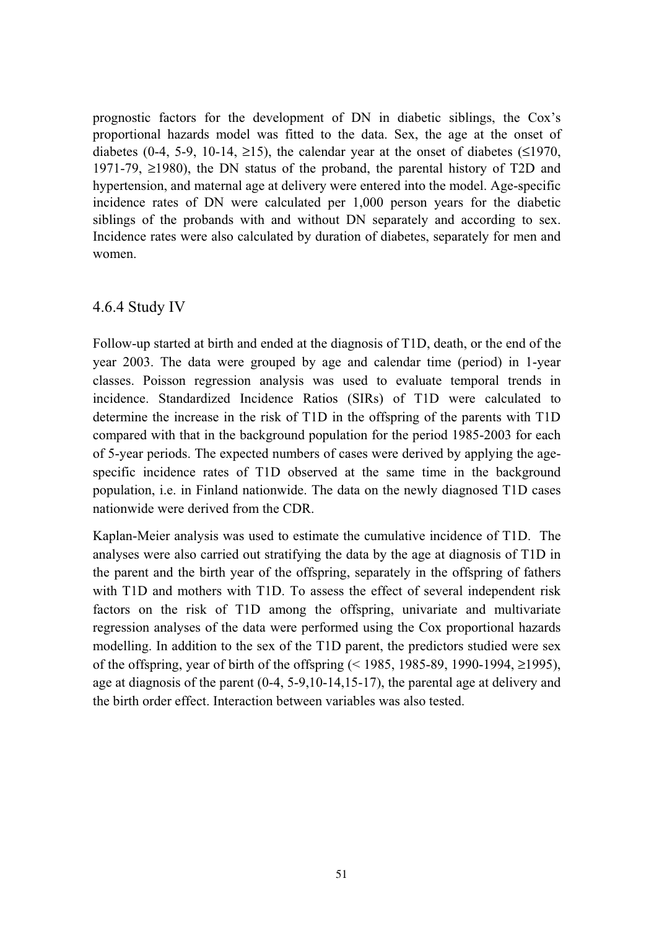prognostic factors for the development of DN in diabetic siblings, the Cox's proportional hazards model was fitted to the data. Sex, the age at the onset of diabetes (0-4, 5-9, 10-14,  $\geq$ 15), the calendar year at the onset of diabetes ( $\leq$ 1970, 1971-79, ≥1980), the DN status of the proband, the parental history of T2D and hypertension, and maternal age at delivery were entered into the model. Age-specific incidence rates of DN were calculated per 1,000 person years for the diabetic siblings of the probands with and without DN separately and according to sex. Incidence rates were also calculated by duration of diabetes, separately for men and women.

#### 4.6.4 Study IV

Follow-up started at birth and ended at the diagnosis of T1D, death, or the end of the year 2003. The data were grouped by age and calendar time (period) in 1-year classes. Poisson regression analysis was used to evaluate temporal trends in incidence. Standardized Incidence Ratios (SIRs) of T1D were calculated to determine the increase in the risk of T1D in the offspring of the parents with T1D compared with that in the background population for the period 1985-2003 for each of 5-year periods. The expected numbers of cases were derived by applying the agespecific incidence rates of T1D observed at the same time in the background population, i.e. in Finland nationwide. The data on the newly diagnosed T1D cases nationwide were derived from the CDR.

Kaplan-Meier analysis was used to estimate the cumulative incidence of T1D. The analyses were also carried out stratifying the data by the age at diagnosis of T1D in the parent and the birth year of the offspring, separately in the offspring of fathers with T1D and mothers with T1D. To assess the effect of several independent risk factors on the risk of T1D among the offspring, univariate and multivariate regression analyses of the data were performed using the Cox proportional hazards modelling. In addition to the sex of the T1D parent, the predictors studied were sex of the offspring, year of birth of the offspring (< 1985, 1985-89, 1990-1994, ≥1995), age at diagnosis of the parent (0-4, 5-9,10-14,15-17), the parental age at delivery and the birth order effect. Interaction between variables was also tested.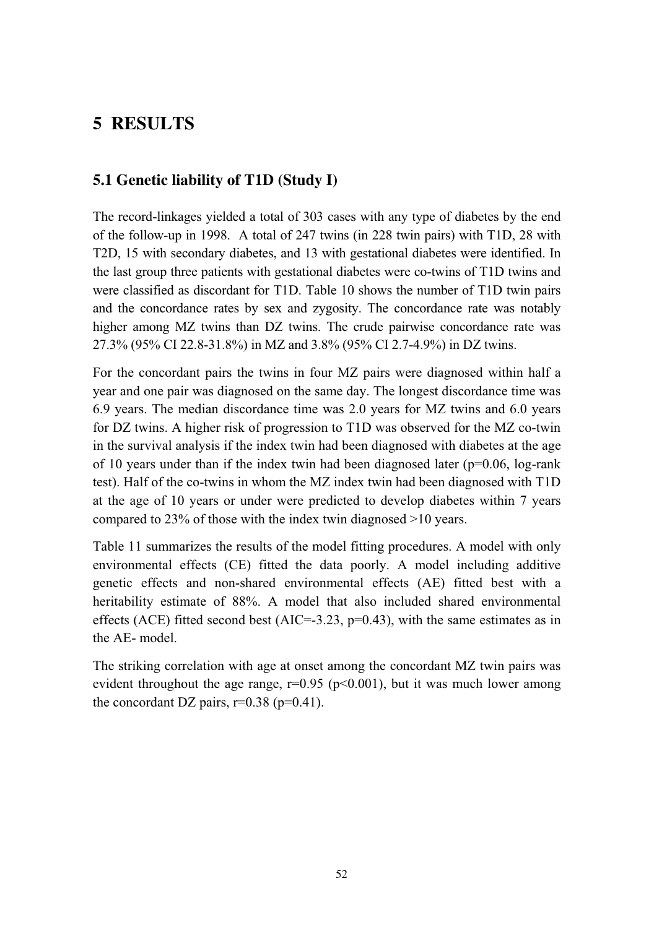# **5 RESULTS**

## **5.1 Genetic liability of T1D (Study I)**

The record-linkages yielded a total of 303 cases with any type of diabetes by the end of the follow-up in 1998. A total of 247 twins (in 228 twin pairs) with T1D, 28 with T2D, 15 with secondary diabetes, and 13 with gestational diabetes were identified. In the last group three patients with gestational diabetes were co-twins of T1D twins and were classified as discordant for T1D. Table 10 shows the number of T1D twin pairs and the concordance rates by sex and zygosity. The concordance rate was notably higher among MZ twins than DZ twins. The crude pairwise concordance rate was 27.3% (95% CI 22.8-31.8%) in MZ and 3.8% (95% CI 2.7-4.9%) in DZ twins.

For the concordant pairs the twins in four MZ pairs were diagnosed within half a year and one pair was diagnosed on the same day. The longest discordance time was 6.9 years. The median discordance time was 2.0 years for MZ twins and 6.0 years for DZ twins. A higher risk of progression to T1D was observed for the MZ co-twin in the survival analysis if the index twin had been diagnosed with diabetes at the age of 10 years under than if the index twin had been diagnosed later ( $p=0.06$ , log-rank test). Half of the co-twins in whom the MZ index twin had been diagnosed with T1D at the age of 10 years or under were predicted to develop diabetes within 7 years compared to 23% of those with the index twin diagnosed >10 years.

Table 11 summarizes the results of the model fitting procedures. A model with only environmental effects (CE) fitted the data poorly. A model including additive genetic effects and non-shared environmental effects (AE) fitted best with a heritability estimate of 88%. A model that also included shared environmental effects (ACE) fitted second best (AIC=-3.23,  $p=0.43$ ), with the same estimates as in the AE- model.

The striking correlation with age at onset among the concordant MZ twin pairs was evident throughout the age range,  $r=0.95$  ( $p<0.001$ ), but it was much lower among the concordant DZ pairs,  $r=0.38$  ( $p=0.41$ ).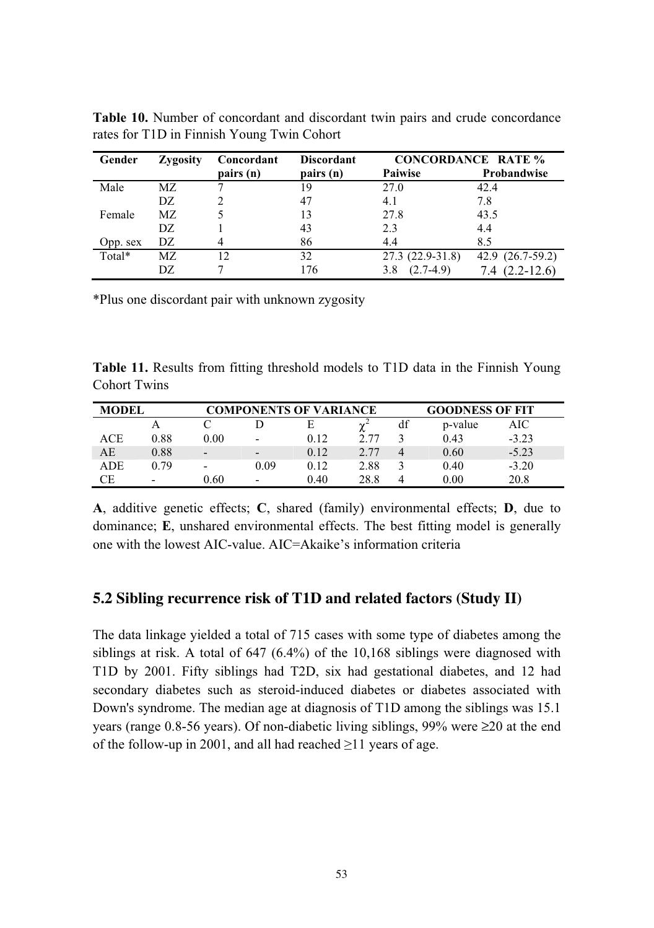| Gender   | Zygosity | Concordant | <b>Discordant</b> |                    | <b>CONCORDANCE RATE %</b> |
|----------|----------|------------|-------------------|--------------------|---------------------------|
|          |          | pairs (n)  | pairs (n)         | Paiwise            | Probandwise               |
| Male     | MZ       |            | 19                | 27.0               | 42.4                      |
|          | DZ       |            | 47                | 4.1                | 7.8                       |
| Female   | MZ.      |            | 13                | 27.8               | 43.5                      |
|          | DZ.      |            | 43                | 2.3                | 4.4                       |
| Opp. sex | DZ.      |            | 86                | 4.4                | 8.5                       |
| Total*   | MZ.      | 12         | 32                | 27.3 (22.9-31.8)   | 42.9 (26.7-59.2)          |
|          | DZ       |            | 176               | $(2.7-4.9)$<br>3.8 | $7.4(2.2-12.6)$           |

**Table 10.** Number of concordant and discordant twin pairs and crude concordance rates for T1D in Finnish Young Twin Cohort

\*Plus one discordant pair with unknown zygosity

**Table 11.** Results from fitting threshold models to T1D data in the Finnish Young Cohort Twins

| <b>MODEL</b> |                          |                          |                          | <b>COMPONENTS OF VARIANCE</b> |      |    | <b>GOODNESS OF FIT</b> |         |
|--------------|--------------------------|--------------------------|--------------------------|-------------------------------|------|----|------------------------|---------|
|              |                          |                          |                          | E                             |      | df | p-value                | AIC     |
| ACE          | 0.88                     | 0.00                     | $\overline{\phantom{0}}$ | 0.12                          | 2.77 |    | 0.43                   | $-3.23$ |
| AE           | 0.88                     | $\overline{\phantom{0}}$ | $\overline{\phantom{0}}$ | 0.12                          | 2.77 |    | 0.60                   | $-5.23$ |
| <b>ADE</b>   | 0.79                     | $\overline{\phantom{0}}$ | 0.09                     | 0.12                          | 2.88 |    | 0.40                   | $-3.20$ |
| СE           | $\overline{\phantom{0}}$ | 0.60                     | $\overline{\phantom{0}}$ | 0.40                          | 28.8 |    | 0.00                   | 20.8    |

**A**, additive genetic effects; **C**, shared (family) environmental effects; **D**, due to dominance; **E**, unshared environmental effects. The best fitting model is generally one with the lowest AIC-value. AIC=Akaike's information criteria

#### **5.2 Sibling recurrence risk of T1D and related factors (Study II)**

The data linkage yielded a total of 715 cases with some type of diabetes among the siblings at risk. A total of 647 (6.4%) of the 10,168 siblings were diagnosed with T1D by 2001. Fifty siblings had T2D, six had gestational diabetes, and 12 had secondary diabetes such as steroid-induced diabetes or diabetes associated with Down's syndrome. The median age at diagnosis of T1D among the siblings was 15.1 years (range 0.8-56 years). Of non-diabetic living siblings, 99% were ≥20 at the end of the follow-up in 2001, and all had reached  $\geq$ 11 years of age.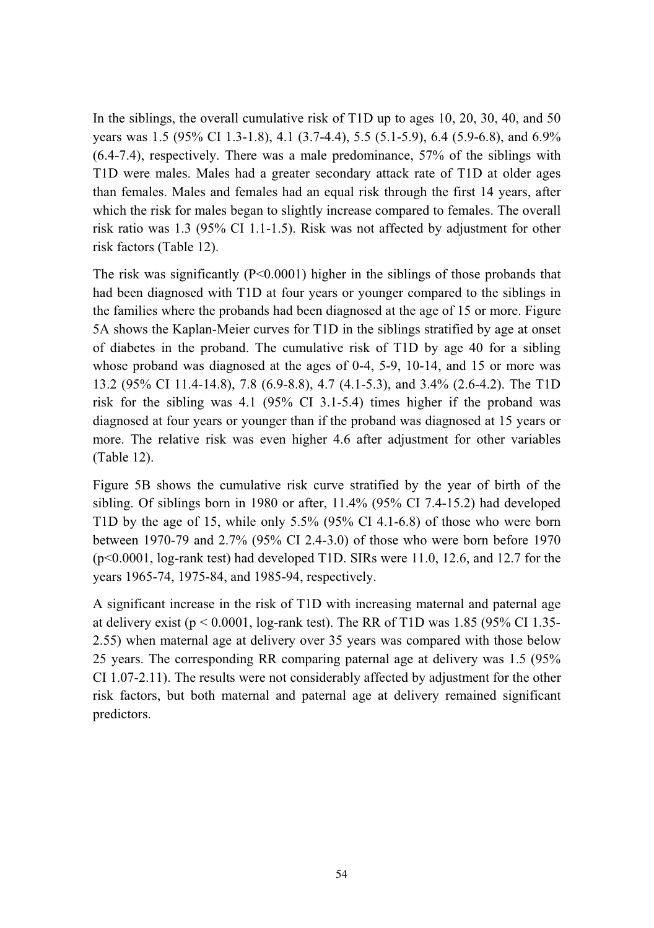In the siblings, the overall cumulative risk of T1D up to ages 10, 20, 30, 40, and 50 years was 1.5 (95% CI 1.3-1.8), 4.1 (3.7-4.4), 5.5 (5.1-5.9), 6.4 (5.9-6.8), and 6.9% (6.4-7.4), respectively. There was a male predominance, 57% of the siblings with T1D were males. Males had a greater secondary attack rate of T1D at older ages than females. Males and females had an equal risk through the first 14 years, after which the risk for males began to slightly increase compared to females. The overall risk ratio was 1.3 (95% CI 1.1-1.5). Risk was not affected by adjustment for other risk factors (Table 12).

The risk was significantly (P<0.0001) higher in the siblings of those probands that had been diagnosed with T1D at four years or younger compared to the siblings in the families where the probands had been diagnosed at the age of 15 or more. Figure 5A shows the Kaplan-Meier curves for T1D in the siblings stratified by age at onset of diabetes in the proband. The cumulative risk of T1D by age 40 for a sibling whose proband was diagnosed at the ages of 0-4, 5-9, 10-14, and 15 or more was 13.2 (95% CI 11.4-14.8), 7.8 (6.9-8.8), 4.7 (4.1-5.3), and 3.4% (2.6-4.2). The T1D risk for the sibling was 4.1 (95% CI 3.1-5.4) times higher if the proband was diagnosed at four years or younger than if the proband was diagnosed at 15 years or more. The relative risk was even higher 4.6 after adjustment for other variables (Table 12).

Figure 5B shows the cumulative risk curve stratified by the year of birth of the sibling. Of siblings born in 1980 or after, 11.4% (95% CI 7.4-15.2) had developed T1D by the age of 15, while only 5.5% (95% CI 4.1-6.8) of those who were born between 1970-79 and 2.7% (95% CI 2.4-3.0) of those who were born before 1970 (p<0.0001, log-rank test) had developed T1D. SIRs were 11.0, 12.6, and 12.7 for the years 1965-74, 1975-84, and 1985-94, respectively.

A significant increase in the risk of T1D with increasing maternal and paternal age at delivery exist ( $p \le 0.0001$ , log-rank test). The RR of T1D was 1.85 (95% CI 1.35-2.55) when maternal age at delivery over 35 years was compared with those below 25 years. The corresponding RR comparing paternal age at delivery was 1.5 (95% CI 1.07-2.11). The results were not considerably affected by adjustment for the other risk factors, but both maternal and paternal age at delivery remained significant predictors.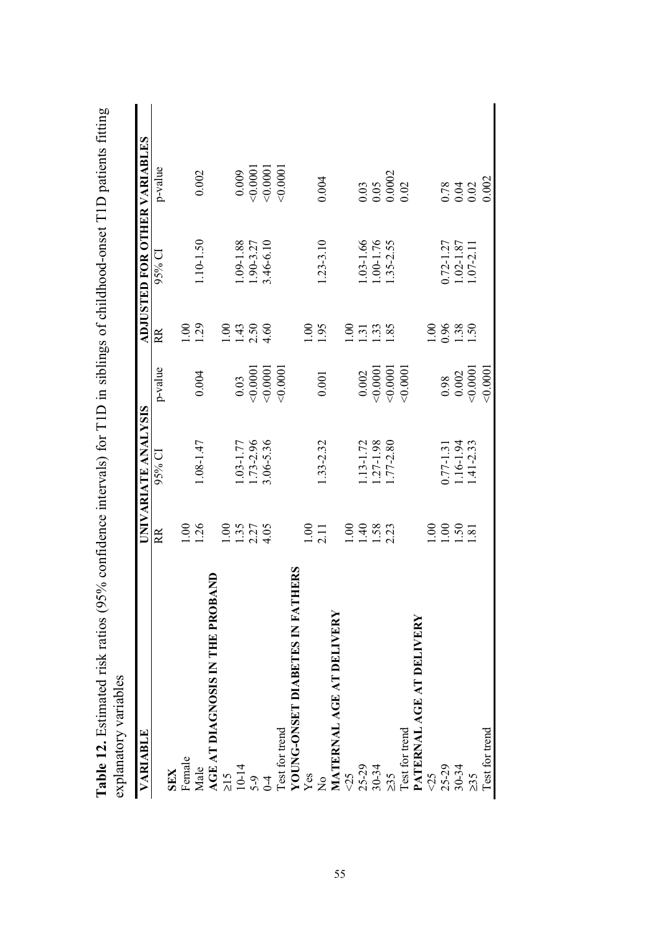| ranne 17: Exemplated 118 Islam (2.2.2.0 Control of the March 2.2.0 City of the United States of the United States of the Daniel String<br>6S<br>explanatory variabl |                            |                     |          |                                                     |                                |                                                               |
|---------------------------------------------------------------------------------------------------------------------------------------------------------------------|----------------------------|---------------------|----------|-----------------------------------------------------|--------------------------------|---------------------------------------------------------------|
| VARIABLE                                                                                                                                                            |                            | UNIVARIATE ANALYSIS |          |                                                     |                                | ADJUSTED FOR OTHER VARIABLES                                  |
|                                                                                                                                                                     | RR                         | $95\%$ CI           | p-value  | RR                                                  | $95%$ CI                       | p-value                                                       |
| <b>SEX</b>                                                                                                                                                          |                            |                     |          |                                                     |                                |                                                               |
| Female                                                                                                                                                              | 00.1                       |                     |          | 00                                                  |                                |                                                               |
|                                                                                                                                                                     | 1.26                       | 1.08-1.47           | 0.004    | 1.29                                                | $1.10 - 1.50$                  | 0.002                                                         |
| <b>S IN THE PROBAND</b><br>Male<br>$\overline{AGE}$ AT DIAGNOSIS<br>$\geq 15$<br>$\frac{10}{10}$<br>$5.9$<br>$0.4$                                                  |                            |                     |          |                                                     |                                |                                                               |
|                                                                                                                                                                     | 00.1                       |                     |          | 00.1                                                |                                |                                                               |
|                                                                                                                                                                     |                            | $.03 - 1.77$        | 0.03     |                                                     | $.09 - 1.88$                   | 0.009                                                         |
|                                                                                                                                                                     | $1.35$<br>$2.27$<br>$4.05$ | $1.73 - 2.96$       | 0.0001   | $\frac{43}{1.50}$                                   |                                | < 0.0001                                                      |
|                                                                                                                                                                     |                            | 3.06-5.36           | 0.0001   |                                                     | 1.90-3.27<br>3.46-6.10         | 0.0001                                                        |
| Test for trend<br>YOUNG-ONSET<br>Yes                                                                                                                                |                            |                     | 0.0001   |                                                     |                                | 0.0001                                                        |
| ABETES IN FATHERS<br>Ē                                                                                                                                              |                            |                     |          |                                                     |                                |                                                               |
|                                                                                                                                                                     | 1.00                       |                     |          | $\overline{00}$                                     |                                |                                                               |
| $\frac{1}{2}$                                                                                                                                                       | 2.11                       | 1.33-2.32           | 0.001    | 1.95                                                | $1.23 - 3.10$                  | 0.004                                                         |
| MATERNAL AGE AT DELIVERY                                                                                                                                            |                            |                     |          |                                                     |                                |                                                               |
|                                                                                                                                                                     | 00.1                       |                     |          | $\frac{1}{2}$                                       |                                |                                                               |
|                                                                                                                                                                     | $\overline{0}$             | $.13 - 1.72$        | 0.002    |                                                     | $.03 - 1.66$                   |                                                               |
|                                                                                                                                                                     |                            | $.27 - 1.98$        | < 0.0001 | $\frac{7}{1} \cdot \frac{3}{2} \cdot \frac{3}{2}$   | $.00 - 1.76$                   |                                                               |
| $725$<br>$25-29$<br>$30-34$<br>$25$                                                                                                                                 | 1.58                       | $.77 - 2.80$        | 0.0001   |                                                     | $.35 - 2.55$                   | $\begin{array}{c} 0.03 \\ 0.05 \\ 0.0002 \\ 0.02 \end{array}$ |
|                                                                                                                                                                     |                            |                     | 0.0001   |                                                     |                                |                                                               |
| <b>T DELIVERY</b><br>Test for trend<br>PATERNAL AGE A                                                                                                               |                            |                     |          |                                                     |                                |                                                               |
| 55                                                                                                                                                                  | 00                         |                     |          | 00                                                  |                                |                                                               |
| $25-29$<br>30-34                                                                                                                                                    | 00.1                       | 0.77-1.31           | 0.98     | $\begin{array}{c} 0.96 \\ 1.50 \\ 1.50 \end{array}$ |                                |                                                               |
|                                                                                                                                                                     |                            | 1.16-1.94           | 0.002    |                                                     | $0.72 - 1.27$<br>$1.02 - 1.87$ | $0.78$<br>$0.02$                                              |
| $\geq$ 35                                                                                                                                                           | $\frac{1.50}{2.51}$        | $1.41 - 2.33$       | 0.0001   |                                                     | 1.07-2.11                      |                                                               |
| Test for trend                                                                                                                                                      |                            |                     | 0.0001   |                                                     |                                | 0.002                                                         |
|                                                                                                                                                                     |                            |                     |          |                                                     |                                |                                                               |

**Table 12.** Estimated risk ratios (95% confidence intervals) for T1D in siblings of childhood-onset T1D patients fitting **Table 12.** Estimated risk ratios (95% confidence intervals) for T1D in siblings of childhood-onset T1D patients fifting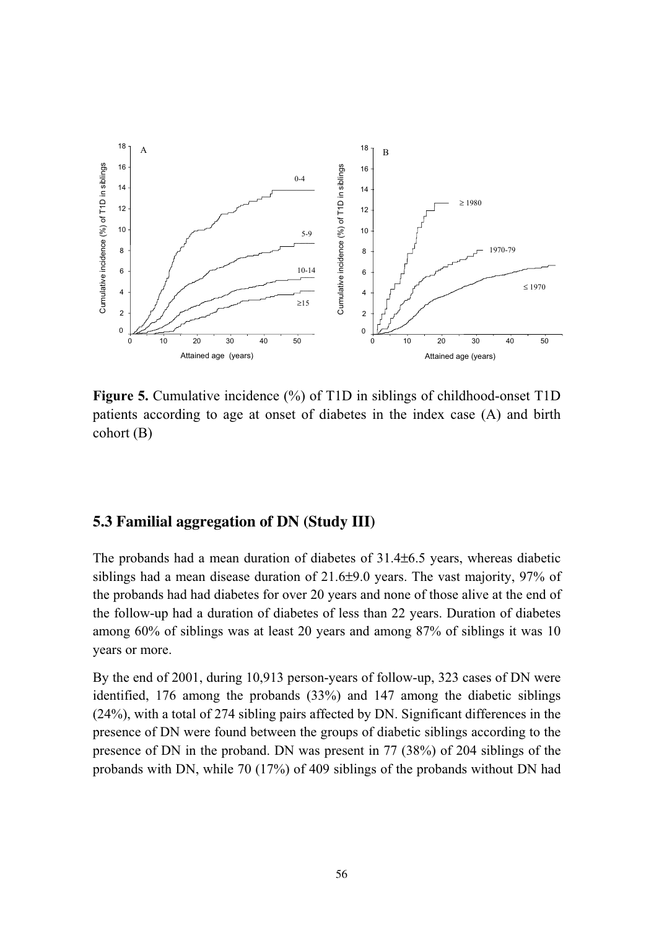

**Figure 5.** Cumulative incidence (%) of T1D in siblings of childhood-onset T1D patients according to age at onset of diabetes in the index case (A) and birth cohort (B)

## **5.3 Familial aggregation of DN (Study III)**

The probands had a mean duration of diabetes of 31.4±6.5 years, whereas diabetic siblings had a mean disease duration of 21.6±9.0 years. The vast majority, 97% of the probands had had diabetes for over 20 years and none of those alive at the end of the follow-up had a duration of diabetes of less than 22 years. Duration of diabetes among 60% of siblings was at least 20 years and among 87% of siblings it was 10 years or more.

By the end of 2001, during 10,913 person-years of follow-up, 323 cases of DN were identified, 176 among the probands (33%) and 147 among the diabetic siblings (24%), with a total of 274 sibling pairs affected by DN. Significant differences in the presence of DN were found between the groups of diabetic siblings according to the presence of DN in the proband. DN was present in 77 (38%) of 204 siblings of the probands with DN, while 70 (17%) of 409 siblings of the probands without DN had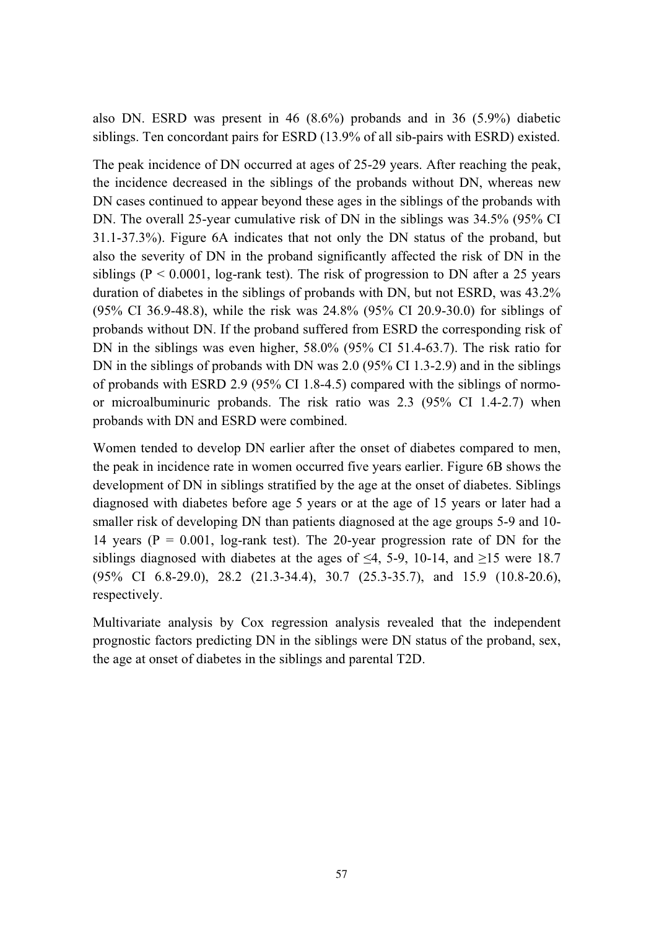also DN. ESRD was present in 46 (8.6%) probands and in 36 (5.9%) diabetic siblings. Ten concordant pairs for ESRD (13.9% of all sib-pairs with ESRD) existed.

The peak incidence of DN occurred at ages of 25-29 years. After reaching the peak, the incidence decreased in the siblings of the probands without DN, whereas new DN cases continued to appear beyond these ages in the siblings of the probands with DN. The overall 25-year cumulative risk of DN in the siblings was 34.5% (95% CI 31.1-37.3%). Figure 6A indicates that not only the DN status of the proband, but also the severity of DN in the proband significantly affected the risk of DN in the siblings ( $P < 0.0001$ , log-rank test). The risk of progression to DN after a 25 years duration of diabetes in the siblings of probands with DN, but not ESRD, was 43.2% (95% CI 36.9-48.8), while the risk was 24.8% (95% CI 20.9-30.0) for siblings of probands without DN. If the proband suffered from ESRD the corresponding risk of DN in the siblings was even higher, 58.0% (95% CI 51.4-63.7). The risk ratio for DN in the siblings of probands with DN was 2.0 (95% CI 1.3-2.9) and in the siblings of probands with ESRD 2.9 (95% CI 1.8-4.5) compared with the siblings of normoor microalbuminuric probands. The risk ratio was 2.3 (95% CI 1.4-2.7) when probands with DN and ESRD were combined.

Women tended to develop DN earlier after the onset of diabetes compared to men, the peak in incidence rate in women occurred five years earlier. Figure 6B shows the development of DN in siblings stratified by the age at the onset of diabetes. Siblings diagnosed with diabetes before age 5 years or at the age of 15 years or later had a smaller risk of developing DN than patients diagnosed at the age groups 5-9 and 10- 14 years ( $P = 0.001$ , log-rank test). The 20-year progression rate of DN for the siblings diagnosed with diabetes at the ages of  $\leq 4$ , 5-9, 10-14, and  $\geq 15$  were 18.7 (95% CI 6.8-29.0), 28.2 (21.3-34.4), 30.7 (25.3-35.7), and 15.9 (10.8-20.6), respectively.

Multivariate analysis by Cox regression analysis revealed that the independent prognostic factors predicting DN in the siblings were DN status of the proband, sex, the age at onset of diabetes in the siblings and parental T2D.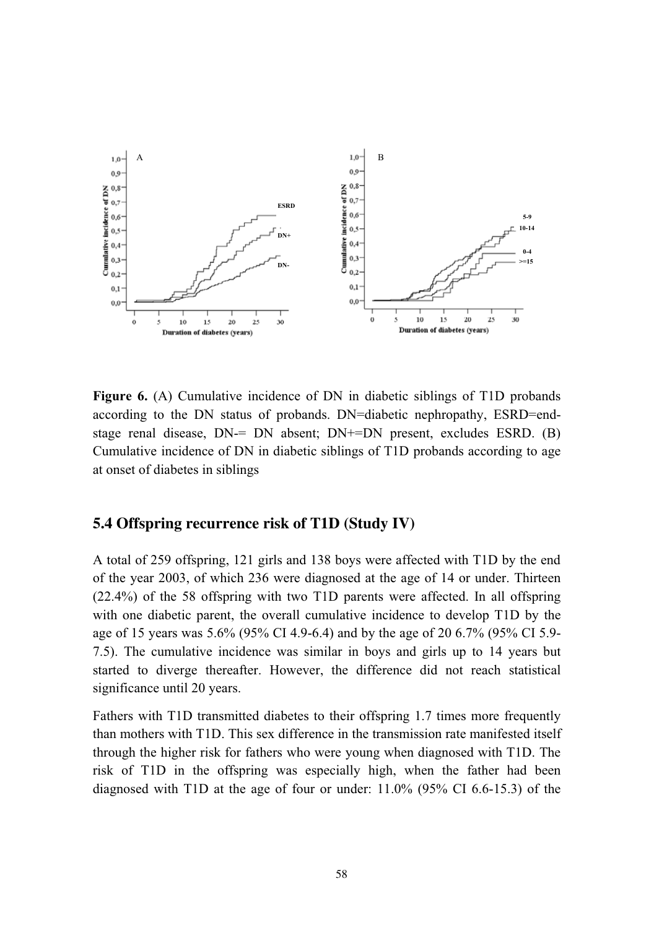

**Figure 6.** (A) Cumulative incidence of DN in diabetic siblings of T1D probands according to the DN status of probands. DN=diabetic nephropathy, ESRD=endstage renal disease, DN-= DN absent; DN+=DN present, excludes ESRD. (B) Cumulative incidence of DN in diabetic siblings of T1D probands according to age at onset of diabetes in siblings

#### **5.4 Offspring recurrence risk of T1D (Study IV)**

A total of 259 offspring, 121 girls and 138 boys were affected with T1D by the end of the year 2003, of which 236 were diagnosed at the age of 14 or under. Thirteen (22.4%) of the 58 offspring with two T1D parents were affected. In all offspring with one diabetic parent, the overall cumulative incidence to develop T1D by the age of 15 years was 5.6% (95% CI 4.9-6.4) and by the age of 20 6.7% (95% CI 5.9- 7.5). The cumulative incidence was similar in boys and girls up to 14 years but started to diverge thereafter. However, the difference did not reach statistical significance until 20 years.

Fathers with T1D transmitted diabetes to their offspring 1.7 times more frequently than mothers with T1D. This sex difference in the transmission rate manifested itself through the higher risk for fathers who were young when diagnosed with T1D. The risk of T1D in the offspring was especially high, when the father had been diagnosed with T1D at the age of four or under: 11.0% (95% CI 6.6-15.3) of the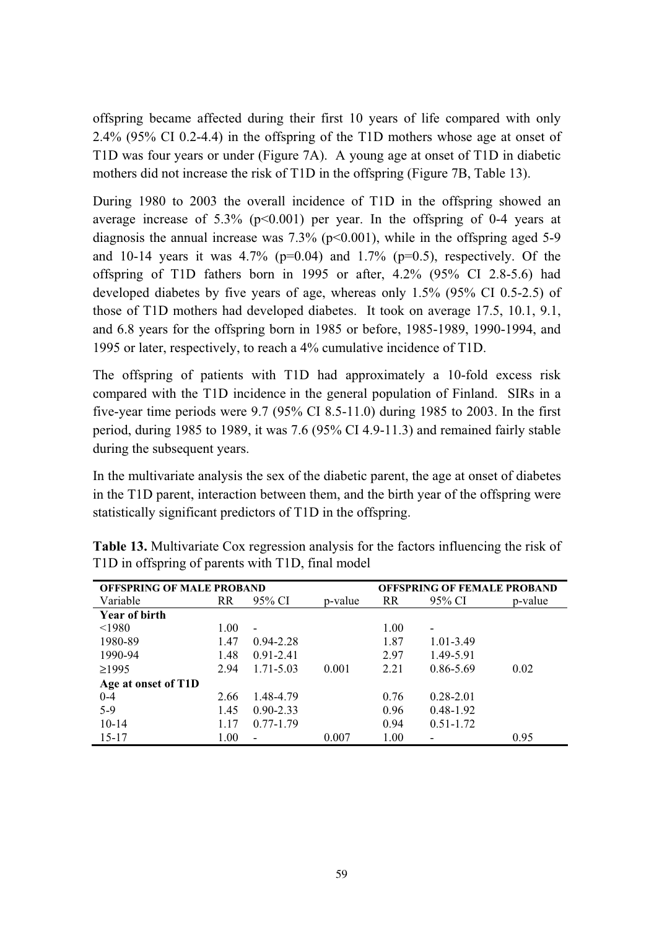offspring became affected during their first 10 years of life compared with only 2.4% (95% CI 0.2-4.4) in the offspring of the T1D mothers whose age at onset of T1D was four years or under (Figure 7A). A young age at onset of T1D in diabetic mothers did not increase the risk of T1D in the offspring (Figure 7B, Table 13).

During 1980 to 2003 the overall incidence of T1D in the offspring showed an average increase of  $5.3\%$  (p<0.001) per year. In the offspring of 0-4 years at diagnosis the annual increase was  $7.3\%$  (p<0.001), while in the offspring aged 5-9 and 10-14 years it was  $4.7\%$  (p=0.04) and 1.7% (p=0.5), respectively. Of the offspring of T1D fathers born in 1995 or after, 4.2% (95% CI 2.8-5.6) had developed diabetes by five years of age, whereas only 1.5% (95% CI 0.5-2.5) of those of T1D mothers had developed diabetes. It took on average 17.5, 10.1, 9.1, and 6.8 years for the offspring born in 1985 or before, 1985-1989, 1990-1994, and 1995 or later, respectively, to reach a 4% cumulative incidence of T1D.

The offspring of patients with T1D had approximately a 10-fold excess risk compared with the T1D incidence in the general population of Finland. SIRs in a five-year time periods were 9.7 (95% CI 8.5-11.0) during 1985 to 2003. In the first period, during 1985 to 1989, it was 7.6 (95% CI 4.9-11.3) and remained fairly stable during the subsequent years.

In the multivariate analysis the sex of the diabetic parent, the age at onset of diabetes in the T1D parent, interaction between them, and the birth year of the offspring were statistically significant predictors of T1D in the offspring.

| <b>OFFSPRING OF MALE PROBAND</b> |      |                          |         |      | <b>OFFSPRING OF FEMALE PROBAND</b> |         |
|----------------------------------|------|--------------------------|---------|------|------------------------------------|---------|
| Variable                         | RR   | 95% CI                   | p-value | RR   | 95% CI                             | p-value |
| Year of birth                    |      |                          |         |      |                                    |         |
| < 1980                           | 1.00 | $\overline{\phantom{a}}$ |         | 1.00 | $\overline{\phantom{0}}$           |         |
| 1980-89                          | 1.47 | $0.94 - 2.28$            |         | 1.87 | 1.01-3.49                          |         |
| 1990-94                          | 1.48 | $0.91 - 2.41$            |         | 2.97 | 1.49-5.91                          |         |
| $\geq$ 1995                      | 2.94 | $1.71 - 5.03$            | 0.001   | 2.21 | 0.86-5.69                          | 0.02    |
| Age at onset of T1D              |      |                          |         |      |                                    |         |
| $0 - 4$                          | 2.66 | 1.48-4.79                |         | 0.76 | $0.28 - 2.01$                      |         |
| $5-9$                            | 1.45 | $0.90 - 2.33$            |         | 0.96 | $0.48 - 1.92$                      |         |
| $10 - 14$                        | 1.17 | $0.77 - 1.79$            |         | 0.94 | $0.51 - 1.72$                      |         |
| $15 - 17$                        | 1.00 |                          | 0.007   | 1.00 |                                    | 0.95    |

**Table 13.** Multivariate Cox regression analysis for the factors influencing the risk of T1D in offspring of parents with T1D, final model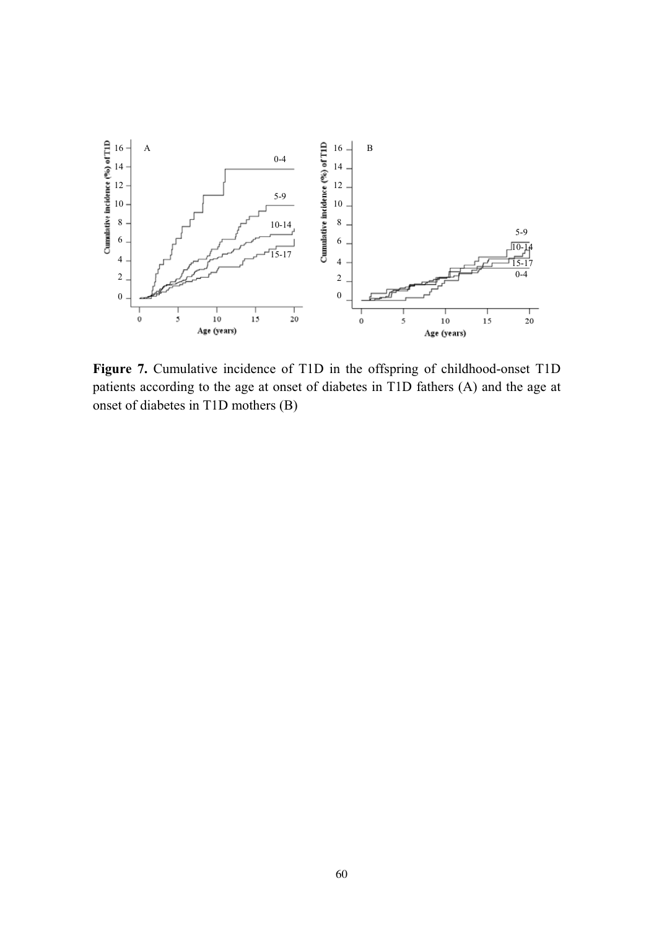

**Figure 7.** Cumulative incidence of T1D in the offspring of childhood-onset T1D patients according to the age at onset of diabetes in T1D fathers (A) and the age at onset of diabetes in T1D mothers (B)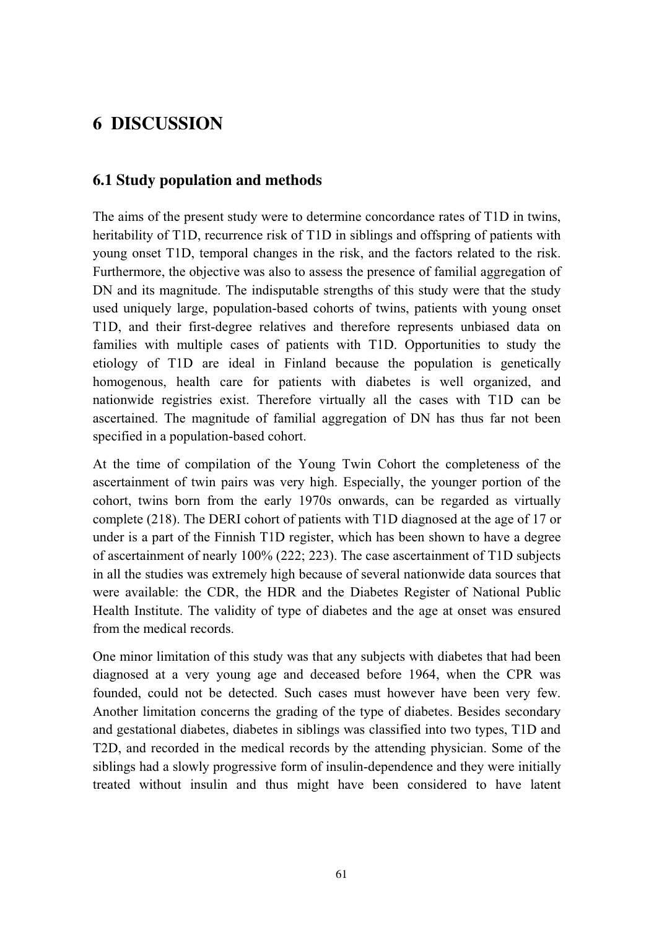# **6 DISCUSSION**

## **6.1 Study population and methods**

The aims of the present study were to determine concordance rates of T1D in twins, heritability of T1D, recurrence risk of T1D in siblings and offspring of patients with young onset T1D, temporal changes in the risk, and the factors related to the risk. Furthermore, the objective was also to assess the presence of familial aggregation of DN and its magnitude. The indisputable strengths of this study were that the study used uniquely large, population-based cohorts of twins, patients with young onset T1D, and their first-degree relatives and therefore represents unbiased data on families with multiple cases of patients with T1D. Opportunities to study the etiology of T1D are ideal in Finland because the population is genetically homogenous, health care for patients with diabetes is well organized, and nationwide registries exist. Therefore virtually all the cases with T1D can be ascertained. The magnitude of familial aggregation of DN has thus far not been specified in a population-based cohort.

At the time of compilation of the Young Twin Cohort the completeness of the ascertainment of twin pairs was very high. Especially, the younger portion of the cohort, twins born from the early 1970s onwards, can be regarded as virtually complete (218). The DERI cohort of patients with T1D diagnosed at the age of 17 or under is a part of the Finnish T1D register, which has been shown to have a degree of ascertainment of nearly 100% (222; 223). The case ascertainment of T1D subjects in all the studies was extremely high because of several nationwide data sources that were available: the CDR, the HDR and the Diabetes Register of National Public Health Institute. The validity of type of diabetes and the age at onset was ensured from the medical records.

One minor limitation of this study was that any subjects with diabetes that had been diagnosed at a very young age and deceased before 1964, when the CPR was founded, could not be detected. Such cases must however have been very few. Another limitation concerns the grading of the type of diabetes. Besides secondary and gestational diabetes, diabetes in siblings was classified into two types, T1D and T2D, and recorded in the medical records by the attending physician. Some of the siblings had a slowly progressive form of insulin-dependence and they were initially treated without insulin and thus might have been considered to have latent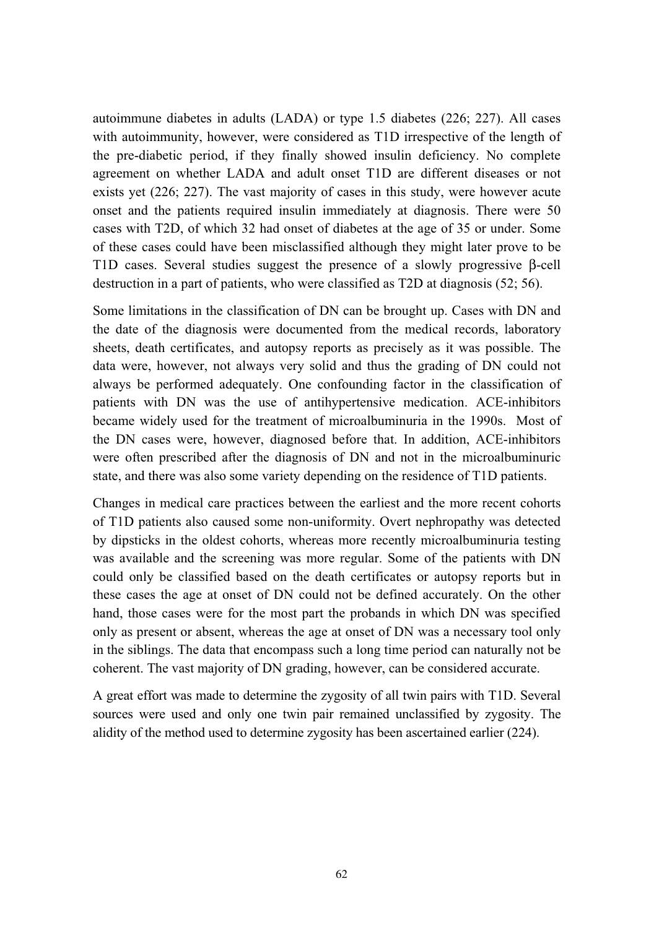autoimmune diabetes in adults (LADA) or type 1.5 diabetes (226; 227). All cases with autoimmunity, however, were considered as T1D irrespective of the length of the pre-diabetic period, if they finally showed insulin deficiency. No complete agreement on whether LADA and adult onset T1D are different diseases or not exists yet (226; 227). The vast majority of cases in this study, were however acute onset and the patients required insulin immediately at diagnosis. There were 50 cases with T2D, of which 32 had onset of diabetes at the age of 35 or under. Some of these cases could have been misclassified although they might later prove to be T1D cases. Several studies suggest the presence of a slowly progressive β-cell destruction in a part of patients, who were classified as T2D at diagnosis (52; 56).

Some limitations in the classification of DN can be brought up. Cases with DN and the date of the diagnosis were documented from the medical records, laboratory sheets, death certificates, and autopsy reports as precisely as it was possible. The data were, however, not always very solid and thus the grading of DN could not always be performed adequately. One confounding factor in the classification of patients with DN was the use of antihypertensive medication. ACE-inhibitors became widely used for the treatment of microalbuminuria in the 1990s. Most of the DN cases were, however, diagnosed before that. In addition, ACE-inhibitors were often prescribed after the diagnosis of DN and not in the microalbuminuric state, and there was also some variety depending on the residence of T1D patients.

Changes in medical care practices between the earliest and the more recent cohorts of T1D patients also caused some non-uniformity. Overt nephropathy was detected by dipsticks in the oldest cohorts, whereas more recently microalbuminuria testing was available and the screening was more regular. Some of the patients with DN could only be classified based on the death certificates or autopsy reports but in these cases the age at onset of DN could not be defined accurately. On the other hand, those cases were for the most part the probands in which DN was specified only as present or absent, whereas the age at onset of DN was a necessary tool only in the siblings. The data that encompass such a long time period can naturally not be coherent. The vast majority of DN grading, however, can be considered accurate.

A great effort was made to determine the zygosity of all twin pairs with T1D. Several sources were used and only one twin pair remained unclassified by zygosity. The alidity of the method used to determine zygosity has been ascertained earlier (224).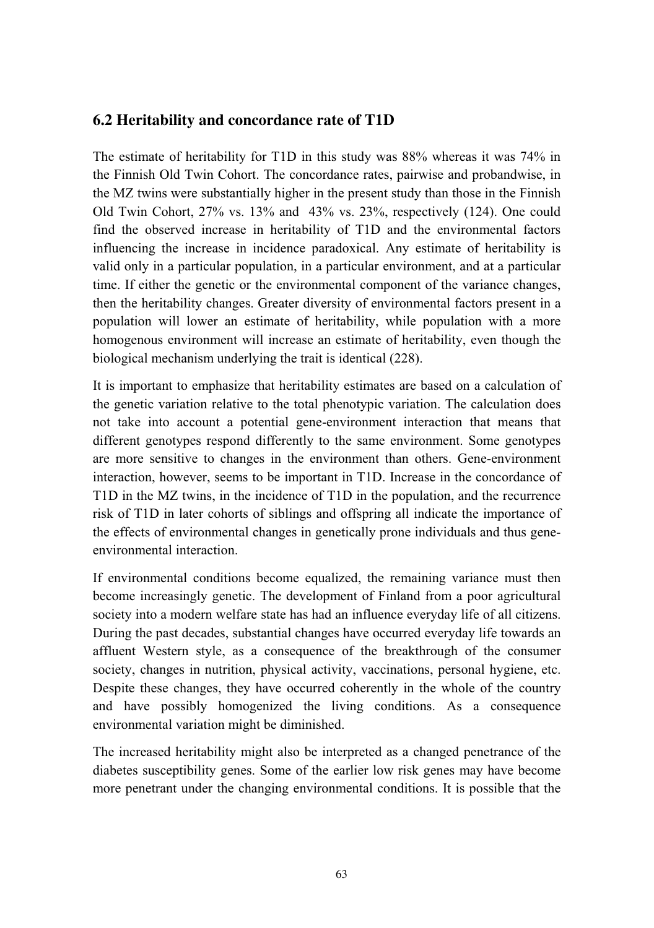## **6.2 Heritability and concordance rate of T1D**

The estimate of heritability for T1D in this study was 88% whereas it was 74% in the Finnish Old Twin Cohort. The concordance rates, pairwise and probandwise, in the MZ twins were substantially higher in the present study than those in the Finnish Old Twin Cohort, 27% vs. 13% and 43% vs. 23%, respectively (124). One could find the observed increase in heritability of T1D and the environmental factors influencing the increase in incidence paradoxical. Any estimate of heritability is valid only in a particular population, in a particular environment, and at a particular time. If either the genetic or the environmental component of the variance changes, then the heritability changes. Greater diversity of environmental factors present in a population will lower an estimate of heritability, while population with a more homogenous environment will increase an estimate of heritability, even though the biological mechanism underlying the trait is identical (228).

It is important to emphasize that heritability estimates are based on a calculation of the genetic variation relative to the total phenotypic variation. The calculation does not take into account a potential gene-environment interaction that means that different genotypes respond differently to the same environment. Some genotypes are more sensitive to changes in the environment than others. Gene-environment interaction, however, seems to be important in T1D. Increase in the concordance of T1D in the MZ twins, in the incidence of T1D in the population, and the recurrence risk of T1D in later cohorts of siblings and offspring all indicate the importance of the effects of environmental changes in genetically prone individuals and thus geneenvironmental interaction.

If environmental conditions become equalized, the remaining variance must then become increasingly genetic. The development of Finland from a poor agricultural society into a modern welfare state has had an influence everyday life of all citizens. During the past decades, substantial changes have occurred everyday life towards an affluent Western style, as a consequence of the breakthrough of the consumer society, changes in nutrition, physical activity, vaccinations, personal hygiene, etc. Despite these changes, they have occurred coherently in the whole of the country and have possibly homogenized the living conditions. As a consequence environmental variation might be diminished.

The increased heritability might also be interpreted as a changed penetrance of the diabetes susceptibility genes. Some of the earlier low risk genes may have become more penetrant under the changing environmental conditions. It is possible that the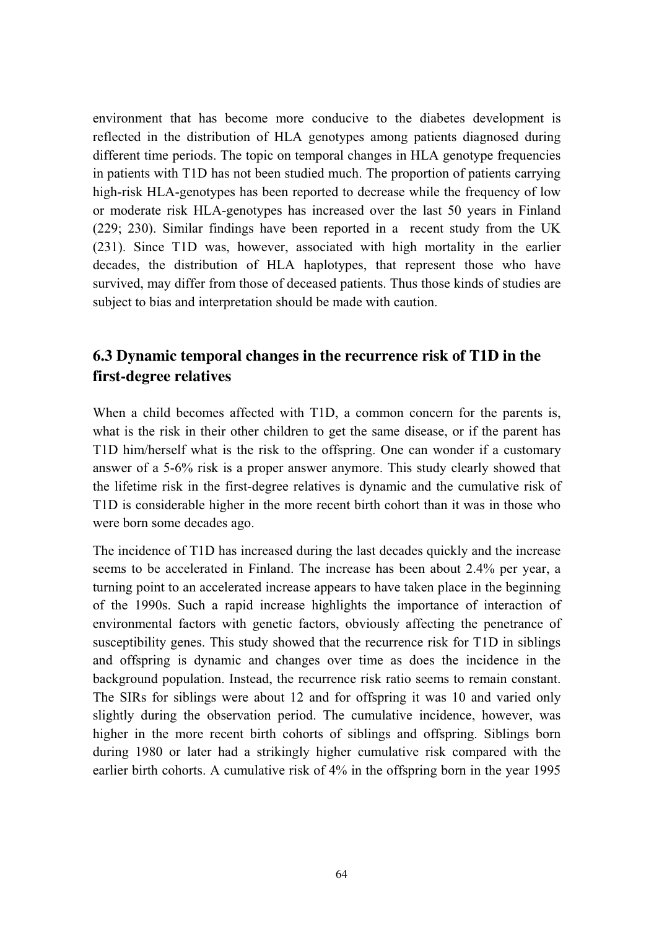environment that has become more conducive to the diabetes development is reflected in the distribution of HLA genotypes among patients diagnosed during different time periods. The topic on temporal changes in HLA genotype frequencies in patients with T1D has not been studied much. The proportion of patients carrying high-risk HLA-genotypes has been reported to decrease while the frequency of low or moderate risk HLA-genotypes has increased over the last 50 years in Finland (229; 230). Similar findings have been reported in a recent study from the UK (231). Since T1D was, however, associated with high mortality in the earlier decades, the distribution of HLA haplotypes, that represent those who have survived, may differ from those of deceased patients. Thus those kinds of studies are subject to bias and interpretation should be made with caution.

## **6.3 Dynamic temporal changes in the recurrence risk of T1D in the first-degree relatives**

When a child becomes affected with T1D, a common concern for the parents is, what is the risk in their other children to get the same disease, or if the parent has T1D him/herself what is the risk to the offspring. One can wonder if a customary answer of a 5-6% risk is a proper answer anymore. This study clearly showed that the lifetime risk in the first-degree relatives is dynamic and the cumulative risk of T1D is considerable higher in the more recent birth cohort than it was in those who were born some decades ago.

The incidence of T1D has increased during the last decades quickly and the increase seems to be accelerated in Finland. The increase has been about 2.4% per year, a turning point to an accelerated increase appears to have taken place in the beginning of the 1990s. Such a rapid increase highlights the importance of interaction of environmental factors with genetic factors, obviously affecting the penetrance of susceptibility genes. This study showed that the recurrence risk for T1D in siblings and offspring is dynamic and changes over time as does the incidence in the background population. Instead, the recurrence risk ratio seems to remain constant. The SIRs for siblings were about 12 and for offspring it was 10 and varied only slightly during the observation period. The cumulative incidence, however, was higher in the more recent birth cohorts of siblings and offspring. Siblings born during 1980 or later had a strikingly higher cumulative risk compared with the earlier birth cohorts. A cumulative risk of 4% in the offspring born in the year 1995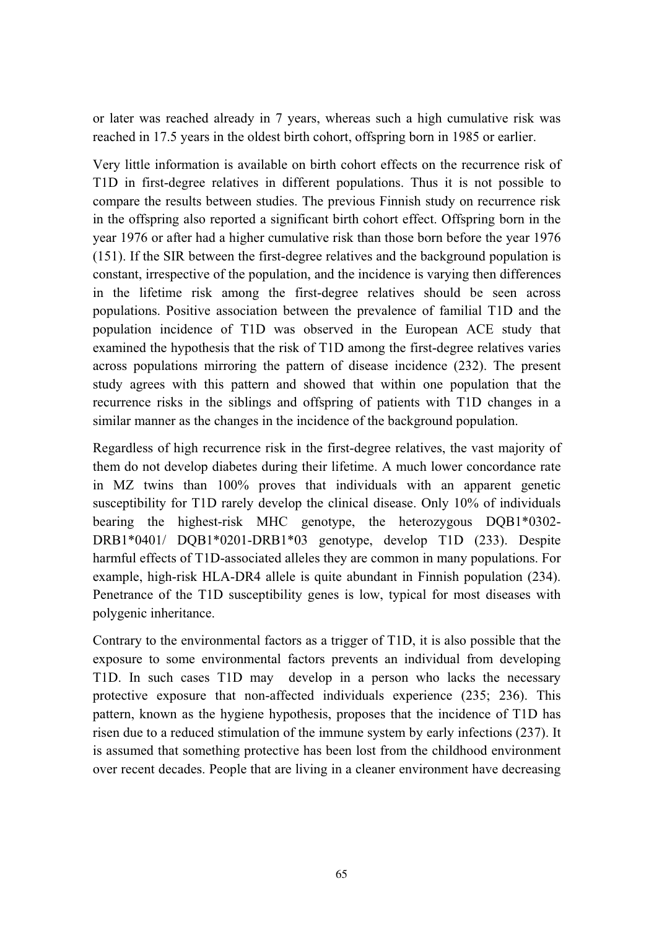or later was reached already in 7 years, whereas such a high cumulative risk was reached in 17.5 years in the oldest birth cohort, offspring born in 1985 or earlier.

Very little information is available on birth cohort effects on the recurrence risk of T1D in first-degree relatives in different populations. Thus it is not possible to compare the results between studies. The previous Finnish study on recurrence risk in the offspring also reported a significant birth cohort effect. Offspring born in the year 1976 or after had a higher cumulative risk than those born before the year 1976 (151). If the SIR between the first-degree relatives and the background population is constant, irrespective of the population, and the incidence is varying then differences in the lifetime risk among the first-degree relatives should be seen across populations. Positive association between the prevalence of familial T1D and the population incidence of T1D was observed in the European ACE study that examined the hypothesis that the risk of T1D among the first-degree relatives varies across populations mirroring the pattern of disease incidence (232). The present study agrees with this pattern and showed that within one population that the recurrence risks in the siblings and offspring of patients with T1D changes in a similar manner as the changes in the incidence of the background population.

Regardless of high recurrence risk in the first-degree relatives, the vast majority of them do not develop diabetes during their lifetime. A much lower concordance rate in MZ twins than 100% proves that individuals with an apparent genetic susceptibility for T1D rarely develop the clinical disease. Only 10% of individuals bearing the highest-risk MHC genotype, the heterozygous DQB1\*0302- DRB1\*0401/ DQB1\*0201-DRB1\*03 genotype, develop T1D (233). Despite harmful effects of T1D-associated alleles they are common in many populations. For example, high-risk HLA-DR4 allele is quite abundant in Finnish population (234). Penetrance of the T1D susceptibility genes is low, typical for most diseases with polygenic inheritance.

Contrary to the environmental factors as a trigger of T1D, it is also possible that the exposure to some environmental factors prevents an individual from developing T1D. In such cases T1D may develop in a person who lacks the necessary protective exposure that non-affected individuals experience (235; 236). This pattern, known as the hygiene hypothesis, proposes that the incidence of T1D has risen due to a reduced stimulation of the immune system by early infections (237). It is assumed that something protective has been lost from the childhood environment over recent decades. People that are living in a cleaner environment have decreasing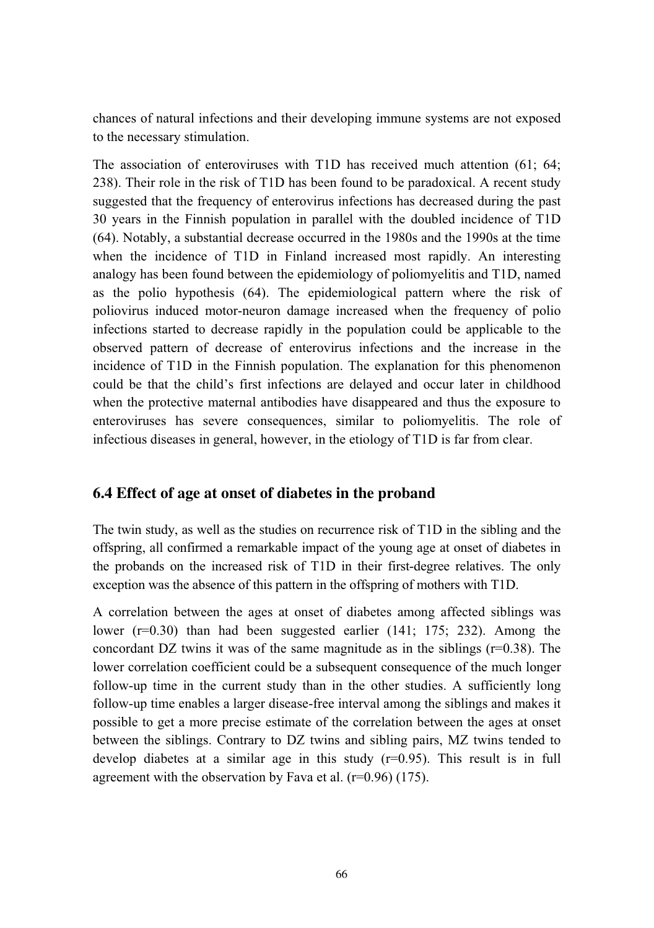chances of natural infections and their developing immune systems are not exposed to the necessary stimulation.

The association of enteroviruses with T1D has received much attention (61; 64; 238). Their role in the risk of T1D has been found to be paradoxical. A recent study suggested that the frequency of enterovirus infections has decreased during the past 30 years in the Finnish population in parallel with the doubled incidence of T1D (64). Notably, a substantial decrease occurred in the 1980s and the 1990s at the time when the incidence of T1D in Finland increased most rapidly. An interesting analogy has been found between the epidemiology of poliomyelitis and T1D, named as the polio hypothesis (64). The epidemiological pattern where the risk of poliovirus induced motor-neuron damage increased when the frequency of polio infections started to decrease rapidly in the population could be applicable to the observed pattern of decrease of enterovirus infections and the increase in the incidence of T1D in the Finnish population. The explanation for this phenomenon could be that the child's first infections are delayed and occur later in childhood when the protective maternal antibodies have disappeared and thus the exposure to enteroviruses has severe consequences, similar to poliomyelitis. The role of infectious diseases in general, however, in the etiology of T1D is far from clear.

## **6.4 Effect of age at onset of diabetes in the proband**

The twin study, as well as the studies on recurrence risk of T1D in the sibling and the offspring, all confirmed a remarkable impact of the young age at onset of diabetes in the probands on the increased risk of T1D in their first-degree relatives. The only exception was the absence of this pattern in the offspring of mothers with T1D.

A correlation between the ages at onset of diabetes among affected siblings was lower (r=0.30) than had been suggested earlier (141; 175; 232). Among the concordant DZ twins it was of the same magnitude as in the siblings  $(r=0.38)$ . The lower correlation coefficient could be a subsequent consequence of the much longer follow-up time in the current study than in the other studies. A sufficiently long follow-up time enables a larger disease-free interval among the siblings and makes it possible to get a more precise estimate of the correlation between the ages at onset between the siblings. Contrary to DZ twins and sibling pairs, MZ twins tended to develop diabetes at a similar age in this study  $(r=0.95)$ . This result is in full agreement with the observation by Fava et al.  $(r=0.96)$  (175).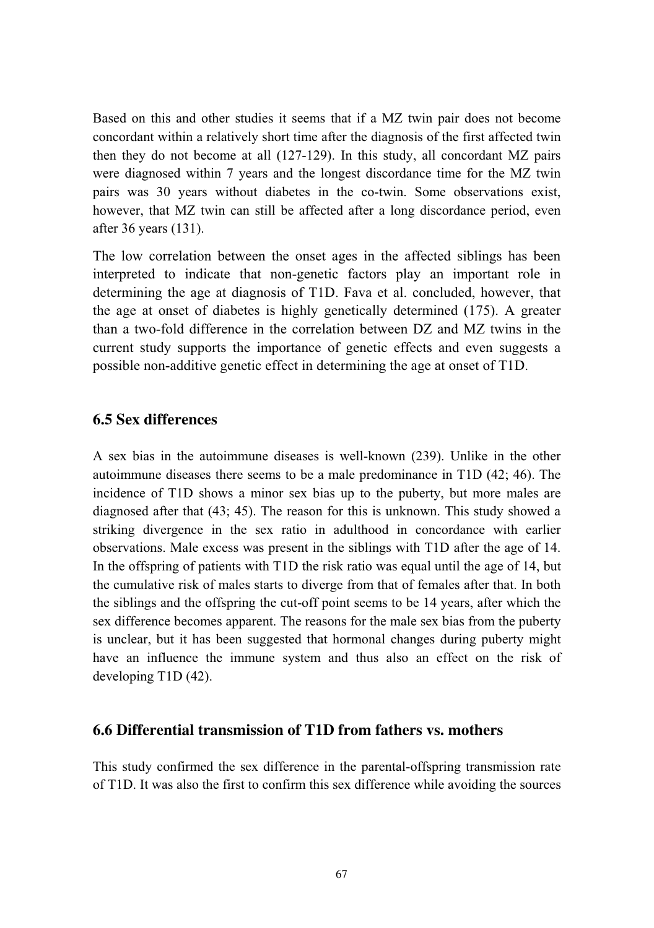Based on this and other studies it seems that if a MZ twin pair does not become concordant within a relatively short time after the diagnosis of the first affected twin then they do not become at all (127-129). In this study, all concordant MZ pairs were diagnosed within 7 years and the longest discordance time for the MZ twin pairs was 30 years without diabetes in the co-twin. Some observations exist, however, that MZ twin can still be affected after a long discordance period, even after 36 years (131).

The low correlation between the onset ages in the affected siblings has been interpreted to indicate that non-genetic factors play an important role in determining the age at diagnosis of T1D. Fava et al. concluded, however, that the age at onset of diabetes is highly genetically determined (175). A greater than a two-fold difference in the correlation between DZ and MZ twins in the current study supports the importance of genetic effects and even suggests a possible non-additive genetic effect in determining the age at onset of T1D.

#### **6.5 Sex differences**

A sex bias in the autoimmune diseases is well-known (239). Unlike in the other autoimmune diseases there seems to be a male predominance in T1D (42; 46). The incidence of T1D shows a minor sex bias up to the puberty, but more males are diagnosed after that (43; 45). The reason for this is unknown. This study showed a striking divergence in the sex ratio in adulthood in concordance with earlier observations. Male excess was present in the siblings with T1D after the age of 14. In the offspring of patients with T1D the risk ratio was equal until the age of 14, but the cumulative risk of males starts to diverge from that of females after that. In both the siblings and the offspring the cut-off point seems to be 14 years, after which the sex difference becomes apparent. The reasons for the male sex bias from the puberty is unclear, but it has been suggested that hormonal changes during puberty might have an influence the immune system and thus also an effect on the risk of developing T1D (42).

#### **6.6 Differential transmission of T1D from fathers vs. mothers**

This study confirmed the sex difference in the parental-offspring transmission rate of T1D. It was also the first to confirm this sex difference while avoiding the sources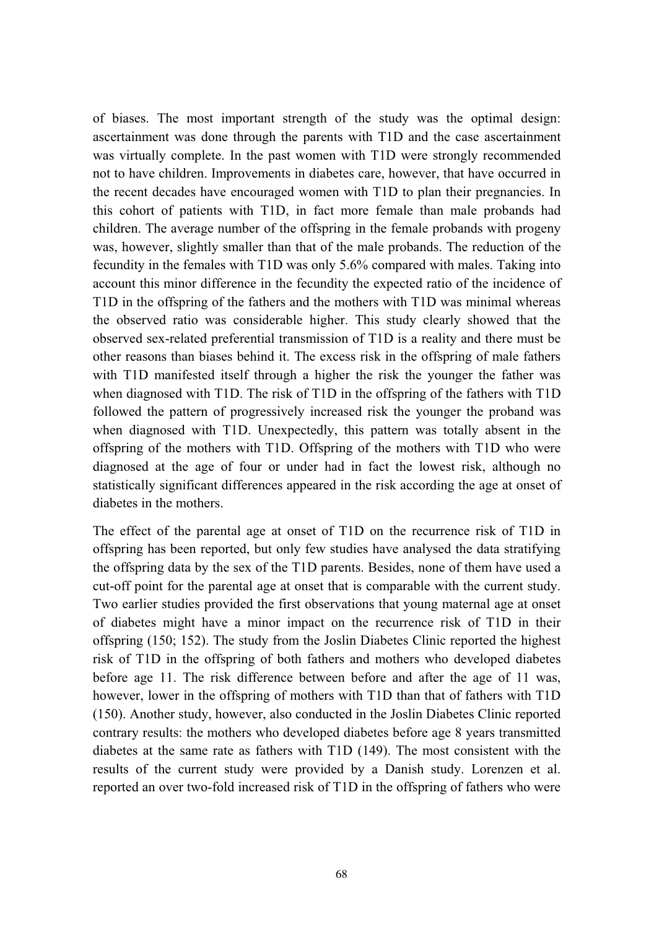of biases. The most important strength of the study was the optimal design: ascertainment was done through the parents with T1D and the case ascertainment was virtually complete. In the past women with T1D were strongly recommended not to have children. Improvements in diabetes care, however, that have occurred in the recent decades have encouraged women with T1D to plan their pregnancies. In this cohort of patients with T1D, in fact more female than male probands had children. The average number of the offspring in the female probands with progeny was, however, slightly smaller than that of the male probands. The reduction of the fecundity in the females with T1D was only 5.6% compared with males. Taking into account this minor difference in the fecundity the expected ratio of the incidence of T1D in the offspring of the fathers and the mothers with T1D was minimal whereas the observed ratio was considerable higher. This study clearly showed that the observed sex-related preferential transmission of T1D is a reality and there must be other reasons than biases behind it. The excess risk in the offspring of male fathers with T1D manifested itself through a higher the risk the younger the father was when diagnosed with T1D. The risk of T1D in the offspring of the fathers with T1D followed the pattern of progressively increased risk the younger the proband was when diagnosed with T1D. Unexpectedly, this pattern was totally absent in the offspring of the mothers with T1D. Offspring of the mothers with T1D who were diagnosed at the age of four or under had in fact the lowest risk, although no statistically significant differences appeared in the risk according the age at onset of diabetes in the mothers.

The effect of the parental age at onset of T1D on the recurrence risk of T1D in offspring has been reported, but only few studies have analysed the data stratifying the offspring data by the sex of the T1D parents. Besides, none of them have used a cut-off point for the parental age at onset that is comparable with the current study. Two earlier studies provided the first observations that young maternal age at onset of diabetes might have a minor impact on the recurrence risk of T1D in their offspring (150; 152). The study from the Joslin Diabetes Clinic reported the highest risk of T1D in the offspring of both fathers and mothers who developed diabetes before age 11. The risk difference between before and after the age of 11 was, however, lower in the offspring of mothers with T1D than that of fathers with T1D (150). Another study, however, also conducted in the Joslin Diabetes Clinic reported contrary results: the mothers who developed diabetes before age 8 years transmitted diabetes at the same rate as fathers with T1D (149). The most consistent with the results of the current study were provided by a Danish study. Lorenzen et al. reported an over two-fold increased risk of T1D in the offspring of fathers who were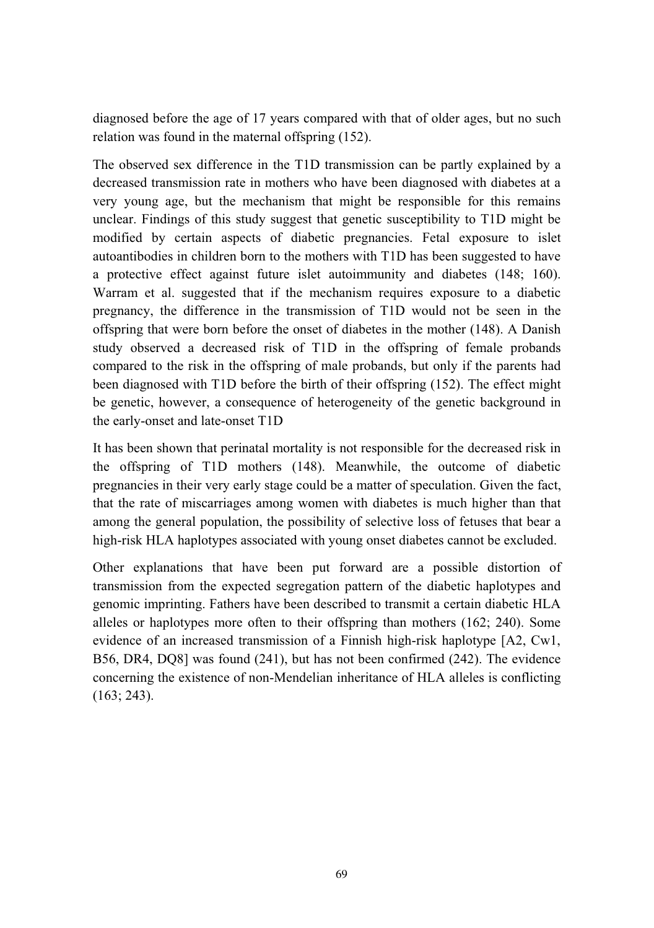diagnosed before the age of 17 years compared with that of older ages, but no such relation was found in the maternal offspring (152).

The observed sex difference in the T1D transmission can be partly explained by a decreased transmission rate in mothers who have been diagnosed with diabetes at a very young age, but the mechanism that might be responsible for this remains unclear. Findings of this study suggest that genetic susceptibility to T1D might be modified by certain aspects of diabetic pregnancies. Fetal exposure to islet autoantibodies in children born to the mothers with T1D has been suggested to have a protective effect against future islet autoimmunity and diabetes (148; 160). Warram et al. suggested that if the mechanism requires exposure to a diabetic pregnancy, the difference in the transmission of T1D would not be seen in the offspring that were born before the onset of diabetes in the mother (148). A Danish study observed a decreased risk of T1D in the offspring of female probands compared to the risk in the offspring of male probands, but only if the parents had been diagnosed with T1D before the birth of their offspring (152). The effect might be genetic, however, a consequence of heterogeneity of the genetic background in the early-onset and late-onset T1D

It has been shown that perinatal mortality is not responsible for the decreased risk in the offspring of T1D mothers (148). Meanwhile, the outcome of diabetic pregnancies in their very early stage could be a matter of speculation. Given the fact, that the rate of miscarriages among women with diabetes is much higher than that among the general population, the possibility of selective loss of fetuses that bear a high-risk HLA haplotypes associated with young onset diabetes cannot be excluded.

Other explanations that have been put forward are a possible distortion of transmission from the expected segregation pattern of the diabetic haplotypes and genomic imprinting. Fathers have been described to transmit a certain diabetic HLA alleles or haplotypes more often to their offspring than mothers (162; 240). Some evidence of an increased transmission of a Finnish high-risk haplotype [A2, Cw1, B56, DR4, DQ8] was found (241), but has not been confirmed (242). The evidence concerning the existence of non-Mendelian inheritance of HLA alleles is conflicting (163; 243).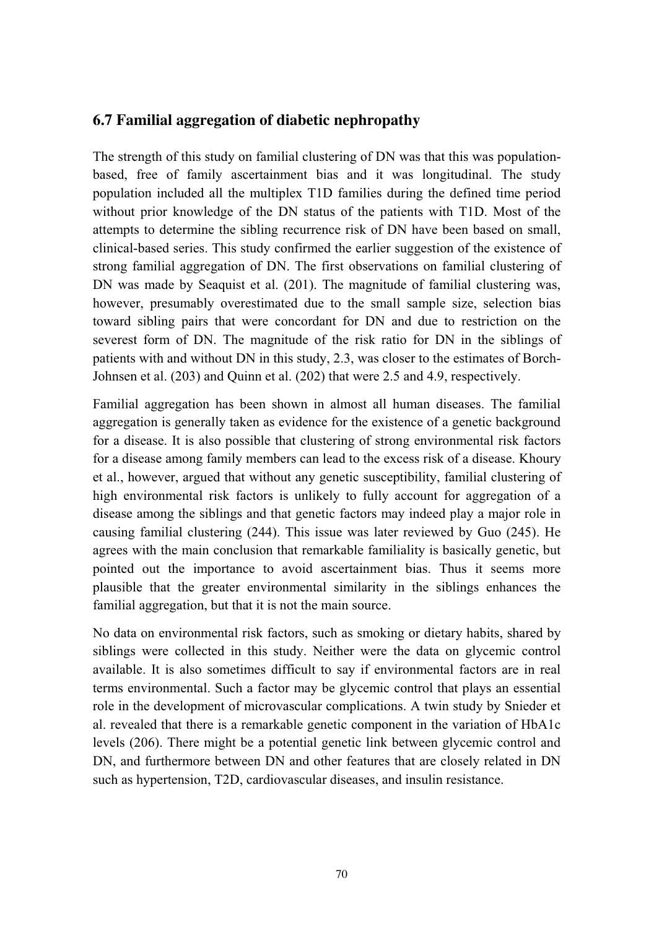## **6.7 Familial aggregation of diabetic nephropathy**

The strength of this study on familial clustering of DN was that this was populationbased, free of family ascertainment bias and it was longitudinal. The study population included all the multiplex T1D families during the defined time period without prior knowledge of the DN status of the patients with T1D. Most of the attempts to determine the sibling recurrence risk of DN have been based on small, clinical-based series. This study confirmed the earlier suggestion of the existence of strong familial aggregation of DN. The first observations on familial clustering of DN was made by Seaquist et al. (201). The magnitude of familial clustering was, however, presumably overestimated due to the small sample size, selection bias toward sibling pairs that were concordant for DN and due to restriction on the severest form of DN. The magnitude of the risk ratio for DN in the siblings of patients with and without DN in this study, 2.3, was closer to the estimates of Borch-Johnsen et al. (203) and Quinn et al. (202) that were 2.5 and 4.9, respectively.

Familial aggregation has been shown in almost all human diseases. The familial aggregation is generally taken as evidence for the existence of a genetic background for a disease. It is also possible that clustering of strong environmental risk factors for a disease among family members can lead to the excess risk of a disease. Khoury et al., however, argued that without any genetic susceptibility, familial clustering of high environmental risk factors is unlikely to fully account for aggregation of a disease among the siblings and that genetic factors may indeed play a major role in causing familial clustering (244). This issue was later reviewed by Guo (245). He agrees with the main conclusion that remarkable familiality is basically genetic, but pointed out the importance to avoid ascertainment bias. Thus it seems more plausible that the greater environmental similarity in the siblings enhances the familial aggregation, but that it is not the main source.

No data on environmental risk factors, such as smoking or dietary habits, shared by siblings were collected in this study. Neither were the data on glycemic control available. It is also sometimes difficult to say if environmental factors are in real terms environmental. Such a factor may be glycemic control that plays an essential role in the development of microvascular complications. A twin study by Snieder et al. revealed that there is a remarkable genetic component in the variation of HbA1c levels (206). There might be a potential genetic link between glycemic control and DN, and furthermore between DN and other features that are closely related in DN such as hypertension, T2D, cardiovascular diseases, and insulin resistance.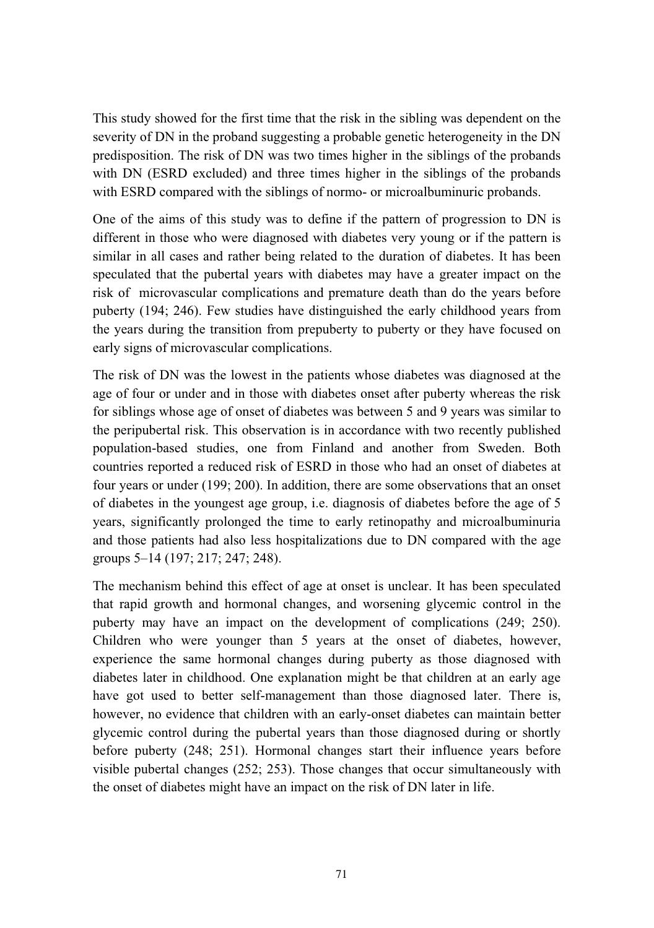This study showed for the first time that the risk in the sibling was dependent on the severity of DN in the proband suggesting a probable genetic heterogeneity in the DN predisposition. The risk of DN was two times higher in the siblings of the probands with DN (ESRD excluded) and three times higher in the siblings of the probands with ESRD compared with the siblings of normo- or microalbuminuric probands.

One of the aims of this study was to define if the pattern of progression to DN is different in those who were diagnosed with diabetes very young or if the pattern is similar in all cases and rather being related to the duration of diabetes. It has been speculated that the pubertal years with diabetes may have a greater impact on the risk of microvascular complications and premature death than do the years before puberty (194; 246). Few studies have distinguished the early childhood years from the years during the transition from prepuberty to puberty or they have focused on early signs of microvascular complications.

The risk of DN was the lowest in the patients whose diabetes was diagnosed at the age of four or under and in those with diabetes onset after puberty whereas the risk for siblings whose age of onset of diabetes was between 5 and 9 years was similar to the peripubertal risk. This observation is in accordance with two recently published population-based studies, one from Finland and another from Sweden. Both countries reported a reduced risk of ESRD in those who had an onset of diabetes at four years or under (199; 200). In addition, there are some observations that an onset of diabetes in the youngest age group, i.e. diagnosis of diabetes before the age of 5 years, significantly prolonged the time to early retinopathy and microalbuminuria and those patients had also less hospitalizations due to DN compared with the age groups 5–14 (197; 217; 247; 248).

The mechanism behind this effect of age at onset is unclear. It has been speculated that rapid growth and hormonal changes, and worsening glycemic control in the puberty may have an impact on the development of complications (249; 250). Children who were younger than 5 years at the onset of diabetes, however, experience the same hormonal changes during puberty as those diagnosed with diabetes later in childhood. One explanation might be that children at an early age have got used to better self-management than those diagnosed later. There is, however, no evidence that children with an early-onset diabetes can maintain better glycemic control during the pubertal years than those diagnosed during or shortly before puberty (248; 251). Hormonal changes start their influence years before visible pubertal changes (252; 253). Those changes that occur simultaneously with the onset of diabetes might have an impact on the risk of DN later in life.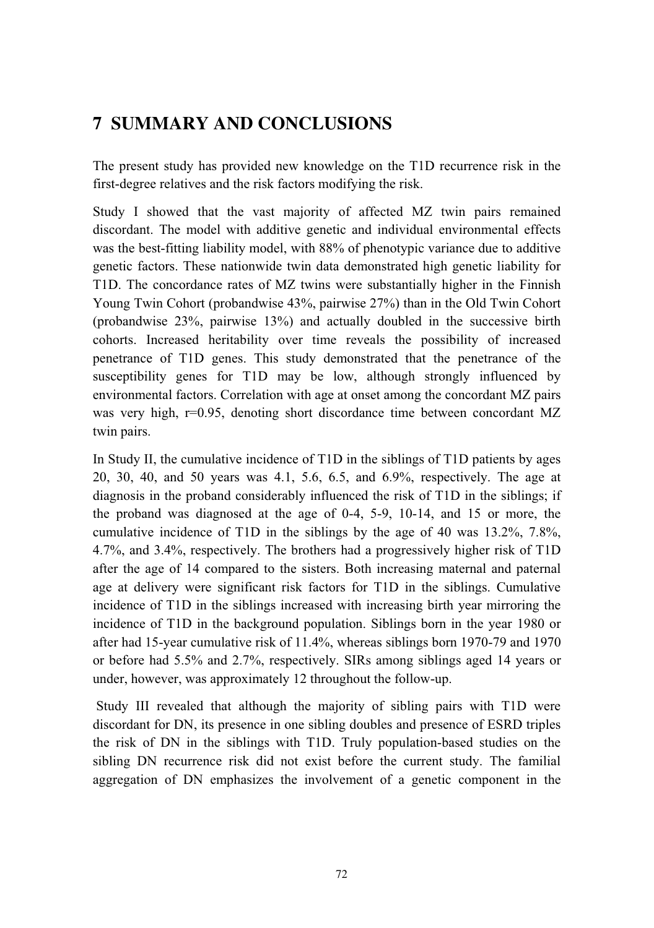## **7 SUMMARY AND CONCLUSIONS**

The present study has provided new knowledge on the T1D recurrence risk in the first-degree relatives and the risk factors modifying the risk.

Study I showed that the vast majority of affected MZ twin pairs remained discordant. The model with additive genetic and individual environmental effects was the best-fitting liability model, with 88% of phenotypic variance due to additive genetic factors. These nationwide twin data demonstrated high genetic liability for T1D. The concordance rates of MZ twins were substantially higher in the Finnish Young Twin Cohort (probandwise 43%, pairwise 27%) than in the Old Twin Cohort (probandwise 23%, pairwise 13%) and actually doubled in the successive birth cohorts. Increased heritability over time reveals the possibility of increased penetrance of T1D genes. This study demonstrated that the penetrance of the susceptibility genes for T1D may be low, although strongly influenced by environmental factors. Correlation with age at onset among the concordant MZ pairs was very high, r=0.95, denoting short discordance time between concordant MZ twin pairs.

In Study II, the cumulative incidence of T1D in the siblings of T1D patients by ages 20, 30, 40, and 50 years was 4.1, 5.6, 6.5, and 6.9%, respectively. The age at diagnosis in the proband considerably influenced the risk of T1D in the siblings; if the proband was diagnosed at the age of 0-4, 5-9, 10-14, and 15 or more, the cumulative incidence of T1D in the siblings by the age of 40 was 13.2%, 7.8%, 4.7%, and 3.4%, respectively. The brothers had a progressively higher risk of T1D after the age of 14 compared to the sisters. Both increasing maternal and paternal age at delivery were significant risk factors for T1D in the siblings. Cumulative incidence of T1D in the siblings increased with increasing birth year mirroring the incidence of T1D in the background population. Siblings born in the year 1980 or after had 15-year cumulative risk of 11.4%, whereas siblings born 1970-79 and 1970 or before had 5.5% and 2.7%, respectively. SIRs among siblings aged 14 years or under, however, was approximately 12 throughout the follow-up.

Study III revealed that although the majority of sibling pairs with T1D were discordant for DN, its presence in one sibling doubles and presence of ESRD triples the risk of DN in the siblings with T1D. Truly population-based studies on the sibling DN recurrence risk did not exist before the current study. The familial aggregation of DN emphasizes the involvement of a genetic component in the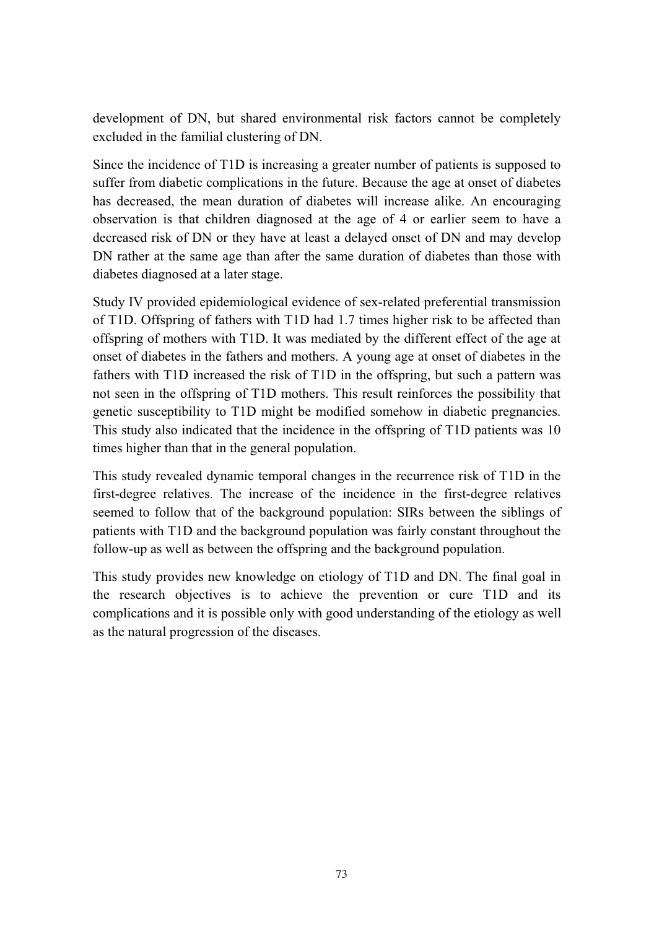development of DN, but shared environmental risk factors cannot be completely excluded in the familial clustering of DN.

Since the incidence of T1D is increasing a greater number of patients is supposed to suffer from diabetic complications in the future. Because the age at onset of diabetes has decreased, the mean duration of diabetes will increase alike. An encouraging observation is that children diagnosed at the age of 4 or earlier seem to have a decreased risk of DN or they have at least a delayed onset of DN and may develop DN rather at the same age than after the same duration of diabetes than those with diabetes diagnosed at a later stage.

Study IV provided epidemiological evidence of sex-related preferential transmission of T1D. Offspring of fathers with T1D had 1.7 times higher risk to be affected than offspring of mothers with T1D. It was mediated by the different effect of the age at onset of diabetes in the fathers and mothers. A young age at onset of diabetes in the fathers with T1D increased the risk of T1D in the offspring, but such a pattern was not seen in the offspring of T1D mothers. This result reinforces the possibility that genetic susceptibility to T1D might be modified somehow in diabetic pregnancies. This study also indicated that the incidence in the offspring of T1D patients was 10 times higher than that in the general population.

This study revealed dynamic temporal changes in the recurrence risk of T1D in the first-degree relatives. The increase of the incidence in the first-degree relatives seemed to follow that of the background population: SIRs between the siblings of patients with T1D and the background population was fairly constant throughout the follow-up as well as between the offspring and the background population.

This study provides new knowledge on etiology of T1D and DN. The final goal in the research objectives is to achieve the prevention or cure T1D and its complications and it is possible only with good understanding of the etiology as well as the natural progression of the diseases.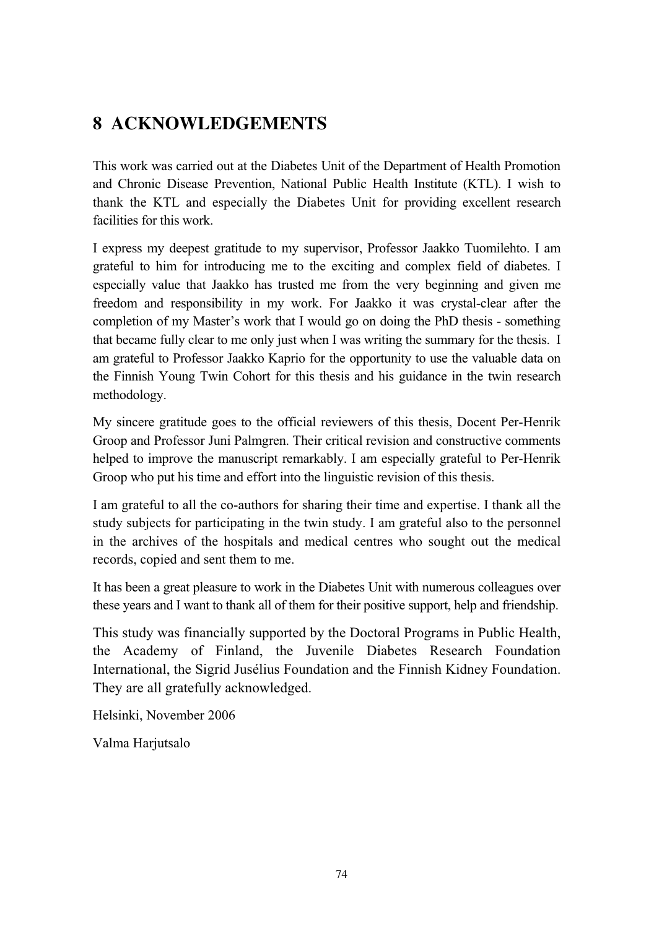## **8 ACKNOWLEDGEMENTS**

This work was carried out at the Diabetes Unit of the Department of Health Promotion and Chronic Disease Prevention, National Public Health Institute (KTL). I wish to thank the KTL and especially the Diabetes Unit for providing excellent research facilities for this work.

I express my deepest gratitude to my supervisor, Professor Jaakko Tuomilehto. I am grateful to him for introducing me to the exciting and complex field of diabetes. I especially value that Jaakko has trusted me from the very beginning and given me freedom and responsibility in my work. For Jaakko it was crystal-clear after the completion of my Master's work that I would go on doing the PhD thesis - something that became fully clear to me only just when I was writing the summary for the thesis. I am grateful to Professor Jaakko Kaprio for the opportunity to use the valuable data on the Finnish Young Twin Cohort for this thesis and his guidance in the twin research methodology.

My sincere gratitude goes to the official reviewers of this thesis, Docent Per-Henrik Groop and Professor Juni Palmgren. Their critical revision and constructive comments helped to improve the manuscript remarkably. I am especially grateful to Per-Henrik Groop who put his time and effort into the linguistic revision of this thesis.

I am grateful to all the co-authors for sharing their time and expertise. I thank all the study subjects for participating in the twin study. I am grateful also to the personnel in the archives of the hospitals and medical centres who sought out the medical records, copied and sent them to me.

It has been a great pleasure to work in the Diabetes Unit with numerous colleagues over these years and I want to thank all of them for their positive support, help and friendship.

This study was financially supported by the Doctoral Programs in Public Health, the Academy of Finland, the Juvenile Diabetes Research Foundation International, the Sigrid Jusélius Foundation and the Finnish Kidney Foundation. They are all gratefully acknowledged.

Helsinki, November 2006

Valma Harjutsalo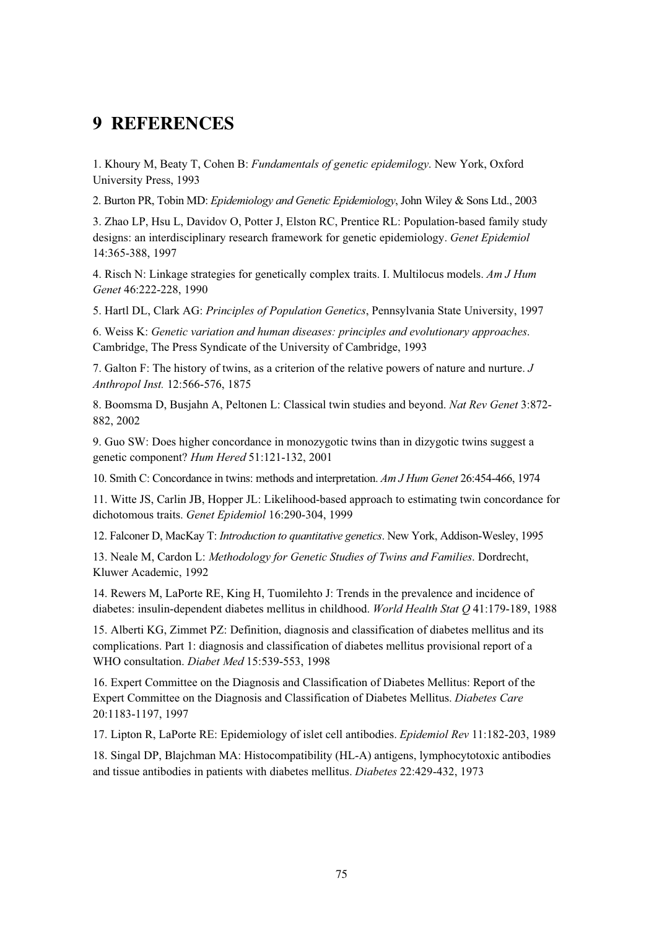## **9 REFERENCES**

1. Khoury M, Beaty T, Cohen B: *Fundamentals of genetic epidemilogy*. New York, Oxford University Press, 1993

2. Burton PR, Tobin MD: *Epidemiology and Genetic Epidemiology*, John Wiley & Sons Ltd., 2003

3. Zhao LP, Hsu L, Davidov O, Potter J, Elston RC, Prentice RL: Population-based family study designs: an interdisciplinary research framework for genetic epidemiology. *Genet Epidemiol* 14:365-388, 1997

4. Risch N: Linkage strategies for genetically complex traits. I. Multilocus models. *Am J Hum Genet* 46:222-228, 1990

5. Hartl DL, Clark AG: *Principles of Population Genetics*, Pennsylvania State University, 1997

6. Weiss K: *Genetic variation and human diseases: principles and evolutionary approaches*. Cambridge, The Press Syndicate of the University of Cambridge, 1993

7. Galton F: The history of twins, as a criterion of the relative powers of nature and nurture. *J Anthropol Inst.* 12:566-576, 1875

8. Boomsma D, Busjahn A, Peltonen L: Classical twin studies and beyond. *Nat Rev Genet* 3:872- 882, 2002

9. Guo SW: Does higher concordance in monozygotic twins than in dizygotic twins suggest a genetic component? *Hum Hered* 51:121-132, 2001

10. Smith C: Concordance in twins: methods and interpretation. *Am J Hum Genet* 26:454-466, 1974

11. Witte JS, Carlin JB, Hopper JL: Likelihood-based approach to estimating twin concordance for dichotomous traits. *Genet Epidemiol* 16:290-304, 1999

12. Falconer D, MacKay T: *Introduction to quantitative genetics*. New York, Addison-Wesley, 1995

13. Neale M, Cardon L: *Methodology for Genetic Studies of Twins and Families*. Dordrecht, Kluwer Academic, 1992

14. Rewers M, LaPorte RE, King H, Tuomilehto J: Trends in the prevalence and incidence of diabetes: insulin-dependent diabetes mellitus in childhood. *World Health Stat Q* 41:179-189, 1988

15. Alberti KG, Zimmet PZ: Definition, diagnosis and classification of diabetes mellitus and its complications. Part 1: diagnosis and classification of diabetes mellitus provisional report of a WHO consultation. *Diabet Med* 15:539-553, 1998

16. Expert Committee on the Diagnosis and Classification of Diabetes Mellitus: Report of the Expert Committee on the Diagnosis and Classification of Diabetes Mellitus. *Diabetes Care* 20:1183-1197, 1997

17. Lipton R, LaPorte RE: Epidemiology of islet cell antibodies. *Epidemiol Rev* 11:182-203, 1989

18. Singal DP, Blajchman MA: Histocompatibility (HL-A) antigens, lymphocytotoxic antibodies and tissue antibodies in patients with diabetes mellitus. *Diabetes* 22:429-432, 1973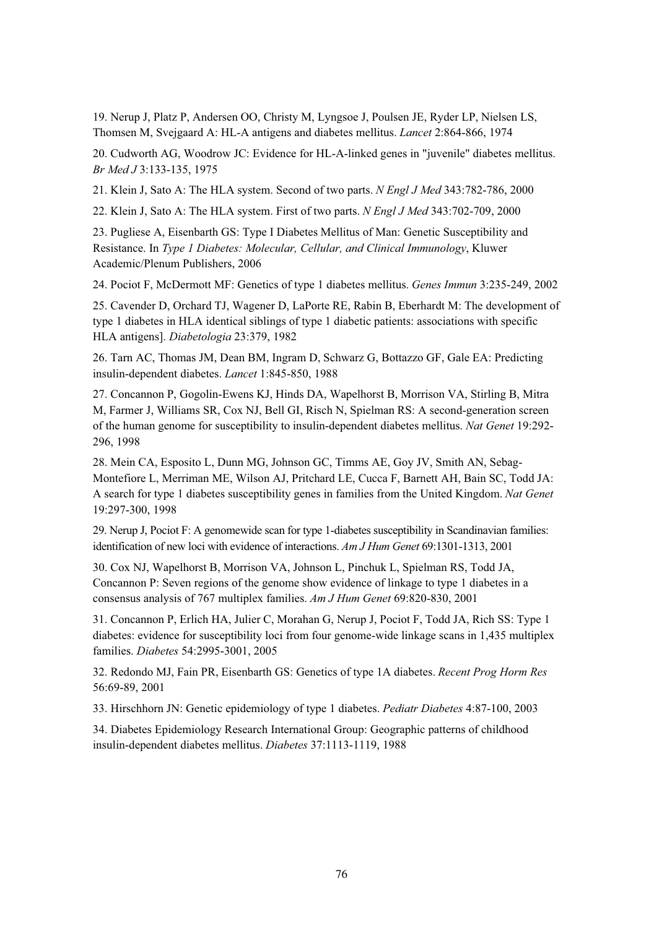19. Nerup J, Platz P, Andersen OO, Christy M, Lyngsoe J, Poulsen JE, Ryder LP, Nielsen LS, Thomsen M, Svejgaard A: HL-A antigens and diabetes mellitus. *Lancet* 2:864-866, 1974

20. Cudworth AG, Woodrow JC: Evidence for HL-A-linked genes in "juvenile" diabetes mellitus. *Br Med J* 3:133-135, 1975

21. Klein J, Sato A: The HLA system. Second of two parts. *N Engl J Med* 343:782-786, 2000

22. Klein J, Sato A: The HLA system. First of two parts. *N Engl J Med* 343:702-709, 2000

23. Pugliese A, Eisenbarth GS: Type I Diabetes Mellitus of Man: Genetic Susceptibility and Resistance. In *Type 1 Diabetes: Molecular, Cellular, and Clinical Immunology*, Kluwer Academic/Plenum Publishers, 2006

24. Pociot F, McDermott MF: Genetics of type 1 diabetes mellitus. *Genes Immun* 3:235-249, 2002

25. Cavender D, Orchard TJ, Wagener D, LaPorte RE, Rabin B, Eberhardt M: The development of type 1 diabetes in HLA identical siblings of type 1 diabetic patients: associations with specific HLA antigens]. *Diabetologia* 23:379, 1982

26. Tarn AC, Thomas JM, Dean BM, Ingram D, Schwarz G, Bottazzo GF, Gale EA: Predicting insulin-dependent diabetes. *Lancet* 1:845-850, 1988

27. Concannon P, Gogolin-Ewens KJ, Hinds DA, Wapelhorst B, Morrison VA, Stirling B, Mitra M, Farmer J, Williams SR, Cox NJ, Bell GI, Risch N, Spielman RS: A second-generation screen of the human genome for susceptibility to insulin-dependent diabetes mellitus. *Nat Genet* 19:292- 296, 1998

28. Mein CA, Esposito L, Dunn MG, Johnson GC, Timms AE, Goy JV, Smith AN, Sebag-Montefiore L, Merriman ME, Wilson AJ, Pritchard LE, Cucca F, Barnett AH, Bain SC, Todd JA: A search for type 1 diabetes susceptibility genes in families from the United Kingdom. *Nat Genet* 19:297-300, 1998

29. Nerup J, Pociot F: A genomewide scan for type 1-diabetes susceptibility in Scandinavian families: identification of new loci with evidence of interactions. *Am J Hum Genet* 69:1301-1313, 2001

30. Cox NJ, Wapelhorst B, Morrison VA, Johnson L, Pinchuk L, Spielman RS, Todd JA, Concannon P: Seven regions of the genome show evidence of linkage to type 1 diabetes in a consensus analysis of 767 multiplex families. *Am J Hum Genet* 69:820-830, 2001

31. Concannon P, Erlich HA, Julier C, Morahan G, Nerup J, Pociot F, Todd JA, Rich SS: Type 1 diabetes: evidence for susceptibility loci from four genome-wide linkage scans in 1,435 multiplex families. *Diabetes* 54:2995-3001, 2005

32. Redondo MJ, Fain PR, Eisenbarth GS: Genetics of type 1A diabetes. *Recent Prog Horm Res* 56:69-89, 2001

33. Hirschhorn JN: Genetic epidemiology of type 1 diabetes. *Pediatr Diabetes* 4:87-100, 2003

34. Diabetes Epidemiology Research International Group: Geographic patterns of childhood insulin-dependent diabetes mellitus. *Diabetes* 37:1113-1119, 1988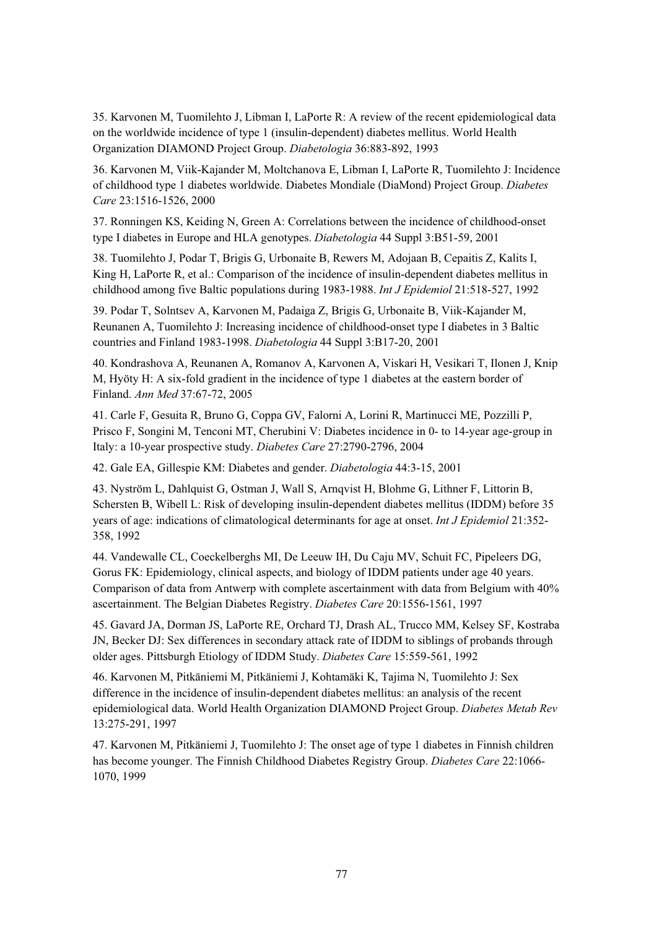35. Karvonen M, Tuomilehto J, Libman I, LaPorte R: A review of the recent epidemiological data on the worldwide incidence of type 1 (insulin-dependent) diabetes mellitus. World Health Organization DIAMOND Project Group. *Diabetologia* 36:883-892, 1993

36. Karvonen M, Viik-Kajander M, Moltchanova E, Libman I, LaPorte R, Tuomilehto J: Incidence of childhood type 1 diabetes worldwide. Diabetes Mondiale (DiaMond) Project Group. *Diabetes Care* 23:1516-1526, 2000

37. Ronningen KS, Keiding N, Green A: Correlations between the incidence of childhood-onset type I diabetes in Europe and HLA genotypes. *Diabetologia* 44 Suppl 3:B51-59, 2001

38. Tuomilehto J, Podar T, Brigis G, Urbonaite B, Rewers M, Adojaan B, Cepaitis Z, Kalits I, King H, LaPorte R, et al.: Comparison of the incidence of insulin-dependent diabetes mellitus in childhood among five Baltic populations during 1983-1988. *Int J Epidemiol* 21:518-527, 1992

39. Podar T, Solntsev A, Karvonen M, Padaiga Z, Brigis G, Urbonaite B, Viik-Kajander M, Reunanen A, Tuomilehto J: Increasing incidence of childhood-onset type I diabetes in 3 Baltic countries and Finland 1983-1998. *Diabetologia* 44 Suppl 3:B17-20, 2001

40. Kondrashova A, Reunanen A, Romanov A, Karvonen A, Viskari H, Vesikari T, Ilonen J, Knip M, Hyöty H: A six-fold gradient in the incidence of type 1 diabetes at the eastern border of Finland. *Ann Med* 37:67-72, 2005

41. Carle F, Gesuita R, Bruno G, Coppa GV, Falorni A, Lorini R, Martinucci ME, Pozzilli P, Prisco F, Songini M, Tenconi MT, Cherubini V: Diabetes incidence in 0- to 14-year age-group in Italy: a 10-year prospective study. *Diabetes Care* 27:2790-2796, 2004

42. Gale EA, Gillespie KM: Diabetes and gender. *Diabetologia* 44:3-15, 2001

43. Nyström L, Dahlquist G, Ostman J, Wall S, Arnqvist H, Blohme G, Lithner F, Littorin B, Schersten B, Wibell L: Risk of developing insulin-dependent diabetes mellitus (IDDM) before 35 years of age: indications of climatological determinants for age at onset. *Int J Epidemiol* 21:352- 358, 1992

44. Vandewalle CL, Coeckelberghs MI, De Leeuw IH, Du Caju MV, Schuit FC, Pipeleers DG, Gorus FK: Epidemiology, clinical aspects, and biology of IDDM patients under age 40 years. Comparison of data from Antwerp with complete ascertainment with data from Belgium with 40% ascertainment. The Belgian Diabetes Registry. *Diabetes Care* 20:1556-1561, 1997

45. Gavard JA, Dorman JS, LaPorte RE, Orchard TJ, Drash AL, Trucco MM, Kelsey SF, Kostraba JN, Becker DJ: Sex differences in secondary attack rate of IDDM to siblings of probands through older ages. Pittsburgh Etiology of IDDM Study. *Diabetes Care* 15:559-561, 1992

46. Karvonen M, Pitkäniemi M, Pitkäniemi J, Kohtamäki K, Tajima N, Tuomilehto J: Sex difference in the incidence of insulin-dependent diabetes mellitus: an analysis of the recent epidemiological data. World Health Organization DIAMOND Project Group. *Diabetes Metab Rev* 13:275-291, 1997

47. Karvonen M, Pitkäniemi J, Tuomilehto J: The onset age of type 1 diabetes in Finnish children has become younger. The Finnish Childhood Diabetes Registry Group. *Diabetes Care* 22:1066- 1070, 1999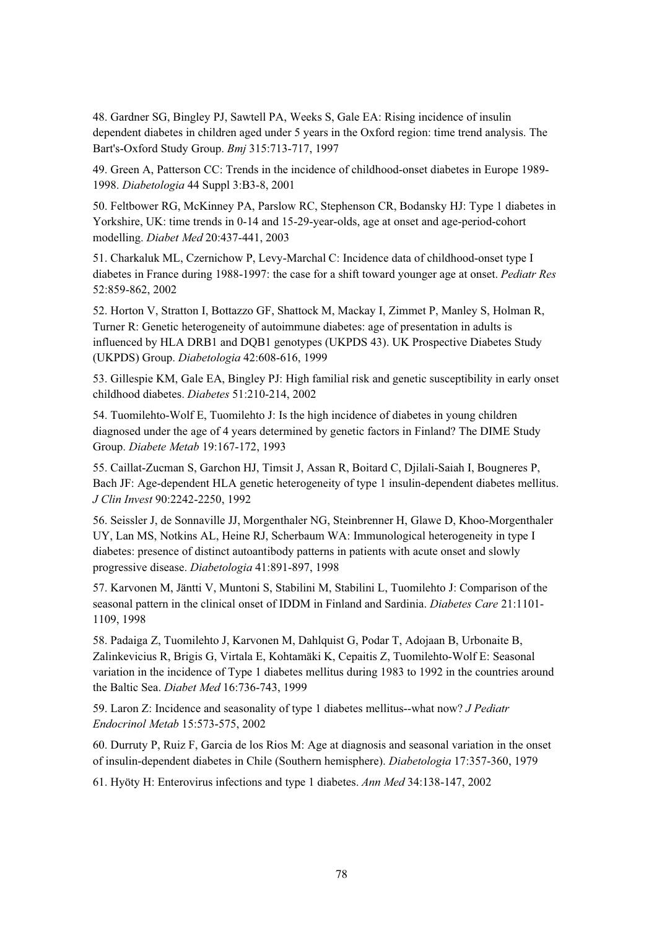48. Gardner SG, Bingley PJ, Sawtell PA, Weeks S, Gale EA: Rising incidence of insulin dependent diabetes in children aged under 5 years in the Oxford region: time trend analysis. The Bart's-Oxford Study Group. *Bmj* 315:713-717, 1997

49. Green A, Patterson CC: Trends in the incidence of childhood-onset diabetes in Europe 1989- 1998. *Diabetologia* 44 Suppl 3:B3-8, 2001

50. Feltbower RG, McKinney PA, Parslow RC, Stephenson CR, Bodansky HJ: Type 1 diabetes in Yorkshire, UK: time trends in 0-14 and 15-29-year-olds, age at onset and age-period-cohort modelling. *Diabet Med* 20:437-441, 2003

51. Charkaluk ML, Czernichow P, Levy-Marchal C: Incidence data of childhood-onset type I diabetes in France during 1988-1997: the case for a shift toward younger age at onset. *Pediatr Res* 52:859-862, 2002

52. Horton V, Stratton I, Bottazzo GF, Shattock M, Mackay I, Zimmet P, Manley S, Holman R, Turner R: Genetic heterogeneity of autoimmune diabetes: age of presentation in adults is influenced by HLA DRB1 and DQB1 genotypes (UKPDS 43). UK Prospective Diabetes Study (UKPDS) Group. *Diabetologia* 42:608-616, 1999

53. Gillespie KM, Gale EA, Bingley PJ: High familial risk and genetic susceptibility in early onset childhood diabetes. *Diabetes* 51:210-214, 2002

54. Tuomilehto-Wolf E, Tuomilehto J: Is the high incidence of diabetes in young children diagnosed under the age of 4 years determined by genetic factors in Finland? The DIME Study Group. *Diabete Metab* 19:167-172, 1993

55. Caillat-Zucman S, Garchon HJ, Timsit J, Assan R, Boitard C, Djilali-Saiah I, Bougneres P, Bach JF: Age-dependent HLA genetic heterogeneity of type 1 insulin-dependent diabetes mellitus. *J Clin Invest* 90:2242-2250, 1992

56. Seissler J, de Sonnaville JJ, Morgenthaler NG, Steinbrenner H, Glawe D, Khoo-Morgenthaler UY, Lan MS, Notkins AL, Heine RJ, Scherbaum WA: Immunological heterogeneity in type I diabetes: presence of distinct autoantibody patterns in patients with acute onset and slowly progressive disease. *Diabetologia* 41:891-897, 1998

57. Karvonen M, Jäntti V, Muntoni S, Stabilini M, Stabilini L, Tuomilehto J: Comparison of the seasonal pattern in the clinical onset of IDDM in Finland and Sardinia. *Diabetes Care* 21:1101- 1109, 1998

58. Padaiga Z, Tuomilehto J, Karvonen M, Dahlquist G, Podar T, Adojaan B, Urbonaite B, Zalinkevicius R, Brigis G, Virtala E, Kohtamäki K, Cepaitis Z, Tuomilehto-Wolf E: Seasonal variation in the incidence of Type 1 diabetes mellitus during 1983 to 1992 in the countries around the Baltic Sea. *Diabet Med* 16:736-743, 1999

59. Laron Z: Incidence and seasonality of type 1 diabetes mellitus--what now? *J Pediatr Endocrinol Metab* 15:573-575, 2002

60. Durruty P, Ruiz F, Garcia de los Rios M: Age at diagnosis and seasonal variation in the onset of insulin-dependent diabetes in Chile (Southern hemisphere). *Diabetologia* 17:357-360, 1979

61. Hyöty H: Enterovirus infections and type 1 diabetes. *Ann Med* 34:138-147, 2002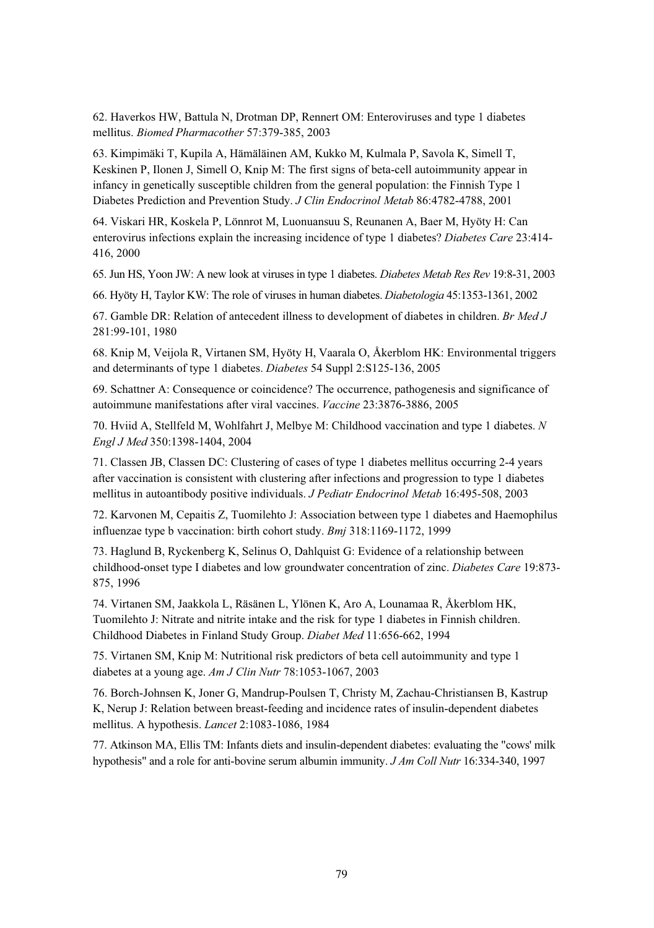62. Haverkos HW, Battula N, Drotman DP, Rennert OM: Enteroviruses and type 1 diabetes mellitus. *Biomed Pharmacother* 57:379-385, 2003

63. Kimpimäki T, Kupila A, Hämäläinen AM, Kukko M, Kulmala P, Savola K, Simell T, Keskinen P, Ilonen J, Simell O, Knip M: The first signs of beta-cell autoimmunity appear in infancy in genetically susceptible children from the general population: the Finnish Type 1 Diabetes Prediction and Prevention Study. *J Clin Endocrinol Metab* 86:4782-4788, 2001

64. Viskari HR, Koskela P, Lönnrot M, Luonuansuu S, Reunanen A, Baer M, Hyöty H: Can enterovirus infections explain the increasing incidence of type 1 diabetes? *Diabetes Care* 23:414- 416, 2000

65. Jun HS, Yoon JW: A new look at viruses in type 1 diabetes. *Diabetes Metab Res Rev* 19:8-31, 2003

66. Hyöty H, Taylor KW: The role of viruses in human diabetes. *Diabetologia* 45:1353-1361, 2002

67. Gamble DR: Relation of antecedent illness to development of diabetes in children. *Br Med J* 281:99-101, 1980

68. Knip M, Veijola R, Virtanen SM, Hyöty H, Vaarala O, Åkerblom HK: Environmental triggers and determinants of type 1 diabetes. *Diabetes* 54 Suppl 2:S125-136, 2005

69. Schattner A: Consequence or coincidence? The occurrence, pathogenesis and significance of autoimmune manifestations after viral vaccines. *Vaccine* 23:3876-3886, 2005

70. Hviid A, Stellfeld M, Wohlfahrt J, Melbye M: Childhood vaccination and type 1 diabetes. *N Engl J Med* 350:1398-1404, 2004

71. Classen JB, Classen DC: Clustering of cases of type 1 diabetes mellitus occurring 2-4 years after vaccination is consistent with clustering after infections and progression to type 1 diabetes mellitus in autoantibody positive individuals. *J Pediatr Endocrinol Metab* 16:495-508, 2003

72. Karvonen M, Cepaitis Z, Tuomilehto J: Association between type 1 diabetes and Haemophilus influenzae type b vaccination: birth cohort study. *Bmj* 318:1169-1172, 1999

73. Haglund B, Ryckenberg K, Selinus O, Dahlquist G: Evidence of a relationship between childhood-onset type I diabetes and low groundwater concentration of zinc. *Diabetes Care* 19:873- 875, 1996

74. Virtanen SM, Jaakkola L, Räsänen L, Ylönen K, Aro A, Lounamaa R, Åkerblom HK, Tuomilehto J: Nitrate and nitrite intake and the risk for type 1 diabetes in Finnish children. Childhood Diabetes in Finland Study Group. *Diabet Med* 11:656-662, 1994

75. Virtanen SM, Knip M: Nutritional risk predictors of beta cell autoimmunity and type 1 diabetes at a young age. *Am J Clin Nutr* 78:1053-1067, 2003

76. Borch-Johnsen K, Joner G, Mandrup-Poulsen T, Christy M, Zachau-Christiansen B, Kastrup K, Nerup J: Relation between breast-feeding and incidence rates of insulin-dependent diabetes mellitus. A hypothesis. *Lancet* 2:1083-1086, 1984

77. Atkinson MA, Ellis TM: Infants diets and insulin-dependent diabetes: evaluating the "cows' milk hypothesis" and a role for anti-bovine serum albumin immunity. *J Am Coll Nutr* 16:334-340, 1997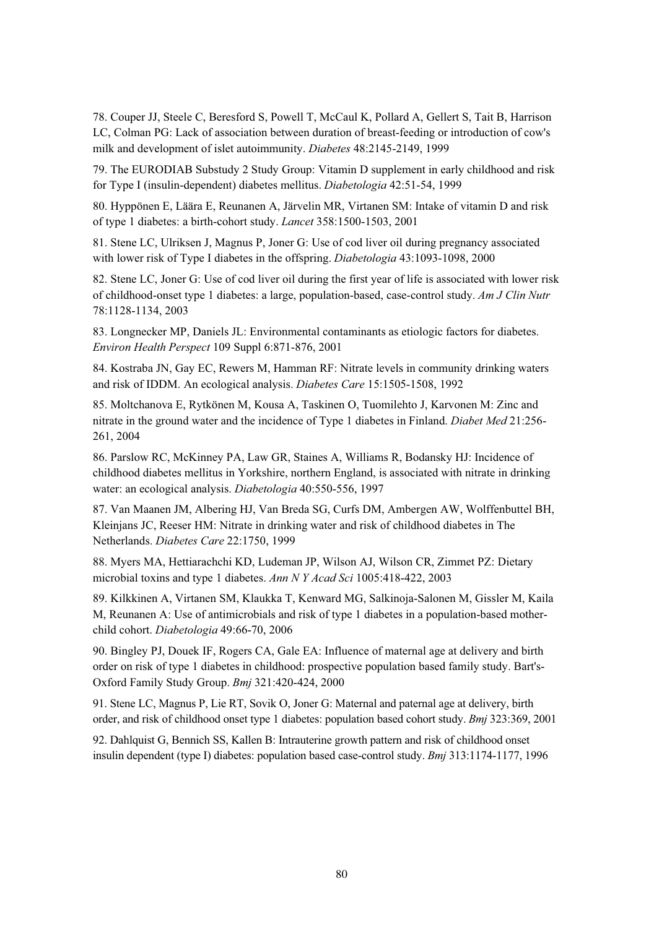78. Couper JJ, Steele C, Beresford S, Powell T, McCaul K, Pollard A, Gellert S, Tait B, Harrison LC, Colman PG: Lack of association between duration of breast-feeding or introduction of cow's milk and development of islet autoimmunity. *Diabetes* 48:2145-2149, 1999

79. The EURODIAB Substudy 2 Study Group: Vitamin D supplement in early childhood and risk for Type I (insulin-dependent) diabetes mellitus. *Diabetologia* 42:51-54, 1999

80. Hyppönen E, Läära E, Reunanen A, Järvelin MR, Virtanen SM: Intake of vitamin D and risk of type 1 diabetes: a birth-cohort study. *Lancet* 358:1500-1503, 2001

81. Stene LC, Ulriksen J, Magnus P, Joner G: Use of cod liver oil during pregnancy associated with lower risk of Type I diabetes in the offspring. *Diabetologia* 43:1093-1098, 2000

82. Stene LC, Joner G: Use of cod liver oil during the first year of life is associated with lower risk of childhood-onset type 1 diabetes: a large, population-based, case-control study. *Am J Clin Nutr* 78:1128-1134, 2003

83. Longnecker MP, Daniels JL: Environmental contaminants as etiologic factors for diabetes. *Environ Health Perspect* 109 Suppl 6:871-876, 2001

84. Kostraba JN, Gay EC, Rewers M, Hamman RF: Nitrate levels in community drinking waters and risk of IDDM. An ecological analysis. *Diabetes Care* 15:1505-1508, 1992

85. Moltchanova E, Rytkönen M, Kousa A, Taskinen O, Tuomilehto J, Karvonen M: Zinc and nitrate in the ground water and the incidence of Type 1 diabetes in Finland. *Diabet Med* 21:256- 261, 2004

86. Parslow RC, McKinney PA, Law GR, Staines A, Williams R, Bodansky HJ: Incidence of childhood diabetes mellitus in Yorkshire, northern England, is associated with nitrate in drinking water: an ecological analysis. *Diabetologia* 40:550-556, 1997

87. Van Maanen JM, Albering HJ, Van Breda SG, Curfs DM, Ambergen AW, Wolffenbuttel BH, Kleinjans JC, Reeser HM: Nitrate in drinking water and risk of childhood diabetes in The Netherlands. *Diabetes Care* 22:1750, 1999

88. Myers MA, Hettiarachchi KD, Ludeman JP, Wilson AJ, Wilson CR, Zimmet PZ: Dietary microbial toxins and type 1 diabetes. *Ann N Y Acad Sci* 1005:418-422, 2003

89. Kilkkinen A, Virtanen SM, Klaukka T, Kenward MG, Salkinoja-Salonen M, Gissler M, Kaila M, Reunanen A: Use of antimicrobials and risk of type 1 diabetes in a population-based motherchild cohort. *Diabetologia* 49:66-70, 2006

90. Bingley PJ, Douek IF, Rogers CA, Gale EA: Influence of maternal age at delivery and birth order on risk of type 1 diabetes in childhood: prospective population based family study. Bart's-Oxford Family Study Group. *Bmj* 321:420-424, 2000

91. Stene LC, Magnus P, Lie RT, Sovik O, Joner G: Maternal and paternal age at delivery, birth order, and risk of childhood onset type 1 diabetes: population based cohort study. *Bmj* 323:369, 2001

92. Dahlquist G, Bennich SS, Kallen B: Intrauterine growth pattern and risk of childhood onset insulin dependent (type I) diabetes: population based case-control study. *Bmj* 313:1174-1177, 1996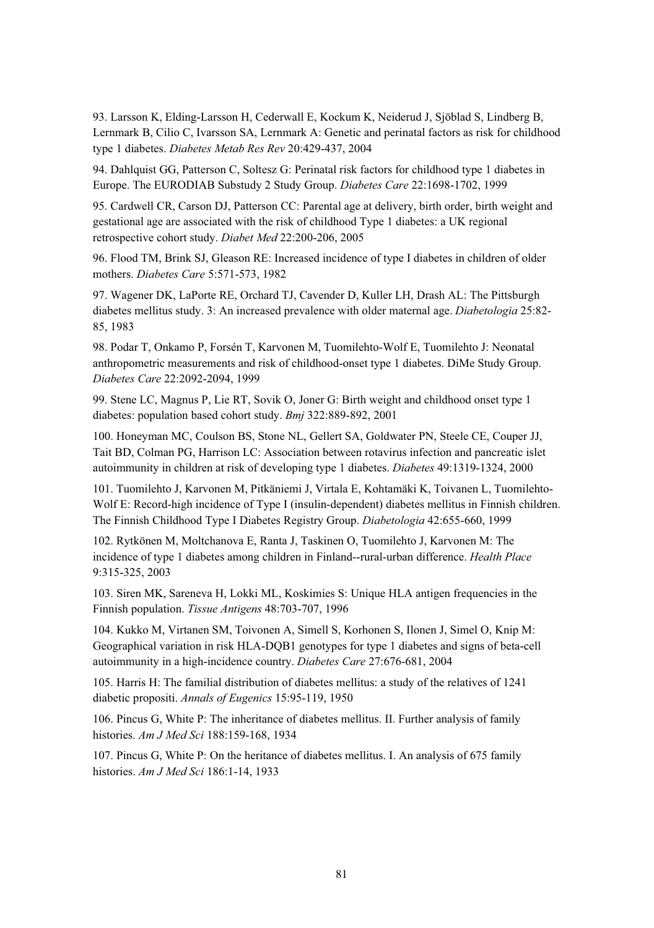93. Larsson K, Elding-Larsson H, Cederwall E, Kockum K, Neiderud J, Sjöblad S, Lindberg B, Lernmark B, Cilio C, Ivarsson SA, Lernmark A: Genetic and perinatal factors as risk for childhood type 1 diabetes. *Diabetes Metab Res Rev* 20:429-437, 2004

94. Dahlquist GG, Patterson C, Soltesz G: Perinatal risk factors for childhood type 1 diabetes in Europe. The EURODIAB Substudy 2 Study Group. *Diabetes Care* 22:1698-1702, 1999

95. Cardwell CR, Carson DJ, Patterson CC: Parental age at delivery, birth order, birth weight and gestational age are associated with the risk of childhood Type 1 diabetes: a UK regional retrospective cohort study. *Diabet Med* 22:200-206, 2005

96. Flood TM, Brink SJ, Gleason RE: Increased incidence of type I diabetes in children of older mothers. *Diabetes Care* 5:571-573, 1982

97. Wagener DK, LaPorte RE, Orchard TJ, Cavender D, Kuller LH, Drash AL: The Pittsburgh diabetes mellitus study. 3: An increased prevalence with older maternal age. *Diabetologia* 25:82- 85, 1983

98. Podar T, Onkamo P, Forsén T, Karvonen M, Tuomilehto-Wolf E, Tuomilehto J: Neonatal anthropometric measurements and risk of childhood-onset type 1 diabetes. DiMe Study Group. *Diabetes Care* 22:2092-2094, 1999

99. Stene LC, Magnus P, Lie RT, Sovik O, Joner G: Birth weight and childhood onset type 1 diabetes: population based cohort study. *Bmj* 322:889-892, 2001

100. Honeyman MC, Coulson BS, Stone NL, Gellert SA, Goldwater PN, Steele CE, Couper JJ, Tait BD, Colman PG, Harrison LC: Association between rotavirus infection and pancreatic islet autoimmunity in children at risk of developing type 1 diabetes. *Diabetes* 49:1319-1324, 2000

101. Tuomilehto J, Karvonen M, Pitkäniemi J, Virtala E, Kohtamäki K, Toivanen L, Tuomilehto-Wolf E: Record-high incidence of Type I (insulin-dependent) diabetes mellitus in Finnish children. The Finnish Childhood Type I Diabetes Registry Group. *Diabetologia* 42:655-660, 1999

102. Rytkönen M, Moltchanova E, Ranta J, Taskinen O, Tuomilehto J, Karvonen M: The incidence of type 1 diabetes among children in Finland--rural-urban difference. *Health Place* 9:315-325, 2003

103. Siren MK, Sareneva H, Lokki ML, Koskimies S: Unique HLA antigen frequencies in the Finnish population. *Tissue Antigens* 48:703-707, 1996

104. Kukko M, Virtanen SM, Toivonen A, Simell S, Korhonen S, Ilonen J, Simel O, Knip M: Geographical variation in risk HLA-DQB1 genotypes for type 1 diabetes and signs of beta-cell autoimmunity in a high-incidence country. *Diabetes Care* 27:676-681, 2004

105. Harris H: The familial distribution of diabetes mellitus: a study of the relatives of 1241 diabetic propositi. *Annals of Eugenics* 15:95-119, 1950

106. Pincus G, White P: The inheritance of diabetes mellitus. II. Further analysis of family histories. *Am J Med Sci* 188:159-168, 1934

107. Pincus G, White P: On the heritance of diabetes mellitus. I. An analysis of 675 family histories. *Am J Med Sci* 186:1-14, 1933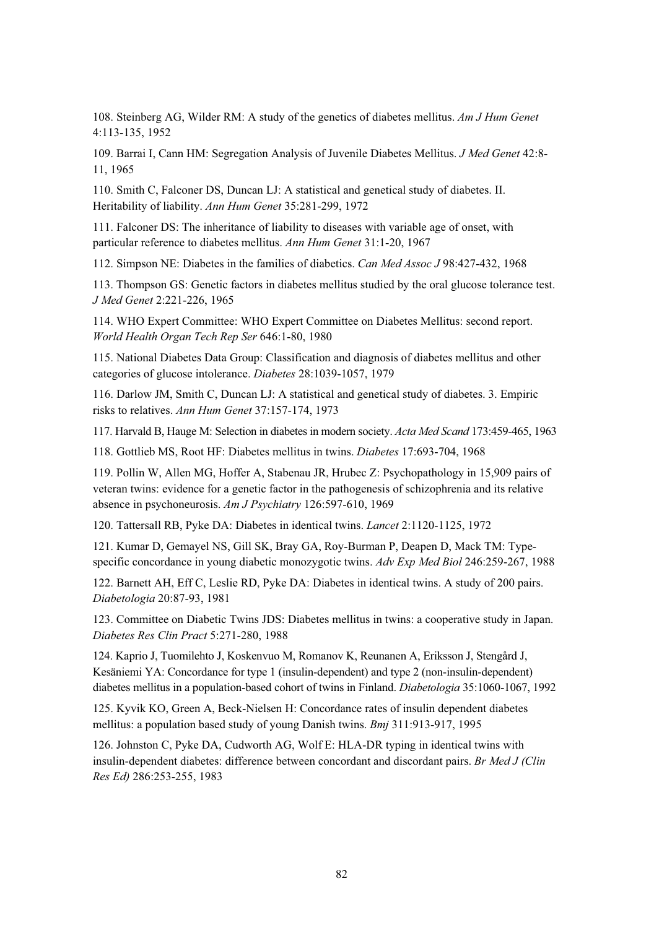108. Steinberg AG, Wilder RM: A study of the genetics of diabetes mellitus. *Am J Hum Genet* 4:113-135, 1952

109. Barrai I, Cann HM: Segregation Analysis of Juvenile Diabetes Mellitus. *J Med Genet* 42:8- 11, 1965

110. Smith C, Falconer DS, Duncan LJ: A statistical and genetical study of diabetes. II. Heritability of liability. *Ann Hum Genet* 35:281-299, 1972

111. Falconer DS: The inheritance of liability to diseases with variable age of onset, with particular reference to diabetes mellitus. *Ann Hum Genet* 31:1-20, 1967

112. Simpson NE: Diabetes in the families of diabetics. *Can Med Assoc J* 98:427-432, 1968

113. Thompson GS: Genetic factors in diabetes mellitus studied by the oral glucose tolerance test. *J Med Genet* 2:221-226, 1965

114. WHO Expert Committee: WHO Expert Committee on Diabetes Mellitus: second report. *World Health Organ Tech Rep Ser* 646:1-80, 1980

115. National Diabetes Data Group: Classification and diagnosis of diabetes mellitus and other categories of glucose intolerance. *Diabetes* 28:1039-1057, 1979

116. Darlow JM, Smith C, Duncan LJ: A statistical and genetical study of diabetes. 3. Empiric risks to relatives. *Ann Hum Genet* 37:157-174, 1973

117. Harvald B, Hauge M: Selection in diabetes in modern society. *Acta Med Scand* 173:459-465, 1963

118. Gottlieb MS, Root HF: Diabetes mellitus in twins. *Diabetes* 17:693-704, 1968

119. Pollin W, Allen MG, Hoffer A, Stabenau JR, Hrubec Z: Psychopathology in 15,909 pairs of veteran twins: evidence for a genetic factor in the pathogenesis of schizophrenia and its relative absence in psychoneurosis. *Am J Psychiatry* 126:597-610, 1969

120. Tattersall RB, Pyke DA: Diabetes in identical twins. *Lancet* 2:1120-1125, 1972

121. Kumar D, Gemayel NS, Gill SK, Bray GA, Roy-Burman P, Deapen D, Mack TM: Typespecific concordance in young diabetic monozygotic twins. *Adv Exp Med Biol* 246:259-267, 1988

122. Barnett AH, Eff C, Leslie RD, Pyke DA: Diabetes in identical twins. A study of 200 pairs. *Diabetologia* 20:87-93, 1981

123. Committee on Diabetic Twins JDS: Diabetes mellitus in twins: a cooperative study in Japan. *Diabetes Res Clin Pract* 5:271-280, 1988

124. Kaprio J, Tuomilehto J, Koskenvuo M, Romanov K, Reunanen A, Eriksson J, Stengård J, Kesäniemi YA: Concordance for type 1 (insulin-dependent) and type 2 (non-insulin-dependent) diabetes mellitus in a population-based cohort of twins in Finland. *Diabetologia* 35:1060-1067, 1992

125. Kyvik KO, Green A, Beck-Nielsen H: Concordance rates of insulin dependent diabetes mellitus: a population based study of young Danish twins. *Bmj* 311:913-917, 1995

126. Johnston C, Pyke DA, Cudworth AG, Wolf E: HLA-DR typing in identical twins with insulin-dependent diabetes: difference between concordant and discordant pairs. *Br Med J (Clin Res Ed)* 286:253-255, 1983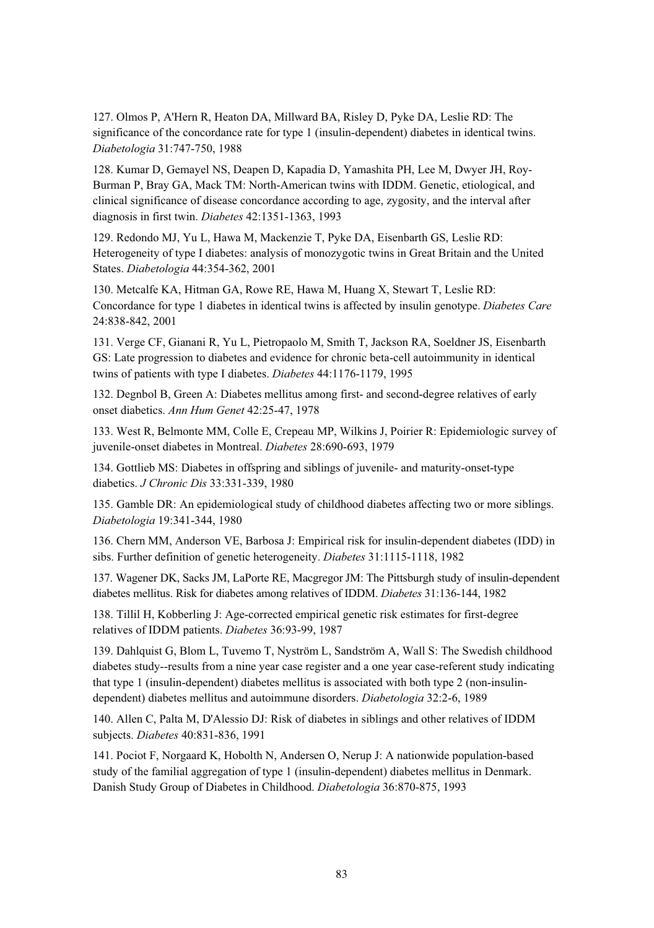127. Olmos P, A'Hern R, Heaton DA, Millward BA, Risley D, Pyke DA, Leslie RD: The significance of the concordance rate for type 1 (insulin-dependent) diabetes in identical twins. *Diabetologia* 31:747-750, 1988

128. Kumar D, Gemayel NS, Deapen D, Kapadia D, Yamashita PH, Lee M, Dwyer JH, Roy-Burman P, Bray GA, Mack TM: North-American twins with IDDM. Genetic, etiological, and clinical significance of disease concordance according to age, zygosity, and the interval after diagnosis in first twin. *Diabetes* 42:1351-1363, 1993

129. Redondo MJ, Yu L, Hawa M, Mackenzie T, Pyke DA, Eisenbarth GS, Leslie RD: Heterogeneity of type I diabetes: analysis of monozygotic twins in Great Britain and the United States. *Diabetologia* 44:354-362, 2001

130. Metcalfe KA, Hitman GA, Rowe RE, Hawa M, Huang X, Stewart T, Leslie RD: Concordance for type 1 diabetes in identical twins is affected by insulin genotype. *Diabetes Care* 24:838-842, 2001

131. Verge CF, Gianani R, Yu L, Pietropaolo M, Smith T, Jackson RA, Soeldner JS, Eisenbarth GS: Late progression to diabetes and evidence for chronic beta-cell autoimmunity in identical twins of patients with type I diabetes. *Diabetes* 44:1176-1179, 1995

132. Degnbol B, Green A: Diabetes mellitus among first- and second-degree relatives of early onset diabetics. *Ann Hum Genet* 42:25-47, 1978

133. West R, Belmonte MM, Colle E, Crepeau MP, Wilkins J, Poirier R: Epidemiologic survey of juvenile-onset diabetes in Montreal. *Diabetes* 28:690-693, 1979

134. Gottlieb MS: Diabetes in offspring and siblings of juvenile- and maturity-onset-type diabetics. *J Chronic Dis* 33:331-339, 1980

135. Gamble DR: An epidemiological study of childhood diabetes affecting two or more siblings. *Diabetologia* 19:341-344, 1980

136. Chern MM, Anderson VE, Barbosa J: Empirical risk for insulin-dependent diabetes (IDD) in sibs. Further definition of genetic heterogeneity. *Diabetes* 31:1115-1118, 1982

137. Wagener DK, Sacks JM, LaPorte RE, Macgregor JM: The Pittsburgh study of insulin-dependent diabetes mellitus. Risk for diabetes among relatives of IDDM. *Diabetes* 31:136-144, 1982

138. Tillil H, Kobberling J: Age-corrected empirical genetic risk estimates for first-degree relatives of IDDM patients. *Diabetes* 36:93-99, 1987

139. Dahlquist G, Blom L, Tuvemo T, Nyström L, Sandström A, Wall S: The Swedish childhood diabetes study--results from a nine year case register and a one year case-referent study indicating that type 1 (insulin-dependent) diabetes mellitus is associated with both type 2 (non-insulindependent) diabetes mellitus and autoimmune disorders. *Diabetologia* 32:2-6, 1989

140. Allen C, Palta M, D'Alessio DJ: Risk of diabetes in siblings and other relatives of IDDM subjects. *Diabetes* 40:831-836, 1991

141. Pociot F, Norgaard K, Hobolth N, Andersen O, Nerup J: A nationwide population-based study of the familial aggregation of type 1 (insulin-dependent) diabetes mellitus in Denmark. Danish Study Group of Diabetes in Childhood. *Diabetologia* 36:870-875, 1993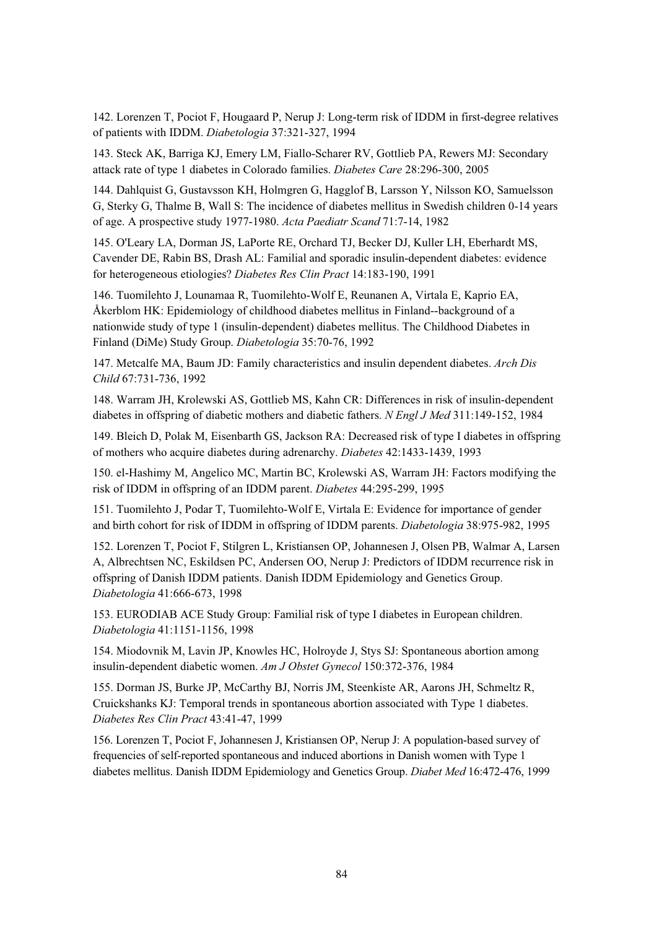142. Lorenzen T, Pociot F, Hougaard P, Nerup J: Long-term risk of IDDM in first-degree relatives of patients with IDDM. *Diabetologia* 37:321-327, 1994

143. Steck AK, Barriga KJ, Emery LM, Fiallo-Scharer RV, Gottlieb PA, Rewers MJ: Secondary attack rate of type 1 diabetes in Colorado families. *Diabetes Care* 28:296-300, 2005

144. Dahlquist G, Gustavsson KH, Holmgren G, Hagglof B, Larsson Y, Nilsson KO, Samuelsson G, Sterky G, Thalme B, Wall S: The incidence of diabetes mellitus in Swedish children 0-14 years of age. A prospective study 1977-1980. *Acta Paediatr Scand* 71:7-14, 1982

145. O'Leary LA, Dorman JS, LaPorte RE, Orchard TJ, Becker DJ, Kuller LH, Eberhardt MS, Cavender DE, Rabin BS, Drash AL: Familial and sporadic insulin-dependent diabetes: evidence for heterogeneous etiologies? *Diabetes Res Clin Pract* 14:183-190, 1991

146. Tuomilehto J, Lounamaa R, Tuomilehto-Wolf E, Reunanen A, Virtala E, Kaprio EA, Åkerblom HK: Epidemiology of childhood diabetes mellitus in Finland--background of a nationwide study of type 1 (insulin-dependent) diabetes mellitus. The Childhood Diabetes in Finland (DiMe) Study Group. *Diabetologia* 35:70-76, 1992

147. Metcalfe MA, Baum JD: Family characteristics and insulin dependent diabetes. *Arch Dis Child* 67:731-736, 1992

148. Warram JH, Krolewski AS, Gottlieb MS, Kahn CR: Differences in risk of insulin-dependent diabetes in offspring of diabetic mothers and diabetic fathers. *N Engl J Med* 311:149-152, 1984

149. Bleich D, Polak M, Eisenbarth GS, Jackson RA: Decreased risk of type I diabetes in offspring of mothers who acquire diabetes during adrenarchy. *Diabetes* 42:1433-1439, 1993

150. el-Hashimy M, Angelico MC, Martin BC, Krolewski AS, Warram JH: Factors modifying the risk of IDDM in offspring of an IDDM parent. *Diabetes* 44:295-299, 1995

151. Tuomilehto J, Podar T, Tuomilehto-Wolf E, Virtala E: Evidence for importance of gender and birth cohort for risk of IDDM in offspring of IDDM parents. *Diabetologia* 38:975-982, 1995

152. Lorenzen T, Pociot F, Stilgren L, Kristiansen OP, Johannesen J, Olsen PB, Walmar A, Larsen A, Albrechtsen NC, Eskildsen PC, Andersen OO, Nerup J: Predictors of IDDM recurrence risk in offspring of Danish IDDM patients. Danish IDDM Epidemiology and Genetics Group. *Diabetologia* 41:666-673, 1998

153. EURODIAB ACE Study Group: Familial risk of type I diabetes in European children. *Diabetologia* 41:1151-1156, 1998

154. Miodovnik M, Lavin JP, Knowles HC, Holroyde J, Stys SJ: Spontaneous abortion among insulin-dependent diabetic women. *Am J Obstet Gynecol* 150:372-376, 1984

155. Dorman JS, Burke JP, McCarthy BJ, Norris JM, Steenkiste AR, Aarons JH, Schmeltz R, Cruickshanks KJ: Temporal trends in spontaneous abortion associated with Type 1 diabetes. *Diabetes Res Clin Pract* 43:41-47, 1999

156. Lorenzen T, Pociot F, Johannesen J, Kristiansen OP, Nerup J: A population-based survey of frequencies of self-reported spontaneous and induced abortions in Danish women with Type 1 diabetes mellitus. Danish IDDM Epidemiology and Genetics Group. *Diabet Med* 16:472-476, 1999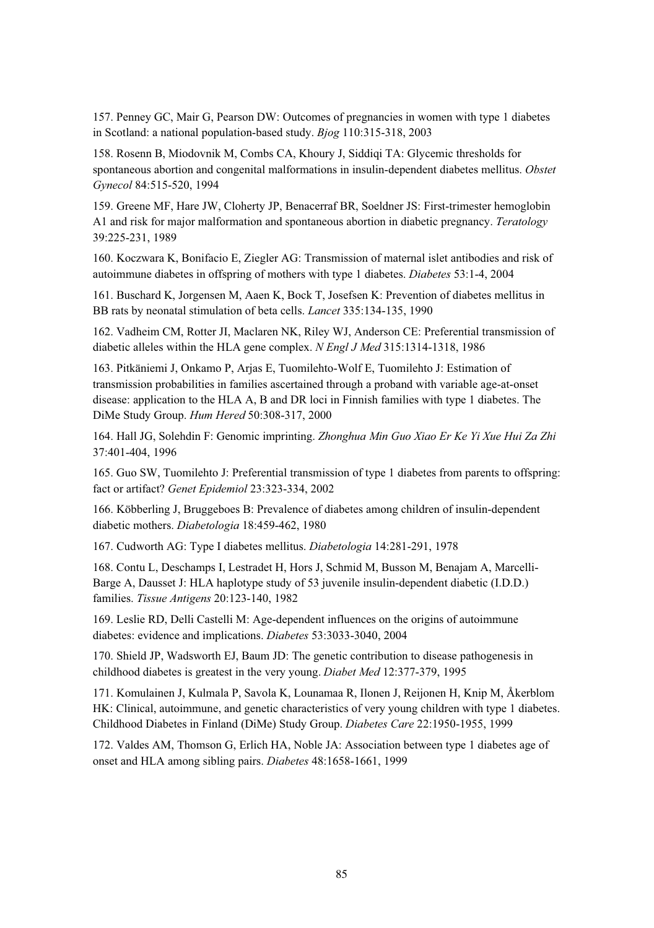157. Penney GC, Mair G, Pearson DW: Outcomes of pregnancies in women with type 1 diabetes in Scotland: a national population-based study. *Bjog* 110:315-318, 2003

158. Rosenn B, Miodovnik M, Combs CA, Khoury J, Siddiqi TA: Glycemic thresholds for spontaneous abortion and congenital malformations in insulin-dependent diabetes mellitus. *Obstet Gynecol* 84:515-520, 1994

159. Greene MF, Hare JW, Cloherty JP, Benacerraf BR, Soeldner JS: First-trimester hemoglobin A1 and risk for major malformation and spontaneous abortion in diabetic pregnancy. *Teratology* 39:225-231, 1989

160. Koczwara K, Bonifacio E, Ziegler AG: Transmission of maternal islet antibodies and risk of autoimmune diabetes in offspring of mothers with type 1 diabetes. *Diabetes* 53:1-4, 2004

161. Buschard K, Jorgensen M, Aaen K, Bock T, Josefsen K: Prevention of diabetes mellitus in BB rats by neonatal stimulation of beta cells. *Lancet* 335:134-135, 1990

162. Vadheim CM, Rotter JI, Maclaren NK, Riley WJ, Anderson CE: Preferential transmission of diabetic alleles within the HLA gene complex. *N Engl J Med* 315:1314-1318, 1986

163. Pitkäniemi J, Onkamo P, Arjas E, Tuomilehto-Wolf E, Tuomilehto J: Estimation of transmission probabilities in families ascertained through a proband with variable age-at-onset disease: application to the HLA A, B and DR loci in Finnish families with type 1 diabetes. The DiMe Study Group. *Hum Hered* 50:308-317, 2000

164. Hall JG, Solehdin F: Genomic imprinting. *Zhonghua Min Guo Xiao Er Ke Yi Xue Hui Za Zhi* 37:401-404, 1996

165. Guo SW, Tuomilehto J: Preferential transmission of type 1 diabetes from parents to offspring: fact or artifact? *Genet Epidemiol* 23:323-334, 2002

166. Köbberling J, Bruggeboes B: Prevalence of diabetes among children of insulin-dependent diabetic mothers. *Diabetologia* 18:459-462, 1980

167. Cudworth AG: Type I diabetes mellitus. *Diabetologia* 14:281-291, 1978

168. Contu L, Deschamps I, Lestradet H, Hors J, Schmid M, Busson M, Benajam A, Marcelli-Barge A, Dausset J: HLA haplotype study of 53 juvenile insulin-dependent diabetic (I.D.D.) families. *Tissue Antigens* 20:123-140, 1982

169. Leslie RD, Delli Castelli M: Age-dependent influences on the origins of autoimmune diabetes: evidence and implications. *Diabetes* 53:3033-3040, 2004

170. Shield JP, Wadsworth EJ, Baum JD: The genetic contribution to disease pathogenesis in childhood diabetes is greatest in the very young. *Diabet Med* 12:377-379, 1995

171. Komulainen J, Kulmala P, Savola K, Lounamaa R, Ilonen J, Reijonen H, Knip M, Åkerblom HK: Clinical, autoimmune, and genetic characteristics of very young children with type 1 diabetes. Childhood Diabetes in Finland (DiMe) Study Group. *Diabetes Care* 22:1950-1955, 1999

172. Valdes AM, Thomson G, Erlich HA, Noble JA: Association between type 1 diabetes age of onset and HLA among sibling pairs. *Diabetes* 48:1658-1661, 1999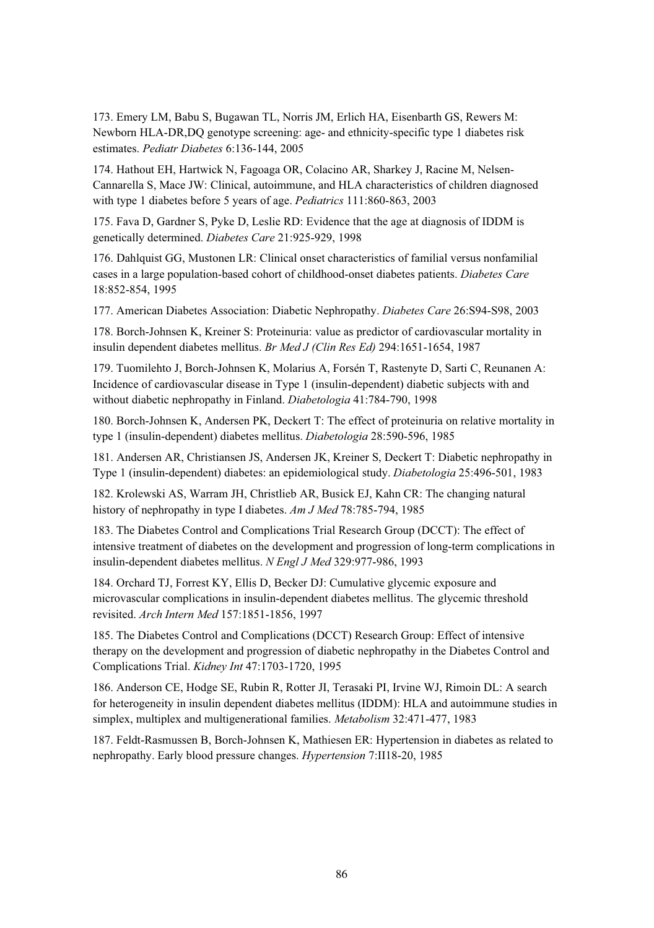173. Emery LM, Babu S, Bugawan TL, Norris JM, Erlich HA, Eisenbarth GS, Rewers M: Newborn HLA-DR,DQ genotype screening: age- and ethnicity-specific type 1 diabetes risk estimates. *Pediatr Diabetes* 6:136-144, 2005

174. Hathout EH, Hartwick N, Fagoaga OR, Colacino AR, Sharkey J, Racine M, Nelsen-Cannarella S, Mace JW: Clinical, autoimmune, and HLA characteristics of children diagnosed with type 1 diabetes before 5 years of age. *Pediatrics* 111:860-863, 2003

175. Fava D, Gardner S, Pyke D, Leslie RD: Evidence that the age at diagnosis of IDDM is genetically determined. *Diabetes Care* 21:925-929, 1998

176. Dahlquist GG, Mustonen LR: Clinical onset characteristics of familial versus nonfamilial cases in a large population-based cohort of childhood-onset diabetes patients. *Diabetes Care* 18:852-854, 1995

177. American Diabetes Association: Diabetic Nephropathy. *Diabetes Care* 26:S94-S98, 2003

178. Borch-Johnsen K, Kreiner S: Proteinuria: value as predictor of cardiovascular mortality in insulin dependent diabetes mellitus. *Br Med J (Clin Res Ed)* 294:1651-1654, 1987

179. Tuomilehto J, Borch-Johnsen K, Molarius A, Forsén T, Rastenyte D, Sarti C, Reunanen A: Incidence of cardiovascular disease in Type 1 (insulin-dependent) diabetic subjects with and without diabetic nephropathy in Finland. *Diabetologia* 41:784-790, 1998

180. Borch-Johnsen K, Andersen PK, Deckert T: The effect of proteinuria on relative mortality in type 1 (insulin-dependent) diabetes mellitus. *Diabetologia* 28:590-596, 1985

181. Andersen AR, Christiansen JS, Andersen JK, Kreiner S, Deckert T: Diabetic nephropathy in Type 1 (insulin-dependent) diabetes: an epidemiological study. *Diabetologia* 25:496-501, 1983

182. Krolewski AS, Warram JH, Christlieb AR, Busick EJ, Kahn CR: The changing natural history of nephropathy in type I diabetes. *Am J Med* 78:785-794, 1985

183. The Diabetes Control and Complications Trial Research Group (DCCT): The effect of intensive treatment of diabetes on the development and progression of long-term complications in insulin-dependent diabetes mellitus. *N Engl J Med* 329:977-986, 1993

184. Orchard TJ, Forrest KY, Ellis D, Becker DJ: Cumulative glycemic exposure and microvascular complications in insulin-dependent diabetes mellitus. The glycemic threshold revisited. *Arch Intern Med* 157:1851-1856, 1997

185. The Diabetes Control and Complications (DCCT) Research Group: Effect of intensive therapy on the development and progression of diabetic nephropathy in the Diabetes Control and Complications Trial. *Kidney Int* 47:1703-1720, 1995

186. Anderson CE, Hodge SE, Rubin R, Rotter JI, Terasaki PI, Irvine WJ, Rimoin DL: A search for heterogeneity in insulin dependent diabetes mellitus (IDDM): HLA and autoimmune studies in simplex, multiplex and multigenerational families. *Metabolism* 32:471-477, 1983

187. Feldt-Rasmussen B, Borch-Johnsen K, Mathiesen ER: Hypertension in diabetes as related to nephropathy. Early blood pressure changes. *Hypertension* 7:II18-20, 1985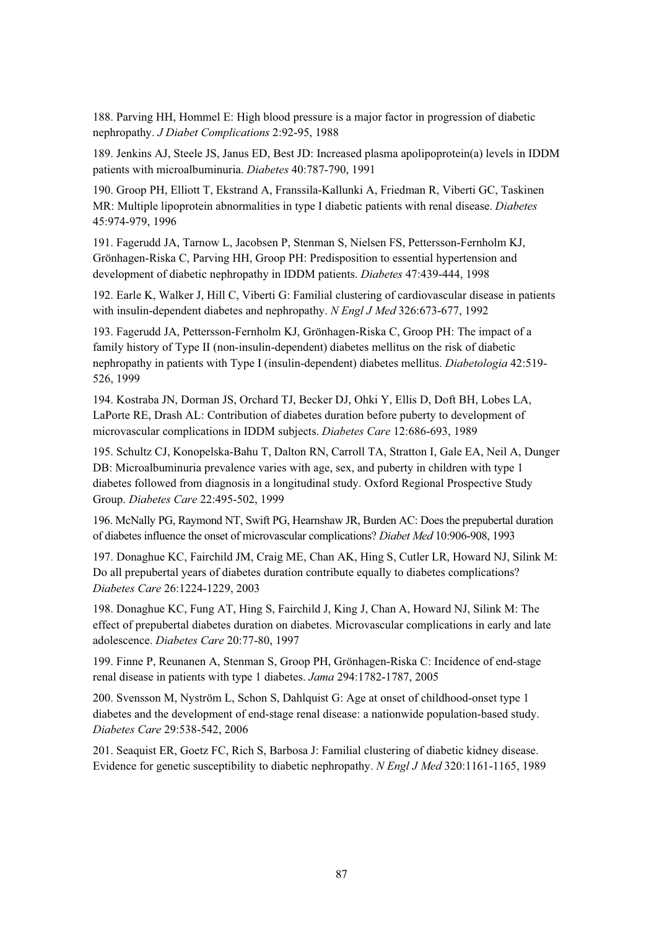188. Parving HH, Hommel E: High blood pressure is a major factor in progression of diabetic nephropathy. *J Diabet Complications* 2:92-95, 1988

189. Jenkins AJ, Steele JS, Janus ED, Best JD: Increased plasma apolipoprotein(a) levels in IDDM patients with microalbuminuria. *Diabetes* 40:787-790, 1991

190. Groop PH, Elliott T, Ekstrand A, Franssila-Kallunki A, Friedman R, Viberti GC, Taskinen MR: Multiple lipoprotein abnormalities in type I diabetic patients with renal disease. *Diabetes* 45:974-979, 1996

191. Fagerudd JA, Tarnow L, Jacobsen P, Stenman S, Nielsen FS, Pettersson-Fernholm KJ, Grönhagen-Riska C, Parving HH, Groop PH: Predisposition to essential hypertension and development of diabetic nephropathy in IDDM patients. *Diabetes* 47:439-444, 1998

192. Earle K, Walker J, Hill C, Viberti G: Familial clustering of cardiovascular disease in patients with insulin-dependent diabetes and nephropathy. *N Engl J Med* 326:673-677, 1992

193. Fagerudd JA, Pettersson-Fernholm KJ, Grönhagen-Riska C, Groop PH: The impact of a family history of Type II (non-insulin-dependent) diabetes mellitus on the risk of diabetic nephropathy in patients with Type I (insulin-dependent) diabetes mellitus. *Diabetologia* 42:519- 526, 1999

194. Kostraba JN, Dorman JS, Orchard TJ, Becker DJ, Ohki Y, Ellis D, Doft BH, Lobes LA, LaPorte RE, Drash AL: Contribution of diabetes duration before puberty to development of microvascular complications in IDDM subjects. *Diabetes Care* 12:686-693, 1989

195. Schultz CJ, Konopelska-Bahu T, Dalton RN, Carroll TA, Stratton I, Gale EA, Neil A, Dunger DB: Microalbuminuria prevalence varies with age, sex, and puberty in children with type 1 diabetes followed from diagnosis in a longitudinal study. Oxford Regional Prospective Study Group. *Diabetes Care* 22:495-502, 1999

196. McNally PG, Raymond NT, Swift PG, Hearnshaw JR, Burden AC: Does the prepubertal duration of diabetes influence the onset of microvascular complications? *Diabet Med* 10:906-908, 1993

197. Donaghue KC, Fairchild JM, Craig ME, Chan AK, Hing S, Cutler LR, Howard NJ, Silink M: Do all prepubertal years of diabetes duration contribute equally to diabetes complications? *Diabetes Care* 26:1224-1229, 2003

198. Donaghue KC, Fung AT, Hing S, Fairchild J, King J, Chan A, Howard NJ, Silink M: The effect of prepubertal diabetes duration on diabetes. Microvascular complications in early and late adolescence. *Diabetes Care* 20:77-80, 1997

199. Finne P, Reunanen A, Stenman S, Groop PH, Grönhagen-Riska C: Incidence of end-stage renal disease in patients with type 1 diabetes. *Jama* 294:1782-1787, 2005

200. Svensson M, Nyström L, Schon S, Dahlquist G: Age at onset of childhood-onset type 1 diabetes and the development of end-stage renal disease: a nationwide population-based study. *Diabetes Care* 29:538-542, 2006

201. Seaquist ER, Goetz FC, Rich S, Barbosa J: Familial clustering of diabetic kidney disease. Evidence for genetic susceptibility to diabetic nephropathy. *N Engl J Med* 320:1161-1165, 1989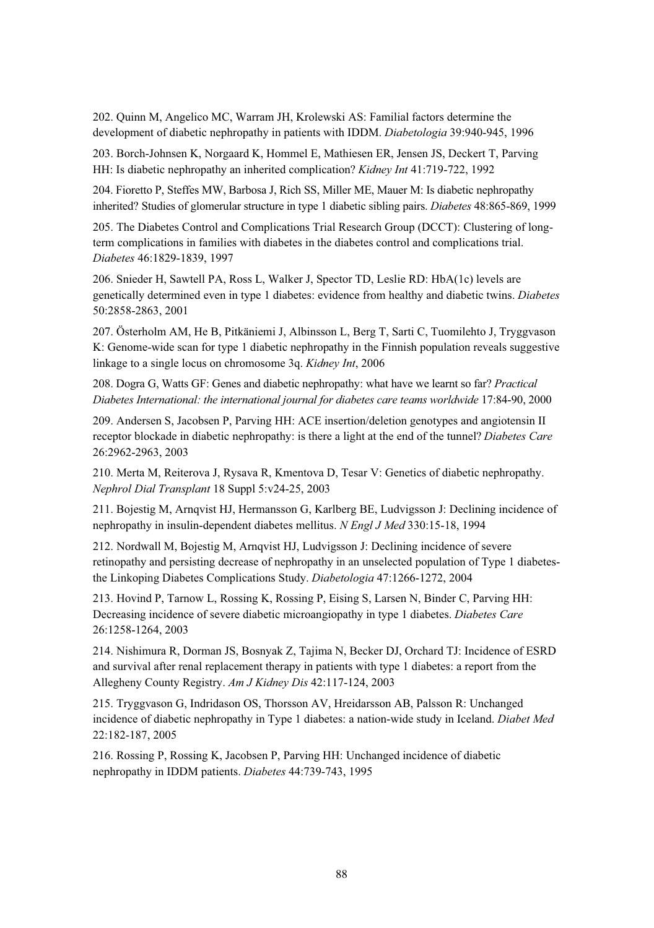202. Quinn M, Angelico MC, Warram JH, Krolewski AS: Familial factors determine the development of diabetic nephropathy in patients with IDDM. *Diabetologia* 39:940-945, 1996

203. Borch-Johnsen K, Norgaard K, Hommel E, Mathiesen ER, Jensen JS, Deckert T, Parving HH: Is diabetic nephropathy an inherited complication? *Kidney Int* 41:719-722, 1992

204. Fioretto P, Steffes MW, Barbosa J, Rich SS, Miller ME, Mauer M: Is diabetic nephropathy inherited? Studies of glomerular structure in type 1 diabetic sibling pairs. *Diabetes* 48:865-869, 1999

205. The Diabetes Control and Complications Trial Research Group (DCCT): Clustering of longterm complications in families with diabetes in the diabetes control and complications trial. *Diabetes* 46:1829-1839, 1997

206. Snieder H, Sawtell PA, Ross L, Walker J, Spector TD, Leslie RD: HbA(1c) levels are genetically determined even in type 1 diabetes: evidence from healthy and diabetic twins. *Diabetes* 50:2858-2863, 2001

207. Österholm AM, He B, Pitkäniemi J, Albinsson L, Berg T, Sarti C, Tuomilehto J, Tryggvason K: Genome-wide scan for type 1 diabetic nephropathy in the Finnish population reveals suggestive linkage to a single locus on chromosome 3q. *Kidney Int*, 2006

208. Dogra G, Watts GF: Genes and diabetic nephropathy: what have we learnt so far? *Practical Diabetes International: the international journal for diabetes care teams worldwide* 17:84-90, 2000

209. Andersen S, Jacobsen P, Parving HH: ACE insertion/deletion genotypes and angiotensin II receptor blockade in diabetic nephropathy: is there a light at the end of the tunnel? *Diabetes Care* 26:2962-2963, 2003

210. Merta M, Reiterova J, Rysava R, Kmentova D, Tesar V: Genetics of diabetic nephropathy. *Nephrol Dial Transplant* 18 Suppl 5:v24-25, 2003

211. Bojestig M, Arnqvist HJ, Hermansson G, Karlberg BE, Ludvigsson J: Declining incidence of nephropathy in insulin-dependent diabetes mellitus. *N Engl J Med* 330:15-18, 1994

212. Nordwall M, Bojestig M, Arnqvist HJ, Ludvigsson J: Declining incidence of severe retinopathy and persisting decrease of nephropathy in an unselected population of Type 1 diabetesthe Linkoping Diabetes Complications Study. *Diabetologia* 47:1266-1272, 2004

213. Hovind P, Tarnow L, Rossing K, Rossing P, Eising S, Larsen N, Binder C, Parving HH: Decreasing incidence of severe diabetic microangiopathy in type 1 diabetes. *Diabetes Care* 26:1258-1264, 2003

214. Nishimura R, Dorman JS, Bosnyak Z, Tajima N, Becker DJ, Orchard TJ: Incidence of ESRD and survival after renal replacement therapy in patients with type 1 diabetes: a report from the Allegheny County Registry. *Am J Kidney Dis* 42:117-124, 2003

215. Tryggvason G, Indridason OS, Thorsson AV, Hreidarsson AB, Palsson R: Unchanged incidence of diabetic nephropathy in Type 1 diabetes: a nation-wide study in Iceland. *Diabet Med* 22:182-187, 2005

216. Rossing P, Rossing K, Jacobsen P, Parving HH: Unchanged incidence of diabetic nephropathy in IDDM patients. *Diabetes* 44:739-743, 1995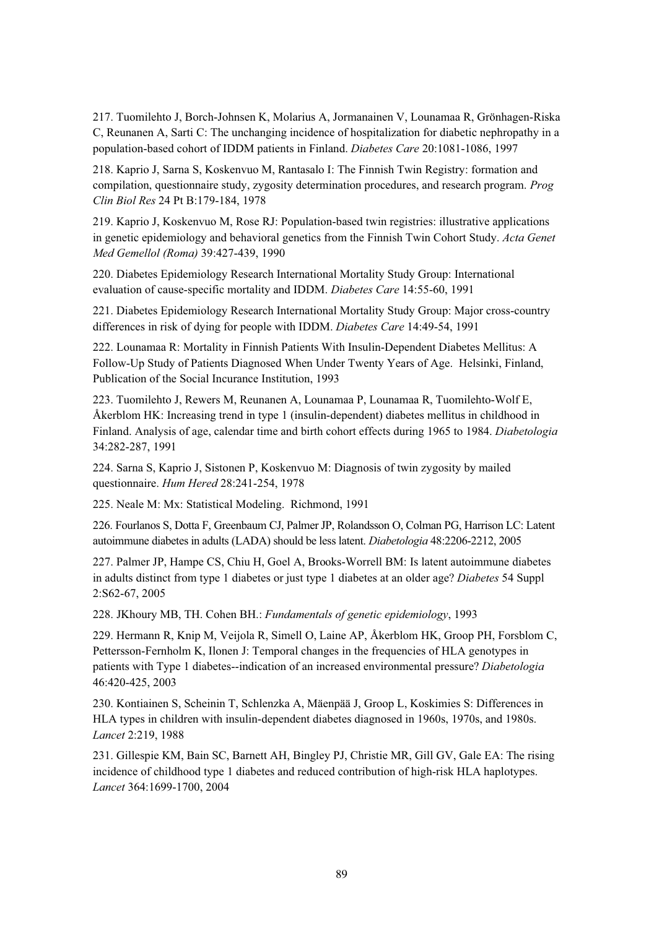217. Tuomilehto J, Borch-Johnsen K, Molarius A, Jormanainen V, Lounamaa R, Grönhagen-Riska C, Reunanen A, Sarti C: The unchanging incidence of hospitalization for diabetic nephropathy in a population-based cohort of IDDM patients in Finland. *Diabetes Care* 20:1081-1086, 1997

218. Kaprio J, Sarna S, Koskenvuo M, Rantasalo I: The Finnish Twin Registry: formation and compilation, questionnaire study, zygosity determination procedures, and research program. *Prog Clin Biol Res* 24 Pt B:179-184, 1978

219. Kaprio J, Koskenvuo M, Rose RJ: Population-based twin registries: illustrative applications in genetic epidemiology and behavioral genetics from the Finnish Twin Cohort Study. *Acta Genet Med Gemellol (Roma)* 39:427-439, 1990

220. Diabetes Epidemiology Research International Mortality Study Group: International evaluation of cause-specific mortality and IDDM. *Diabetes Care* 14:55-60, 1991

221. Diabetes Epidemiology Research International Mortality Study Group: Major cross-country differences in risk of dying for people with IDDM. *Diabetes Care* 14:49-54, 1991

222. Lounamaa R: Mortality in Finnish Patients With Insulin-Dependent Diabetes Mellitus: A Follow-Up Study of Patients Diagnosed When Under Twenty Years of Age. Helsinki, Finland, Publication of the Social Incurance Institution, 1993

223. Tuomilehto J, Rewers M, Reunanen A, Lounamaa P, Lounamaa R, Tuomilehto-Wolf E, Åkerblom HK: Increasing trend in type 1 (insulin-dependent) diabetes mellitus in childhood in Finland. Analysis of age, calendar time and birth cohort effects during 1965 to 1984. *Diabetologia* 34:282-287, 1991

224. Sarna S, Kaprio J, Sistonen P, Koskenvuo M: Diagnosis of twin zygosity by mailed questionnaire. *Hum Hered* 28:241-254, 1978

225. Neale M: Mx: Statistical Modeling. Richmond, 1991

226. Fourlanos S, Dotta F, Greenbaum CJ, Palmer JP, Rolandsson O, Colman PG, Harrison LC: Latent autoimmune diabetes in adults (LADA) should be less latent. *Diabetologia* 48:2206-2212, 2005

227. Palmer JP, Hampe CS, Chiu H, Goel A, Brooks-Worrell BM: Is latent autoimmune diabetes in adults distinct from type 1 diabetes or just type 1 diabetes at an older age? *Diabetes* 54 Suppl 2:S62-67, 2005

228. JKhoury MB, TH. Cohen BH.: *Fundamentals of genetic epidemiology*, 1993

229. Hermann R, Knip M, Veijola R, Simell O, Laine AP, Åkerblom HK, Groop PH, Forsblom C, Pettersson-Fernholm K, Ilonen J: Temporal changes in the frequencies of HLA genotypes in patients with Type 1 diabetes--indication of an increased environmental pressure? *Diabetologia* 46:420-425, 2003

230. Kontiainen S, Scheinin T, Schlenzka A, Mäenpää J, Groop L, Koskimies S: Differences in HLA types in children with insulin-dependent diabetes diagnosed in 1960s, 1970s, and 1980s. *Lancet* 2:219, 1988

231. Gillespie KM, Bain SC, Barnett AH, Bingley PJ, Christie MR, Gill GV, Gale EA: The rising incidence of childhood type 1 diabetes and reduced contribution of high-risk HLA haplotypes. *Lancet* 364:1699-1700, 2004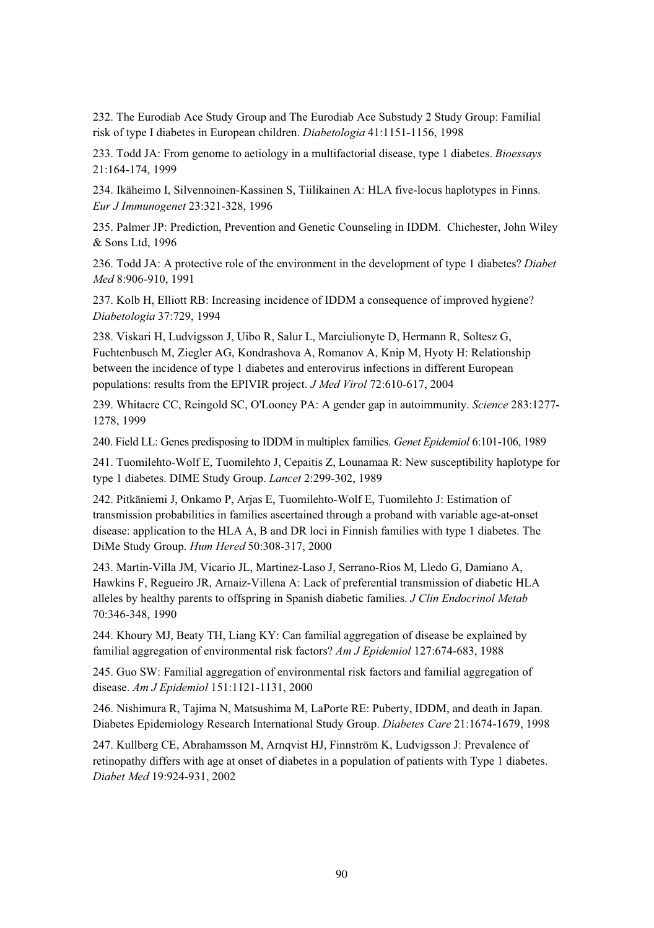232. The Eurodiab Ace Study Group and The Eurodiab Ace Substudy 2 Study Group: Familial risk of type I diabetes in European children. *Diabetologia* 41:1151-1156, 1998

233. Todd JA: From genome to aetiology in a multifactorial disease, type 1 diabetes. *Bioessays* 21:164-174, 1999

234. Ikäheimo I, Silvennoinen-Kassinen S, Tiilikainen A: HLA five-locus haplotypes in Finns. *Eur J Immunogenet* 23:321-328, 1996

235. Palmer JP: Prediction, Prevention and Genetic Counseling in IDDM. Chichester, John Wiley & Sons Ltd, 1996

236. Todd JA: A protective role of the environment in the development of type 1 diabetes? *Diabet Med* 8:906-910, 1991

237. Kolb H, Elliott RB: Increasing incidence of IDDM a consequence of improved hygiene? *Diabetologia* 37:729, 1994

238. Viskari H, Ludvigsson J, Uibo R, Salur L, Marciulionyte D, Hermann R, Soltesz G, Fuchtenbusch M, Ziegler AG, Kondrashova A, Romanov A, Knip M, Hyoty H: Relationship between the incidence of type 1 diabetes and enterovirus infections in different European populations: results from the EPIVIR project. *J Med Virol* 72:610-617, 2004

239. Whitacre CC, Reingold SC, O'Looney PA: A gender gap in autoimmunity. *Science* 283:1277- 1278, 1999

240. Field LL: Genes predisposing to IDDM in multiplex families. *Genet Epidemiol* 6:101-106, 1989

241. Tuomilehto-Wolf E, Tuomilehto J, Cepaitis Z, Lounamaa R: New susceptibility haplotype for type 1 diabetes. DIME Study Group. *Lancet* 2:299-302, 1989

242. Pitkäniemi J, Onkamo P, Arjas E, Tuomilehto-Wolf E, Tuomilehto J: Estimation of transmission probabilities in families ascertained through a proband with variable age-at-onset disease: application to the HLA A, B and DR loci in Finnish families with type 1 diabetes. The DiMe Study Group. *Hum Hered* 50:308-317, 2000

243. Martin-Villa JM, Vicario JL, Martinez-Laso J, Serrano-Rios M, Lledo G, Damiano A, Hawkins F, Regueiro JR, Arnaiz-Villena A: Lack of preferential transmission of diabetic HLA alleles by healthy parents to offspring in Spanish diabetic families. *J Clin Endocrinol Metab* 70:346-348, 1990

244. Khoury MJ, Beaty TH, Liang KY: Can familial aggregation of disease be explained by familial aggregation of environmental risk factors? *Am J Epidemiol* 127:674-683, 1988

245. Guo SW: Familial aggregation of environmental risk factors and familial aggregation of disease. *Am J Epidemiol* 151:1121-1131, 2000

246. Nishimura R, Tajima N, Matsushima M, LaPorte RE: Puberty, IDDM, and death in Japan. Diabetes Epidemiology Research International Study Group. *Diabetes Care* 21:1674-1679, 1998

247. Kullberg CE, Abrahamsson M, Arnqvist HJ, Finnström K, Ludvigsson J: Prevalence of retinopathy differs with age at onset of diabetes in a population of patients with Type 1 diabetes. *Diabet Med* 19:924-931, 2002